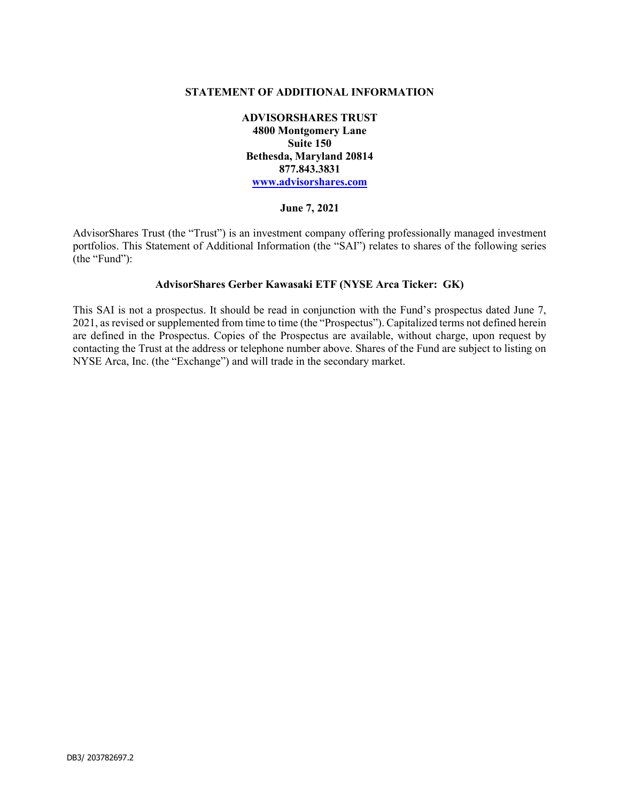#### STATEMENT OF ADDITIONAL INFORMATION

ADVISORSHARES TRUST 4800 Montgomery Lane Suite 150 Bethesda, Maryland 20814 877.843.3831 www.advisorshares.com

#### June 7, 2021

AdvisorShares Trust (the "Trust") is an investment company offering professionally managed investment portfolios. This Statement of Additional Information (the "SAI") relates to shares of the following series (the "Fund"):

#### AdvisorShares Gerber Kawasaki ETF (NYSE Arca Ticker: GK)

This SAI is not a prospectus. It should be read in conjunction with the Fund's prospectus dated June 7, 2021, as revised or supplemented from time to time (the "Prospectus"). Capitalized terms not defined herein are defined in the Prospectus. Copies of the Prospectus are available, without charge, upon request by contacting the Trust at the address or telephone number above. Shares of the Fund are subject to listing on NYSE Arca, Inc. (the "Exchange") and will trade in the secondary market.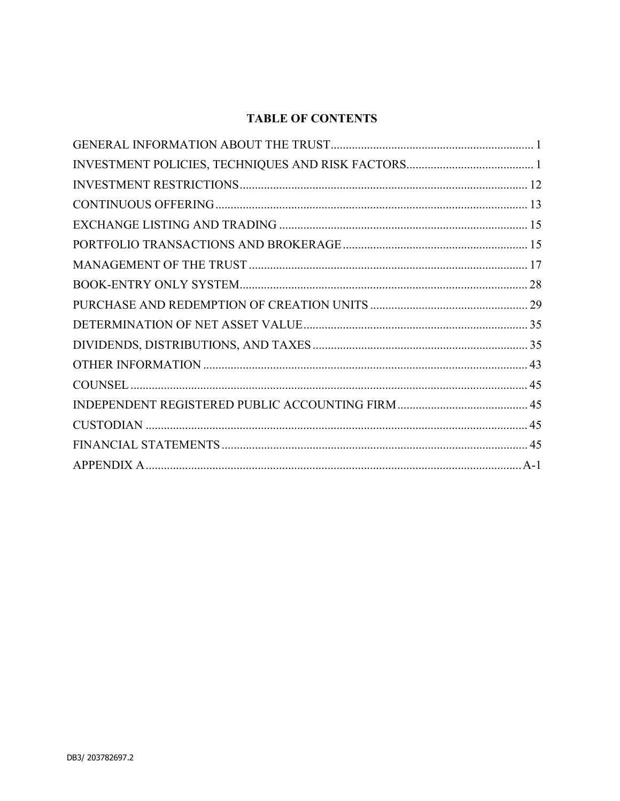# **TABLE OF CONTENTS**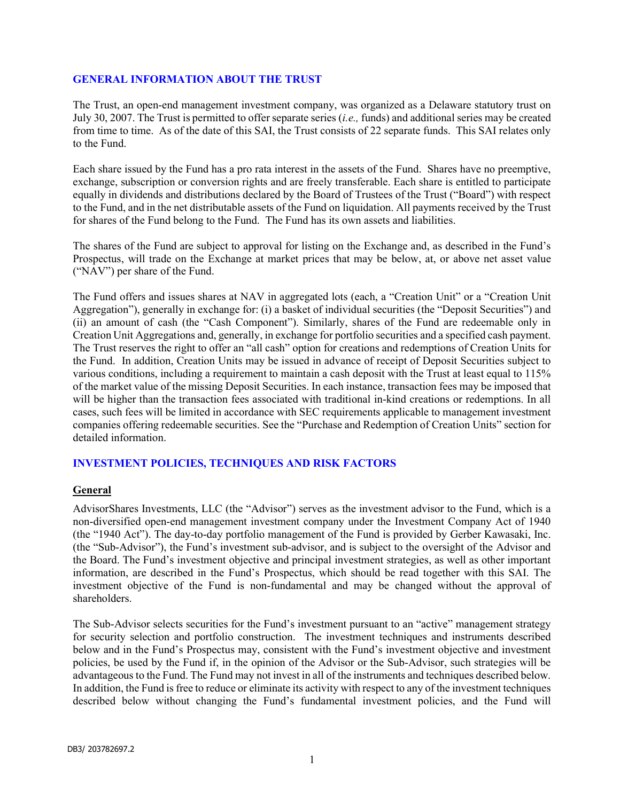#### GENERAL INFORMATION ABOUT THE TRUST

The Trust, an open-end management investment company, was organized as a Delaware statutory trust on July 30, 2007. The Trust is permitted to offer separate series (i.e., funds) and additional series may be created from time to time. As of the date of this SAI, the Trust consists of 22 separate funds. This SAI relates only to the Fund.

Each share issued by the Fund has a pro rata interest in the assets of the Fund. Shares have no preemptive, exchange, subscription or conversion rights and are freely transferable. Each share is entitled to participate equally in dividends and distributions declared by the Board of Trustees of the Trust ("Board") with respect to the Fund, and in the net distributable assets of the Fund on liquidation. All payments received by the Trust for shares of the Fund belong to the Fund. The Fund has its own assets and liabilities.

The shares of the Fund are subject to approval for listing on the Exchange and, as described in the Fund's Prospectus, will trade on the Exchange at market prices that may be below, at, or above net asset value ("NAV") per share of the Fund.

The Fund offers and issues shares at NAV in aggregated lots (each, a "Creation Unit" or a "Creation Unit Aggregation"), generally in exchange for: (i) a basket of individual securities (the "Deposit Securities") and (ii) an amount of cash (the "Cash Component"). Similarly, shares of the Fund are redeemable only in Creation Unit Aggregations and, generally, in exchange for portfolio securities and a specified cash payment. The Trust reserves the right to offer an "all cash" option for creations and redemptions of Creation Units for the Fund. In addition, Creation Units may be issued in advance of receipt of Deposit Securities subject to various conditions, including a requirement to maintain a cash deposit with the Trust at least equal to 115% of the market value of the missing Deposit Securities. In each instance, transaction fees may be imposed that will be higher than the transaction fees associated with traditional in-kind creations or redemptions. In all cases, such fees will be limited in accordance with SEC requirements applicable to management investment companies offering redeemable securities. See the "Purchase and Redemption of Creation Units" section for detailed information.

#### INVESTMENT POLICIES, TECHNIQUES AND RISK FACTORS

#### General

AdvisorShares Investments, LLC (the "Advisor") serves as the investment advisor to the Fund, which is a non-diversified open-end management investment company under the Investment Company Act of 1940 (the "1940 Act"). The day-to-day portfolio management of the Fund is provided by Gerber Kawasaki, Inc. (the "Sub-Advisor"), the Fund's investment sub-advisor, and is subject to the oversight of the Advisor and the Board. The Fund's investment objective and principal investment strategies, as well as other important information, are described in the Fund's Prospectus, which should be read together with this SAI. The investment objective of the Fund is non-fundamental and may be changed without the approval of shareholders.

The Sub-Advisor selects securities for the Fund's investment pursuant to an "active" management strategy for security selection and portfolio construction. The investment techniques and instruments described below and in the Fund's Prospectus may, consistent with the Fund's investment objective and investment policies, be used by the Fund if, in the opinion of the Advisor or the Sub-Advisor, such strategies will be advantageous to the Fund. The Fund may not invest in all of the instruments and techniques described below. In addition, the Fund is free to reduce or eliminate its activity with respect to any of the investment techniques described below without changing the Fund's fundamental investment policies, and the Fund will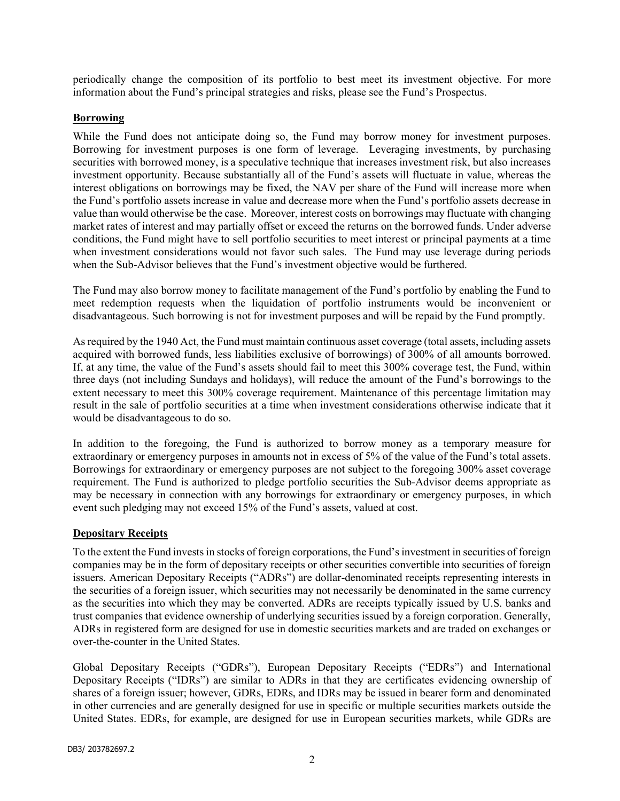periodically change the composition of its portfolio to best meet its investment objective. For more information about the Fund's principal strategies and risks, please see the Fund's Prospectus.

#### Borrowing

While the Fund does not anticipate doing so, the Fund may borrow money for investment purposes. Borrowing for investment purposes is one form of leverage. Leveraging investments, by purchasing securities with borrowed money, is a speculative technique that increases investment risk, but also increases investment opportunity. Because substantially all of the Fund's assets will fluctuate in value, whereas the interest obligations on borrowings may be fixed, the NAV per share of the Fund will increase more when the Fund's portfolio assets increase in value and decrease more when the Fund's portfolio assets decrease in value than would otherwise be the case. Moreover, interest costs on borrowings may fluctuate with changing market rates of interest and may partially offset or exceed the returns on the borrowed funds. Under adverse conditions, the Fund might have to sell portfolio securities to meet interest or principal payments at a time when investment considerations would not favor such sales. The Fund may use leverage during periods when the Sub-Advisor believes that the Fund's investment objective would be furthered.

The Fund may also borrow money to facilitate management of the Fund's portfolio by enabling the Fund to meet redemption requests when the liquidation of portfolio instruments would be inconvenient or disadvantageous. Such borrowing is not for investment purposes and will be repaid by the Fund promptly.

As required by the 1940 Act, the Fund must maintain continuous asset coverage (total assets, including assets acquired with borrowed funds, less liabilities exclusive of borrowings) of 300% of all amounts borrowed. If, at any time, the value of the Fund's assets should fail to meet this 300% coverage test, the Fund, within three days (not including Sundays and holidays), will reduce the amount of the Fund's borrowings to the extent necessary to meet this 300% coverage requirement. Maintenance of this percentage limitation may result in the sale of portfolio securities at a time when investment considerations otherwise indicate that it would be disadvantageous to do so.

In addition to the foregoing, the Fund is authorized to borrow money as a temporary measure for extraordinary or emergency purposes in amounts not in excess of 5% of the value of the Fund's total assets. Borrowings for extraordinary or emergency purposes are not subject to the foregoing 300% asset coverage requirement. The Fund is authorized to pledge portfolio securities the Sub-Advisor deems appropriate as may be necessary in connection with any borrowings for extraordinary or emergency purposes, in which event such pledging may not exceed 15% of the Fund's assets, valued at cost.

#### Depositary Receipts

To the extent the Fund invests in stocks of foreign corporations, the Fund's investment in securities of foreign companies may be in the form of depositary receipts or other securities convertible into securities of foreign issuers. American Depositary Receipts ("ADRs") are dollar-denominated receipts representing interests in the securities of a foreign issuer, which securities may not necessarily be denominated in the same currency as the securities into which they may be converted. ADRs are receipts typically issued by U.S. banks and trust companies that evidence ownership of underlying securities issued by a foreign corporation. Generally, ADRs in registered form are designed for use in domestic securities markets and are traded on exchanges or over-the-counter in the United States.

Global Depositary Receipts ("GDRs"), European Depositary Receipts ("EDRs") and International Depositary Receipts ("IDRs") are similar to ADRs in that they are certificates evidencing ownership of shares of a foreign issuer; however, GDRs, EDRs, and IDRs may be issued in bearer form and denominated in other currencies and are generally designed for use in specific or multiple securities markets outside the United States. EDRs, for example, are designed for use in European securities markets, while GDRs are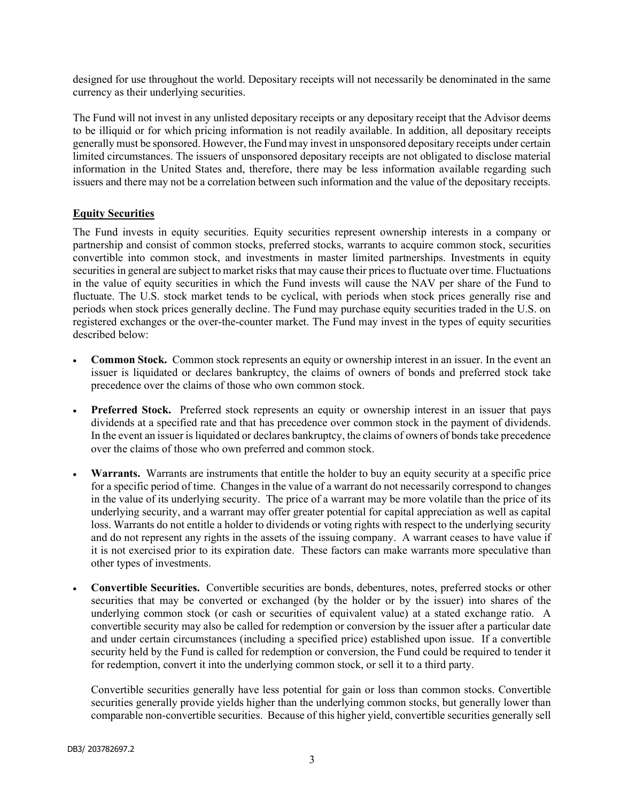designed for use throughout the world. Depositary receipts will not necessarily be denominated in the same currency as their underlying securities.

The Fund will not invest in any unlisted depositary receipts or any depositary receipt that the Advisor deems to be illiquid or for which pricing information is not readily available. In addition, all depositary receipts generally must be sponsored. However, the Fund may invest in unsponsored depositary receipts under certain limited circumstances. The issuers of unsponsored depositary receipts are not obligated to disclose material information in the United States and, therefore, there may be less information available regarding such issuers and there may not be a correlation between such information and the value of the depositary receipts.

#### Equity Securities

The Fund invests in equity securities. Equity securities represent ownership interests in a company or partnership and consist of common stocks, preferred stocks, warrants to acquire common stock, securities convertible into common stock, and investments in master limited partnerships. Investments in equity securities in general are subject to market risks that may cause their prices to fluctuate over time. Fluctuations in the value of equity securities in which the Fund invests will cause the NAV per share of the Fund to fluctuate. The U.S. stock market tends to be cyclical, with periods when stock prices generally rise and periods when stock prices generally decline. The Fund may purchase equity securities traded in the U.S. on registered exchanges or the over-the-counter market. The Fund may invest in the types of equity securities described below:

- Common Stock. Common stock represents an equity or ownership interest in an issuer. In the event an issuer is liquidated or declares bankruptcy, the claims of owners of bonds and preferred stock take precedence over the claims of those who own common stock.
- Preferred Stock. Preferred stock represents an equity or ownership interest in an issuer that pays dividends at a specified rate and that has precedence over common stock in the payment of dividends. In the event an issuer is liquidated or declares bankruptcy, the claims of owners of bonds take precedence over the claims of those who own preferred and common stock.
- Warrants. Warrants are instruments that entitle the holder to buy an equity security at a specific price for a specific period of time. Changes in the value of a warrant do not necessarily correspond to changes in the value of its underlying security. The price of a warrant may be more volatile than the price of its underlying security, and a warrant may offer greater potential for capital appreciation as well as capital loss. Warrants do not entitle a holder to dividends or voting rights with respect to the underlying security and do not represent any rights in the assets of the issuing company. A warrant ceases to have value if it is not exercised prior to its expiration date. These factors can make warrants more speculative than other types of investments.
- Convertible Securities. Convertible securities are bonds, debentures, notes, preferred stocks or other securities that may be converted or exchanged (by the holder or by the issuer) into shares of the underlying common stock (or cash or securities of equivalent value) at a stated exchange ratio. A convertible security may also be called for redemption or conversion by the issuer after a particular date and under certain circumstances (including a specified price) established upon issue. If a convertible security held by the Fund is called for redemption or conversion, the Fund could be required to tender it for redemption, convert it into the underlying common stock, or sell it to a third party.

Convertible securities generally have less potential for gain or loss than common stocks. Convertible securities generally provide yields higher than the underlying common stocks, but generally lower than comparable non-convertible securities. Because of this higher yield, convertible securities generally sell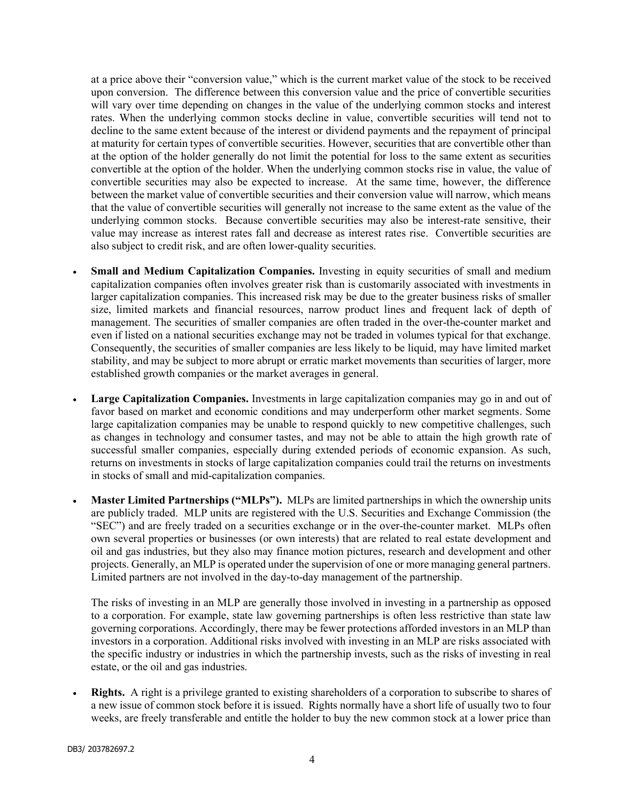at a price above their "conversion value," which is the current market value of the stock to be received upon conversion. The difference between this conversion value and the price of convertible securities will vary over time depending on changes in the value of the underlying common stocks and interest rates. When the underlying common stocks decline in value, convertible securities will tend not to decline to the same extent because of the interest or dividend payments and the repayment of principal at maturity for certain types of convertible securities. However, securities that are convertible other than at the option of the holder generally do not limit the potential for loss to the same extent as securities convertible at the option of the holder. When the underlying common stocks rise in value, the value of convertible securities may also be expected to increase. At the same time, however, the difference between the market value of convertible securities and their conversion value will narrow, which means that the value of convertible securities will generally not increase to the same extent as the value of the underlying common stocks. Because convertible securities may also be interest-rate sensitive, their value may increase as interest rates fall and decrease as interest rates rise. Convertible securities are also subject to credit risk, and are often lower-quality securities.

- Small and Medium Capitalization Companies. Investing in equity securities of small and medium capitalization companies often involves greater risk than is customarily associated with investments in larger capitalization companies. This increased risk may be due to the greater business risks of smaller size, limited markets and financial resources, narrow product lines and frequent lack of depth of management. The securities of smaller companies are often traded in the over-the-counter market and even if listed on a national securities exchange may not be traded in volumes typical for that exchange. Consequently, the securities of smaller companies are less likely to be liquid, may have limited market stability, and may be subject to more abrupt or erratic market movements than securities of larger, more established growth companies or the market averages in general.
- Large Capitalization Companies. Investments in large capitalization companies may go in and out of favor based on market and economic conditions and may underperform other market segments. Some large capitalization companies may be unable to respond quickly to new competitive challenges, such as changes in technology and consumer tastes, and may not be able to attain the high growth rate of successful smaller companies, especially during extended periods of economic expansion. As such, returns on investments in stocks of large capitalization companies could trail the returns on investments in stocks of small and mid-capitalization companies.
- Master Limited Partnerships ("MLPs"). MLPs are limited partnerships in which the ownership units are publicly traded. MLP units are registered with the U.S. Securities and Exchange Commission (the "SEC") and are freely traded on a securities exchange or in the over-the-counter market. MLPs often own several properties or businesses (or own interests) that are related to real estate development and oil and gas industries, but they also may finance motion pictures, research and development and other projects. Generally, an MLP is operated under the supervision of one or more managing general partners. Limited partners are not involved in the day-to-day management of the partnership.

The risks of investing in an MLP are generally those involved in investing in a partnership as opposed to a corporation. For example, state law governing partnerships is often less restrictive than state law governing corporations. Accordingly, there may be fewer protections afforded investors in an MLP than investors in a corporation. Additional risks involved with investing in an MLP are risks associated with the specific industry or industries in which the partnership invests, such as the risks of investing in real estate, or the oil and gas industries.

 Rights. A right is a privilege granted to existing shareholders of a corporation to subscribe to shares of a new issue of common stock before it is issued. Rights normally have a short life of usually two to four weeks, are freely transferable and entitle the holder to buy the new common stock at a lower price than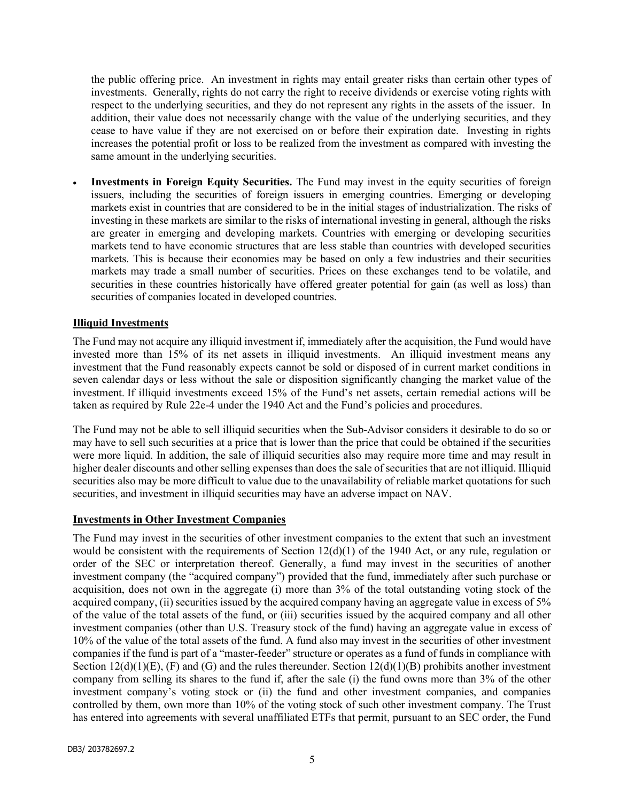the public offering price. An investment in rights may entail greater risks than certain other types of investments. Generally, rights do not carry the right to receive dividends or exercise voting rights with respect to the underlying securities, and they do not represent any rights in the assets of the issuer. In addition, their value does not necessarily change with the value of the underlying securities, and they cease to have value if they are not exercised on or before their expiration date. Investing in rights increases the potential profit or loss to be realized from the investment as compared with investing the same amount in the underlying securities.

 Investments in Foreign Equity Securities. The Fund may invest in the equity securities of foreign issuers, including the securities of foreign issuers in emerging countries. Emerging or developing markets exist in countries that are considered to be in the initial stages of industrialization. The risks of investing in these markets are similar to the risks of international investing in general, although the risks are greater in emerging and developing markets. Countries with emerging or developing securities markets tend to have economic structures that are less stable than countries with developed securities markets. This is because their economies may be based on only a few industries and their securities markets may trade a small number of securities. Prices on these exchanges tend to be volatile, and securities in these countries historically have offered greater potential for gain (as well as loss) than securities of companies located in developed countries.

## Illiquid Investments

The Fund may not acquire any illiquid investment if, immediately after the acquisition, the Fund would have invested more than 15% of its net assets in illiquid investments. An illiquid investment means any investment that the Fund reasonably expects cannot be sold or disposed of in current market conditions in seven calendar days or less without the sale or disposition significantly changing the market value of the investment. If illiquid investments exceed 15% of the Fund's net assets, certain remedial actions will be taken as required by Rule 22e-4 under the 1940 Act and the Fund's policies and procedures.

The Fund may not be able to sell illiquid securities when the Sub-Advisor considers it desirable to do so or may have to sell such securities at a price that is lower than the price that could be obtained if the securities were more liquid. In addition, the sale of illiquid securities also may require more time and may result in higher dealer discounts and other selling expenses than does the sale of securities that are not illiquid. Illiquid securities also may be more difficult to value due to the unavailability of reliable market quotations for such securities, and investment in illiquid securities may have an adverse impact on NAV.

#### Investments in Other Investment Companies

The Fund may invest in the securities of other investment companies to the extent that such an investment would be consistent with the requirements of Section 12(d)(1) of the 1940 Act, or any rule, regulation or order of the SEC or interpretation thereof. Generally, a fund may invest in the securities of another investment company (the "acquired company") provided that the fund, immediately after such purchase or acquisition, does not own in the aggregate (i) more than 3% of the total outstanding voting stock of the acquired company, (ii) securities issued by the acquired company having an aggregate value in excess of 5% of the value of the total assets of the fund, or (iii) securities issued by the acquired company and all other investment companies (other than U.S. Treasury stock of the fund) having an aggregate value in excess of 10% of the value of the total assets of the fund. A fund also may invest in the securities of other investment companies if the fund is part of a "master-feeder" structure or operates as a fund of funds in compliance with Section  $12(d)(1)(E)$ , (F) and (G) and the rules thereunder. Section  $12(d)(1)(B)$  prohibits another investment company from selling its shares to the fund if, after the sale (i) the fund owns more than 3% of the other investment company's voting stock or (ii) the fund and other investment companies, and companies controlled by them, own more than 10% of the voting stock of such other investment company. The Trust has entered into agreements with several unaffiliated ETFs that permit, pursuant to an SEC order, the Fund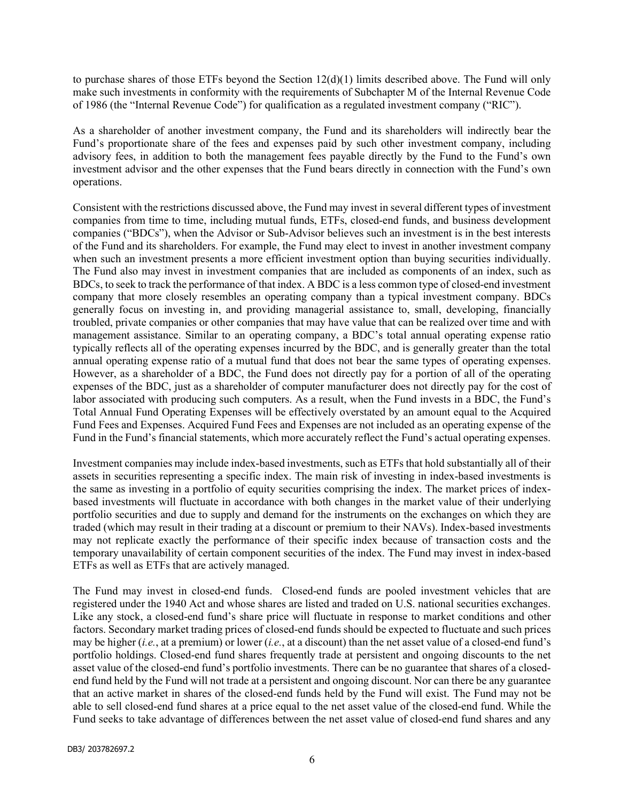to purchase shares of those ETFs beyond the Section  $12(d)(1)$  limits described above. The Fund will only make such investments in conformity with the requirements of Subchapter M of the Internal Revenue Code of 1986 (the "Internal Revenue Code") for qualification as a regulated investment company ("RIC").

As a shareholder of another investment company, the Fund and its shareholders will indirectly bear the Fund's proportionate share of the fees and expenses paid by such other investment company, including advisory fees, in addition to both the management fees payable directly by the Fund to the Fund's own investment advisor and the other expenses that the Fund bears directly in connection with the Fund's own operations.

Consistent with the restrictions discussed above, the Fund may invest in several different types of investment companies from time to time, including mutual funds, ETFs, closed-end funds, and business development companies ("BDCs"), when the Advisor or Sub-Advisor believes such an investment is in the best interests of the Fund and its shareholders. For example, the Fund may elect to invest in another investment company when such an investment presents a more efficient investment option than buying securities individually. The Fund also may invest in investment companies that are included as components of an index, such as BDCs, to seek to track the performance of that index. A BDC is a less common type of closed-end investment company that more closely resembles an operating company than a typical investment company. BDCs generally focus on investing in, and providing managerial assistance to, small, developing, financially troubled, private companies or other companies that may have value that can be realized over time and with management assistance. Similar to an operating company, a BDC's total annual operating expense ratio typically reflects all of the operating expenses incurred by the BDC, and is generally greater than the total annual operating expense ratio of a mutual fund that does not bear the same types of operating expenses. However, as a shareholder of a BDC, the Fund does not directly pay for a portion of all of the operating expenses of the BDC, just as a shareholder of computer manufacturer does not directly pay for the cost of labor associated with producing such computers. As a result, when the Fund invests in a BDC, the Fund's Total Annual Fund Operating Expenses will be effectively overstated by an amount equal to the Acquired Fund Fees and Expenses. Acquired Fund Fees and Expenses are not included as an operating expense of the Fund in the Fund's financial statements, which more accurately reflect the Fund's actual operating expenses.

Investment companies may include index-based investments, such as ETFs that hold substantially all of their assets in securities representing a specific index. The main risk of investing in index-based investments is the same as investing in a portfolio of equity securities comprising the index. The market prices of indexbased investments will fluctuate in accordance with both changes in the market value of their underlying portfolio securities and due to supply and demand for the instruments on the exchanges on which they are traded (which may result in their trading at a discount or premium to their NAVs). Index-based investments may not replicate exactly the performance of their specific index because of transaction costs and the temporary unavailability of certain component securities of the index. The Fund may invest in index-based ETFs as well as ETFs that are actively managed.

The Fund may invest in closed-end funds. Closed-end funds are pooled investment vehicles that are registered under the 1940 Act and whose shares are listed and traded on U.S. national securities exchanges. Like any stock, a closed-end fund's share price will fluctuate in response to market conditions and other factors. Secondary market trading prices of closed-end funds should be expected to fluctuate and such prices may be higher (i.e., at a premium) or lower (i.e., at a discount) than the net asset value of a closed-end fund's portfolio holdings. Closed-end fund shares frequently trade at persistent and ongoing discounts to the net asset value of the closed-end fund's portfolio investments. There can be no guarantee that shares of a closedend fund held by the Fund will not trade at a persistent and ongoing discount. Nor can there be any guarantee that an active market in shares of the closed-end funds held by the Fund will exist. The Fund may not be able to sell closed-end fund shares at a price equal to the net asset value of the closed-end fund. While the Fund seeks to take advantage of differences between the net asset value of closed-end fund shares and any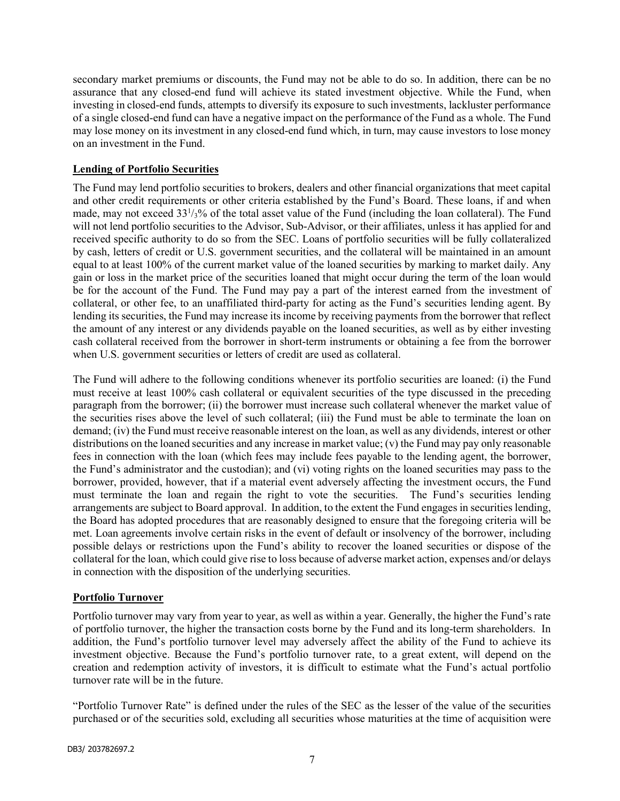secondary market premiums or discounts, the Fund may not be able to do so. In addition, there can be no assurance that any closed-end fund will achieve its stated investment objective. While the Fund, when investing in closed-end funds, attempts to diversify its exposure to such investments, lackluster performance of a single closed-end fund can have a negative impact on the performance of the Fund as a whole. The Fund may lose money on its investment in any closed-end fund which, in turn, may cause investors to lose money on an investment in the Fund.

## Lending of Portfolio Securities

The Fund may lend portfolio securities to brokers, dealers and other financial organizations that meet capital and other credit requirements or other criteria established by the Fund's Board. These loans, if and when made, may not exceed 33<sup>1</sup>/<sub>3</sub>% of the total asset value of the Fund (including the loan collateral). The Fund will not lend portfolio securities to the Advisor, Sub-Advisor, or their affiliates, unless it has applied for and received specific authority to do so from the SEC. Loans of portfolio securities will be fully collateralized by cash, letters of credit or U.S. government securities, and the collateral will be maintained in an amount equal to at least 100% of the current market value of the loaned securities by marking to market daily. Any gain or loss in the market price of the securities loaned that might occur during the term of the loan would be for the account of the Fund. The Fund may pay a part of the interest earned from the investment of collateral, or other fee, to an unaffiliated third-party for acting as the Fund's securities lending agent. By lending its securities, the Fund may increase its income by receiving payments from the borrower that reflect the amount of any interest or any dividends payable on the loaned securities, as well as by either investing cash collateral received from the borrower in short-term instruments or obtaining a fee from the borrower when U.S. government securities or letters of credit are used as collateral.

The Fund will adhere to the following conditions whenever its portfolio securities are loaned: (i) the Fund must receive at least 100% cash collateral or equivalent securities of the type discussed in the preceding paragraph from the borrower; (ii) the borrower must increase such collateral whenever the market value of the securities rises above the level of such collateral; (iii) the Fund must be able to terminate the loan on demand; (iv) the Fund must receive reasonable interest on the loan, as well as any dividends, interest or other distributions on the loaned securities and any increase in market value; (v) the Fund may pay only reasonable fees in connection with the loan (which fees may include fees payable to the lending agent, the borrower, the Fund's administrator and the custodian); and (vi) voting rights on the loaned securities may pass to the borrower, provided, however, that if a material event adversely affecting the investment occurs, the Fund must terminate the loan and regain the right to vote the securities. The Fund's securities lending arrangements are subject to Board approval. In addition, to the extent the Fund engages in securities lending, the Board has adopted procedures that are reasonably designed to ensure that the foregoing criteria will be met. Loan agreements involve certain risks in the event of default or insolvency of the borrower, including possible delays or restrictions upon the Fund's ability to recover the loaned securities or dispose of the collateral for the loan, which could give rise to loss because of adverse market action, expenses and/or delays in connection with the disposition of the underlying securities.

#### Portfolio Turnover

Portfolio turnover may vary from year to year, as well as within a year. Generally, the higher the Fund's rate of portfolio turnover, the higher the transaction costs borne by the Fund and its long-term shareholders. In addition, the Fund's portfolio turnover level may adversely affect the ability of the Fund to achieve its investment objective. Because the Fund's portfolio turnover rate, to a great extent, will depend on the creation and redemption activity of investors, it is difficult to estimate what the Fund's actual portfolio turnover rate will be in the future.

"Portfolio Turnover Rate" is defined under the rules of the SEC as the lesser of the value of the securities purchased or of the securities sold, excluding all securities whose maturities at the time of acquisition were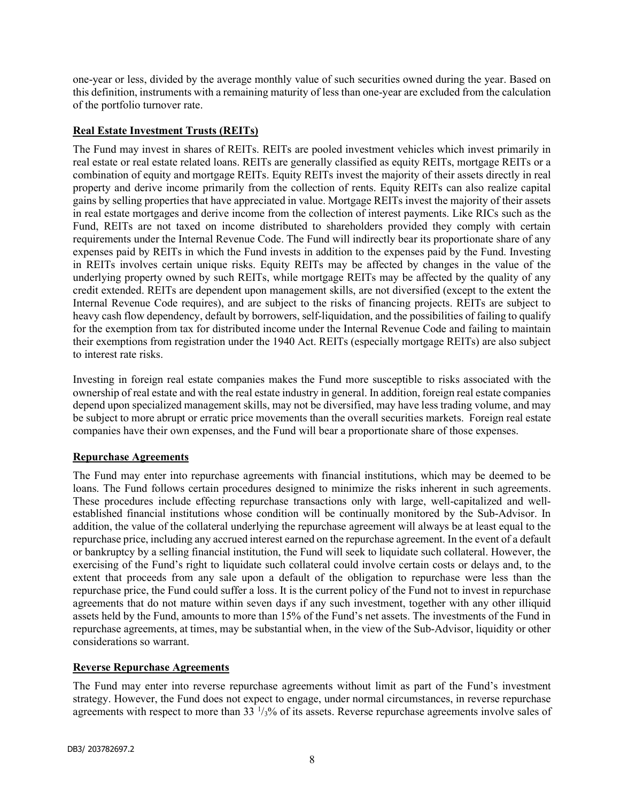one-year or less, divided by the average monthly value of such securities owned during the year. Based on this definition, instruments with a remaining maturity of less than one-year are excluded from the calculation of the portfolio turnover rate.

# Real Estate Investment Trusts (REITs)

The Fund may invest in shares of REITs. REITs are pooled investment vehicles which invest primarily in real estate or real estate related loans. REITs are generally classified as equity REITs, mortgage REITs or a combination of equity and mortgage REITs. Equity REITs invest the majority of their assets directly in real property and derive income primarily from the collection of rents. Equity REITs can also realize capital gains by selling properties that have appreciated in value. Mortgage REITs invest the majority of their assets in real estate mortgages and derive income from the collection of interest payments. Like RICs such as the Fund, REITs are not taxed on income distributed to shareholders provided they comply with certain requirements under the Internal Revenue Code. The Fund will indirectly bear its proportionate share of any expenses paid by REITs in which the Fund invests in addition to the expenses paid by the Fund. Investing in REITs involves certain unique risks. Equity REITs may be affected by changes in the value of the underlying property owned by such REITs, while mortgage REITs may be affected by the quality of any credit extended. REITs are dependent upon management skills, are not diversified (except to the extent the Internal Revenue Code requires), and are subject to the risks of financing projects. REITs are subject to heavy cash flow dependency, default by borrowers, self-liquidation, and the possibilities of failing to qualify for the exemption from tax for distributed income under the Internal Revenue Code and failing to maintain their exemptions from registration under the 1940 Act. REITs (especially mortgage REITs) are also subject to interest rate risks.

Investing in foreign real estate companies makes the Fund more susceptible to risks associated with the ownership of real estate and with the real estate industry in general. In addition, foreign real estate companies depend upon specialized management skills, may not be diversified, may have less trading volume, and may be subject to more abrupt or erratic price movements than the overall securities markets. Foreign real estate companies have their own expenses, and the Fund will bear a proportionate share of those expenses.

#### Repurchase Agreements

The Fund may enter into repurchase agreements with financial institutions, which may be deemed to be loans. The Fund follows certain procedures designed to minimize the risks inherent in such agreements. These procedures include effecting repurchase transactions only with large, well-capitalized and wellestablished financial institutions whose condition will be continually monitored by the Sub-Advisor. In addition, the value of the collateral underlying the repurchase agreement will always be at least equal to the repurchase price, including any accrued interest earned on the repurchase agreement. In the event of a default or bankruptcy by a selling financial institution, the Fund will seek to liquidate such collateral. However, the exercising of the Fund's right to liquidate such collateral could involve certain costs or delays and, to the extent that proceeds from any sale upon a default of the obligation to repurchase were less than the repurchase price, the Fund could suffer a loss. It is the current policy of the Fund not to invest in repurchase agreements that do not mature within seven days if any such investment, together with any other illiquid assets held by the Fund, amounts to more than 15% of the Fund's net assets. The investments of the Fund in repurchase agreements, at times, may be substantial when, in the view of the Sub-Advisor, liquidity or other considerations so warrant.

#### Reverse Repurchase Agreements

The Fund may enter into reverse repurchase agreements without limit as part of the Fund's investment strategy. However, the Fund does not expect to engage, under normal circumstances, in reverse repurchase agreements with respect to more than  $33 \frac{1}{3}\%$  of its assets. Reverse repurchase agreements involve sales of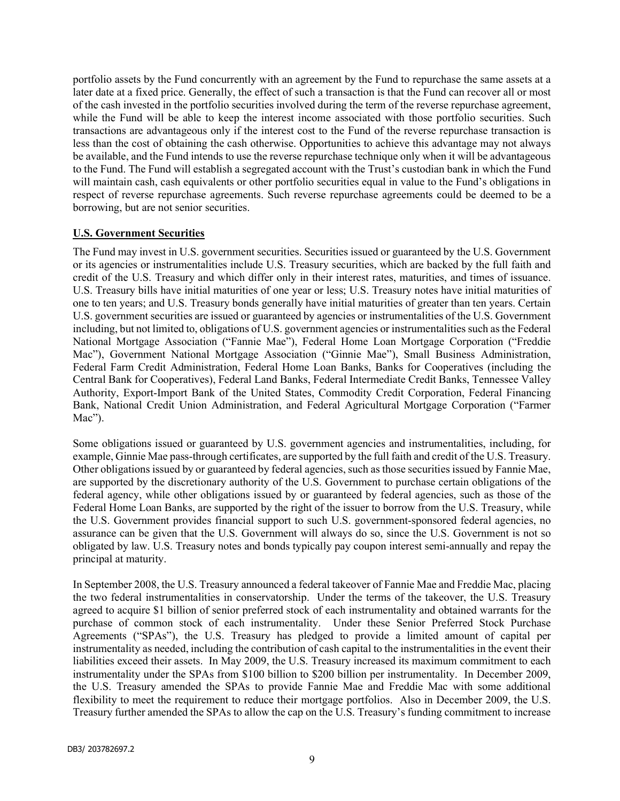portfolio assets by the Fund concurrently with an agreement by the Fund to repurchase the same assets at a later date at a fixed price. Generally, the effect of such a transaction is that the Fund can recover all or most of the cash invested in the portfolio securities involved during the term of the reverse repurchase agreement, while the Fund will be able to keep the interest income associated with those portfolio securities. Such transactions are advantageous only if the interest cost to the Fund of the reverse repurchase transaction is less than the cost of obtaining the cash otherwise. Opportunities to achieve this advantage may not always be available, and the Fund intends to use the reverse repurchase technique only when it will be advantageous to the Fund. The Fund will establish a segregated account with the Trust's custodian bank in which the Fund will maintain cash, cash equivalents or other portfolio securities equal in value to the Fund's obligations in respect of reverse repurchase agreements. Such reverse repurchase agreements could be deemed to be a borrowing, but are not senior securities.

#### U.S. Government Securities

The Fund may invest in U.S. government securities. Securities issued or guaranteed by the U.S. Government or its agencies or instrumentalities include U.S. Treasury securities, which are backed by the full faith and credit of the U.S. Treasury and which differ only in their interest rates, maturities, and times of issuance. U.S. Treasury bills have initial maturities of one year or less; U.S. Treasury notes have initial maturities of one to ten years; and U.S. Treasury bonds generally have initial maturities of greater than ten years. Certain U.S. government securities are issued or guaranteed by agencies or instrumentalities of the U.S. Government including, but not limited to, obligations of U.S. government agencies or instrumentalities such as the Federal National Mortgage Association ("Fannie Mae"), Federal Home Loan Mortgage Corporation ("Freddie Mac"), Government National Mortgage Association ("Ginnie Mae"), Small Business Administration, Federal Farm Credit Administration, Federal Home Loan Banks, Banks for Cooperatives (including the Central Bank for Cooperatives), Federal Land Banks, Federal Intermediate Credit Banks, Tennessee Valley Authority, Export-Import Bank of the United States, Commodity Credit Corporation, Federal Financing Bank, National Credit Union Administration, and Federal Agricultural Mortgage Corporation ("Farmer Mac").

Some obligations issued or guaranteed by U.S. government agencies and instrumentalities, including, for example, Ginnie Mae pass-through certificates, are supported by the full faith and credit of the U.S. Treasury. Other obligations issued by or guaranteed by federal agencies, such as those securities issued by Fannie Mae, are supported by the discretionary authority of the U.S. Government to purchase certain obligations of the federal agency, while other obligations issued by or guaranteed by federal agencies, such as those of the Federal Home Loan Banks, are supported by the right of the issuer to borrow from the U.S. Treasury, while the U.S. Government provides financial support to such U.S. government-sponsored federal agencies, no assurance can be given that the U.S. Government will always do so, since the U.S. Government is not so obligated by law. U.S. Treasury notes and bonds typically pay coupon interest semi-annually and repay the principal at maturity.

In September 2008, the U.S. Treasury announced a federal takeover of Fannie Mae and Freddie Mac, placing the two federal instrumentalities in conservatorship. Under the terms of the takeover, the U.S. Treasury agreed to acquire \$1 billion of senior preferred stock of each instrumentality and obtained warrants for the purchase of common stock of each instrumentality. Under these Senior Preferred Stock Purchase Agreements ("SPAs"), the U.S. Treasury has pledged to provide a limited amount of capital per instrumentality as needed, including the contribution of cash capital to the instrumentalities in the event their liabilities exceed their assets. In May 2009, the U.S. Treasury increased its maximum commitment to each instrumentality under the SPAs from \$100 billion to \$200 billion per instrumentality. In December 2009, the U.S. Treasury amended the SPAs to provide Fannie Mae and Freddie Mac with some additional flexibility to meet the requirement to reduce their mortgage portfolios. Also in December 2009, the U.S. Treasury further amended the SPAs to allow the cap on the U.S. Treasury's funding commitment to increase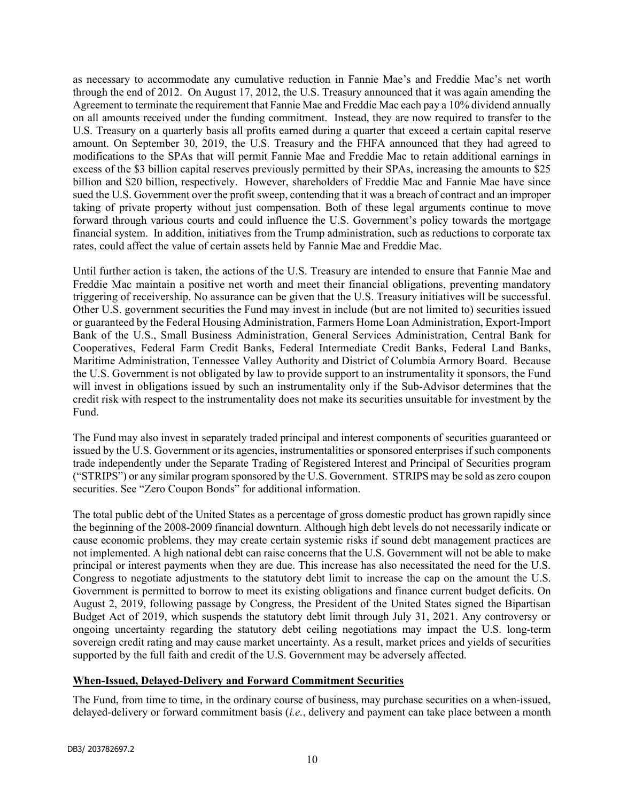as necessary to accommodate any cumulative reduction in Fannie Mae's and Freddie Mac's net worth through the end of 2012. On August 17, 2012, the U.S. Treasury announced that it was again amending the Agreement to terminate the requirement that Fannie Mae and Freddie Mac each pay a 10% dividend annually on all amounts received under the funding commitment. Instead, they are now required to transfer to the U.S. Treasury on a quarterly basis all profits earned during a quarter that exceed a certain capital reserve amount. On September 30, 2019, the U.S. Treasury and the FHFA announced that they had agreed to modifications to the SPAs that will permit Fannie Mae and Freddie Mac to retain additional earnings in excess of the \$3 billion capital reserves previously permitted by their SPAs, increasing the amounts to \$25 billion and \$20 billion, respectively. However, shareholders of Freddie Mac and Fannie Mae have since sued the U.S. Government over the profit sweep, contending that it was a breach of contract and an improper taking of private property without just compensation. Both of these legal arguments continue to move forward through various courts and could influence the U.S. Government's policy towards the mortgage financial system. In addition, initiatives from the Trump administration, such as reductions to corporate tax rates, could affect the value of certain assets held by Fannie Mae and Freddie Mac.

Until further action is taken, the actions of the U.S. Treasury are intended to ensure that Fannie Mae and Freddie Mac maintain a positive net worth and meet their financial obligations, preventing mandatory triggering of receivership. No assurance can be given that the U.S. Treasury initiatives will be successful. Other U.S. government securities the Fund may invest in include (but are not limited to) securities issued or guaranteed by the Federal Housing Administration, Farmers Home Loan Administration, Export-Import Bank of the U.S., Small Business Administration, General Services Administration, Central Bank for Cooperatives, Federal Farm Credit Banks, Federal Intermediate Credit Banks, Federal Land Banks, Maritime Administration, Tennessee Valley Authority and District of Columbia Armory Board. Because the U.S. Government is not obligated by law to provide support to an instrumentality it sponsors, the Fund will invest in obligations issued by such an instrumentality only if the Sub-Advisor determines that the credit risk with respect to the instrumentality does not make its securities unsuitable for investment by the Fund.

The Fund may also invest in separately traded principal and interest components of securities guaranteed or issued by the U.S. Government or its agencies, instrumentalities or sponsored enterprises if such components trade independently under the Separate Trading of Registered Interest and Principal of Securities program ("STRIPS") or any similar program sponsored by the U.S. Government. STRIPS may be sold as zero coupon securities. See "Zero Coupon Bonds" for additional information.

The total public debt of the United States as a percentage of gross domestic product has grown rapidly since the beginning of the 2008‑2009 financial downturn. Although high debt levels do not necessarily indicate or cause economic problems, they may create certain systemic risks if sound debt management practices are not implemented. A high national debt can raise concerns that the U.S. Government will not be able to make principal or interest payments when they are due. This increase has also necessitated the need for the U.S. Congress to negotiate adjustments to the statutory debt limit to increase the cap on the amount the U.S. Government is permitted to borrow to meet its existing obligations and finance current budget deficits. On August 2, 2019, following passage by Congress, the President of the United States signed the Bipartisan Budget Act of 2019, which suspends the statutory debt limit through July 31, 2021. Any controversy or ongoing uncertainty regarding the statutory debt ceiling negotiations may impact the U.S. long-term sovereign credit rating and may cause market uncertainty. As a result, market prices and yields of securities supported by the full faith and credit of the U.S. Government may be adversely affected.

#### When-Issued, Delayed-Delivery and Forward Commitment Securities

The Fund, from time to time, in the ordinary course of business, may purchase securities on a when-issued, delayed-delivery or forward commitment basis (*i.e.*, delivery and payment can take place between a month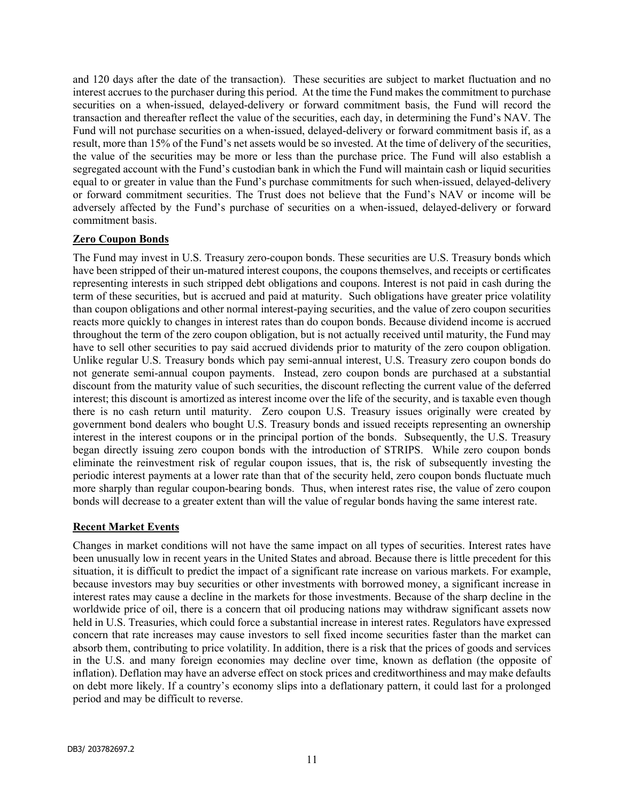and 120 days after the date of the transaction). These securities are subject to market fluctuation and no interest accrues to the purchaser during this period. At the time the Fund makes the commitment to purchase securities on a when-issued, delayed-delivery or forward commitment basis, the Fund will record the transaction and thereafter reflect the value of the securities, each day, in determining the Fund's NAV. The Fund will not purchase securities on a when-issued, delayed-delivery or forward commitment basis if, as a result, more than 15% of the Fund's net assets would be so invested. At the time of delivery of the securities, the value of the securities may be more or less than the purchase price. The Fund will also establish a segregated account with the Fund's custodian bank in which the Fund will maintain cash or liquid securities equal to or greater in value than the Fund's purchase commitments for such when-issued, delayed-delivery or forward commitment securities. The Trust does not believe that the Fund's NAV or income will be adversely affected by the Fund's purchase of securities on a when-issued, delayed-delivery or forward commitment basis.

#### Zero Coupon Bonds

The Fund may invest in U.S. Treasury zero-coupon bonds. These securities are U.S. Treasury bonds which have been stripped of their un-matured interest coupons, the coupons themselves, and receipts or certificates representing interests in such stripped debt obligations and coupons. Interest is not paid in cash during the term of these securities, but is accrued and paid at maturity. Such obligations have greater price volatility than coupon obligations and other normal interest-paying securities, and the value of zero coupon securities reacts more quickly to changes in interest rates than do coupon bonds. Because dividend income is accrued throughout the term of the zero coupon obligation, but is not actually received until maturity, the Fund may have to sell other securities to pay said accrued dividends prior to maturity of the zero coupon obligation. Unlike regular U.S. Treasury bonds which pay semi-annual interest, U.S. Treasury zero coupon bonds do not generate semi-annual coupon payments. Instead, zero coupon bonds are purchased at a substantial discount from the maturity value of such securities, the discount reflecting the current value of the deferred interest; this discount is amortized as interest income over the life of the security, and is taxable even though there is no cash return until maturity. Zero coupon U.S. Treasury issues originally were created by government bond dealers who bought U.S. Treasury bonds and issued receipts representing an ownership interest in the interest coupons or in the principal portion of the bonds. Subsequently, the U.S. Treasury began directly issuing zero coupon bonds with the introduction of STRIPS. While zero coupon bonds eliminate the reinvestment risk of regular coupon issues, that is, the risk of subsequently investing the periodic interest payments at a lower rate than that of the security held, zero coupon bonds fluctuate much more sharply than regular coupon-bearing bonds. Thus, when interest rates rise, the value of zero coupon bonds will decrease to a greater extent than will the value of regular bonds having the same interest rate.

#### Recent Market Events

Changes in market conditions will not have the same impact on all types of securities. Interest rates have been unusually low in recent years in the United States and abroad. Because there is little precedent for this situation, it is difficult to predict the impact of a significant rate increase on various markets. For example, because investors may buy securities or other investments with borrowed money, a significant increase in interest rates may cause a decline in the markets for those investments. Because of the sharp decline in the worldwide price of oil, there is a concern that oil producing nations may withdraw significant assets now held in U.S. Treasuries, which could force a substantial increase in interest rates. Regulators have expressed concern that rate increases may cause investors to sell fixed income securities faster than the market can absorb them, contributing to price volatility. In addition, there is a risk that the prices of goods and services in the U.S. and many foreign economies may decline over time, known as deflation (the opposite of inflation). Deflation may have an adverse effect on stock prices and creditworthiness and may make defaults on debt more likely. If a country's economy slips into a deflationary pattern, it could last for a prolonged period and may be difficult to reverse.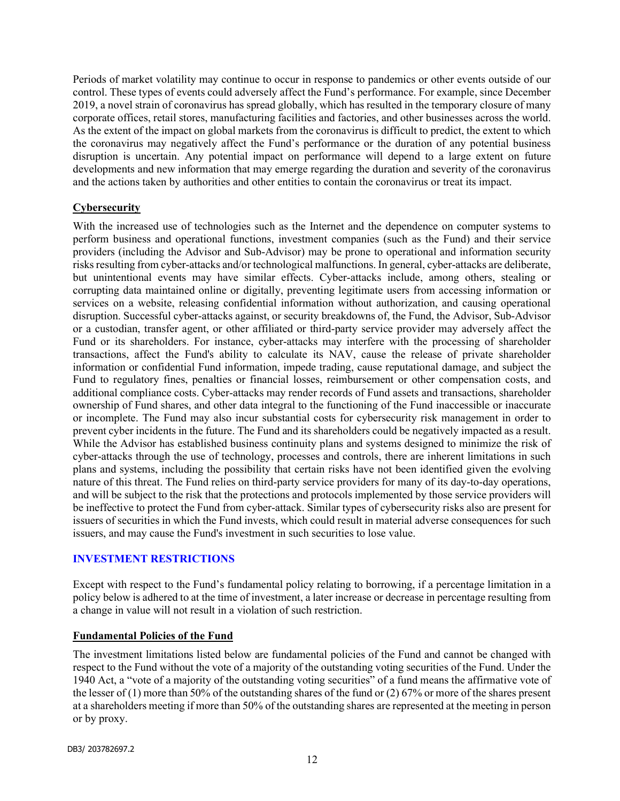Periods of market volatility may continue to occur in response to pandemics or other events outside of our control. These types of events could adversely affect the Fund's performance. For example, since December 2019, a novel strain of coronavirus has spread globally, which has resulted in the temporary closure of many corporate offices, retail stores, manufacturing facilities and factories, and other businesses across the world. As the extent of the impact on global markets from the coronavirus is difficult to predict, the extent to which the coronavirus may negatively affect the Fund's performance or the duration of any potential business disruption is uncertain. Any potential impact on performance will depend to a large extent on future developments and new information that may emerge regarding the duration and severity of the coronavirus and the actions taken by authorities and other entities to contain the coronavirus or treat its impact.

## **Cybersecurity**

With the increased use of technologies such as the Internet and the dependence on computer systems to perform business and operational functions, investment companies (such as the Fund) and their service providers (including the Advisor and Sub-Advisor) may be prone to operational and information security risks resulting from cyber-attacks and/or technological malfunctions. In general, cyber-attacks are deliberate, but unintentional events may have similar effects. Cyber-attacks include, among others, stealing or corrupting data maintained online or digitally, preventing legitimate users from accessing information or services on a website, releasing confidential information without authorization, and causing operational disruption. Successful cyber-attacks against, or security breakdowns of, the Fund, the Advisor, Sub-Advisor or a custodian, transfer agent, or other affiliated or third-party service provider may adversely affect the Fund or its shareholders. For instance, cyber-attacks may interfere with the processing of shareholder transactions, affect the Fund's ability to calculate its NAV, cause the release of private shareholder information or confidential Fund information, impede trading, cause reputational damage, and subject the Fund to regulatory fines, penalties or financial losses, reimbursement or other compensation costs, and additional compliance costs. Cyber-attacks may render records of Fund assets and transactions, shareholder ownership of Fund shares, and other data integral to the functioning of the Fund inaccessible or inaccurate or incomplete. The Fund may also incur substantial costs for cybersecurity risk management in order to prevent cyber incidents in the future. The Fund and its shareholders could be negatively impacted as a result. While the Advisor has established business continuity plans and systems designed to minimize the risk of cyber-attacks through the use of technology, processes and controls, there are inherent limitations in such plans and systems, including the possibility that certain risks have not been identified given the evolving nature of this threat. The Fund relies on third-party service providers for many of its day-to-day operations, and will be subject to the risk that the protections and protocols implemented by those service providers will be ineffective to protect the Fund from cyber-attack. Similar types of cybersecurity risks also are present for issuers of securities in which the Fund invests, which could result in material adverse consequences for such issuers, and may cause the Fund's investment in such securities to lose value.

#### INVESTMENT RESTRICTIONS

Except with respect to the Fund's fundamental policy relating to borrowing, if a percentage limitation in a policy below is adhered to at the time of investment, a later increase or decrease in percentage resulting from a change in value will not result in a violation of such restriction.

#### Fundamental Policies of the Fund

The investment limitations listed below are fundamental policies of the Fund and cannot be changed with respect to the Fund without the vote of a majority of the outstanding voting securities of the Fund. Under the 1940 Act, a "vote of a majority of the outstanding voting securities" of a fund means the affirmative vote of the lesser of (1) more than 50% of the outstanding shares of the fund or (2) 67% or more of the shares present at a shareholders meeting if more than 50% of the outstanding shares are represented at the meeting in person or by proxy.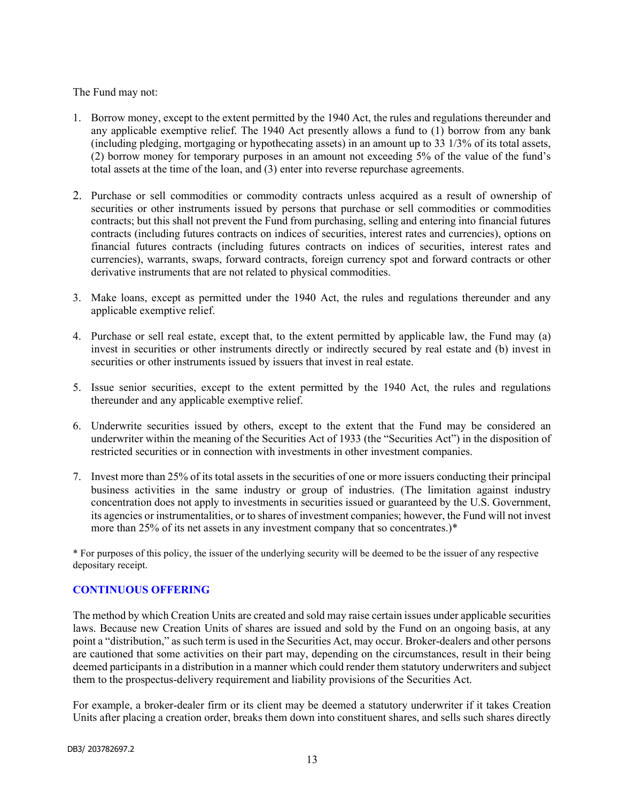The Fund may not:

- 1. Borrow money, except to the extent permitted by the 1940 Act, the rules and regulations thereunder and any applicable exemptive relief. The 1940 Act presently allows a fund to (1) borrow from any bank (including pledging, mortgaging or hypothecating assets) in an amount up to 33 1/3% of its total assets, (2) borrow money for temporary purposes in an amount not exceeding 5% of the value of the fund's total assets at the time of the loan, and (3) enter into reverse repurchase agreements.
- 2. Purchase or sell commodities or commodity contracts unless acquired as a result of ownership of securities or other instruments issued by persons that purchase or sell commodities or commodities contracts; but this shall not prevent the Fund from purchasing, selling and entering into financial futures contracts (including futures contracts on indices of securities, interest rates and currencies), options on financial futures contracts (including futures contracts on indices of securities, interest rates and currencies), warrants, swaps, forward contracts, foreign currency spot and forward contracts or other derivative instruments that are not related to physical commodities.
- 3. Make loans, except as permitted under the 1940 Act, the rules and regulations thereunder and any applicable exemptive relief.
- 4. Purchase or sell real estate, except that, to the extent permitted by applicable law, the Fund may (a) invest in securities or other instruments directly or indirectly secured by real estate and (b) invest in securities or other instruments issued by issuers that invest in real estate.
- 5. Issue senior securities, except to the extent permitted by the 1940 Act, the rules and regulations thereunder and any applicable exemptive relief.
- 6. Underwrite securities issued by others, except to the extent that the Fund may be considered an underwriter within the meaning of the Securities Act of 1933 (the "Securities Act") in the disposition of restricted securities or in connection with investments in other investment companies.
- 7. Invest more than 25% of its total assets in the securities of one or more issuers conducting their principal business activities in the same industry or group of industries. (The limitation against industry concentration does not apply to investments in securities issued or guaranteed by the U.S. Government, its agencies or instrumentalities, or to shares of investment companies; however, the Fund will not invest more than 25% of its net assets in any investment company that so concentrates.)\*

\* For purposes of this policy, the issuer of the underlying security will be deemed to be the issuer of any respective depositary receipt.

#### CONTINUOUS OFFERING

The method by which Creation Units are created and sold may raise certain issues under applicable securities laws. Because new Creation Units of shares are issued and sold by the Fund on an ongoing basis, at any point a "distribution," as such term is used in the Securities Act, may occur. Broker-dealers and other persons are cautioned that some activities on their part may, depending on the circumstances, result in their being deemed participants in a distribution in a manner which could render them statutory underwriters and subject them to the prospectus-delivery requirement and liability provisions of the Securities Act.

For example, a broker-dealer firm or its client may be deemed a statutory underwriter if it takes Creation Units after placing a creation order, breaks them down into constituent shares, and sells such shares directly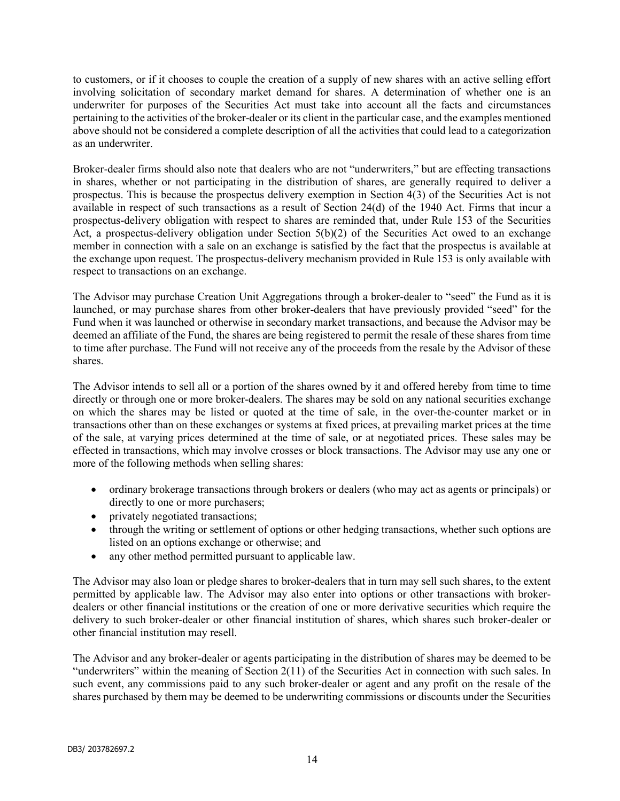to customers, or if it chooses to couple the creation of a supply of new shares with an active selling effort involving solicitation of secondary market demand for shares. A determination of whether one is an underwriter for purposes of the Securities Act must take into account all the facts and circumstances pertaining to the activities of the broker-dealer or its client in the particular case, and the examples mentioned above should not be considered a complete description of all the activities that could lead to a categorization as an underwriter.

Broker-dealer firms should also note that dealers who are not "underwriters," but are effecting transactions in shares, whether or not participating in the distribution of shares, are generally required to deliver a prospectus. This is because the prospectus delivery exemption in Section 4(3) of the Securities Act is not available in respect of such transactions as a result of Section 24(d) of the 1940 Act. Firms that incur a prospectus-delivery obligation with respect to shares are reminded that, under Rule 153 of the Securities Act, a prospectus-delivery obligation under Section 5(b)(2) of the Securities Act owed to an exchange member in connection with a sale on an exchange is satisfied by the fact that the prospectus is available at the exchange upon request. The prospectus-delivery mechanism provided in Rule 153 is only available with respect to transactions on an exchange.

The Advisor may purchase Creation Unit Aggregations through a broker-dealer to "seed" the Fund as it is launched, or may purchase shares from other broker-dealers that have previously provided "seed" for the Fund when it was launched or otherwise in secondary market transactions, and because the Advisor may be deemed an affiliate of the Fund, the shares are being registered to permit the resale of these shares from time to time after purchase. The Fund will not receive any of the proceeds from the resale by the Advisor of these shares.

The Advisor intends to sell all or a portion of the shares owned by it and offered hereby from time to time directly or through one or more broker-dealers. The shares may be sold on any national securities exchange on which the shares may be listed or quoted at the time of sale, in the over-the-counter market or in transactions other than on these exchanges or systems at fixed prices, at prevailing market prices at the time of the sale, at varying prices determined at the time of sale, or at negotiated prices. These sales may be effected in transactions, which may involve crosses or block transactions. The Advisor may use any one or more of the following methods when selling shares:

- ordinary brokerage transactions through brokers or dealers (who may act as agents or principals) or directly to one or more purchasers;
- privately negotiated transactions;
- through the writing or settlement of options or other hedging transactions, whether such options are listed on an options exchange or otherwise; and
- any other method permitted pursuant to applicable law.

The Advisor may also loan or pledge shares to broker-dealers that in turn may sell such shares, to the extent permitted by applicable law. The Advisor may also enter into options or other transactions with brokerdealers or other financial institutions or the creation of one or more derivative securities which require the delivery to such broker-dealer or other financial institution of shares, which shares such broker-dealer or other financial institution may resell.

The Advisor and any broker-dealer or agents participating in the distribution of shares may be deemed to be "underwriters" within the meaning of Section  $2(11)$  of the Securities Act in connection with such sales. In such event, any commissions paid to any such broker-dealer or agent and any profit on the resale of the shares purchased by them may be deemed to be underwriting commissions or discounts under the Securities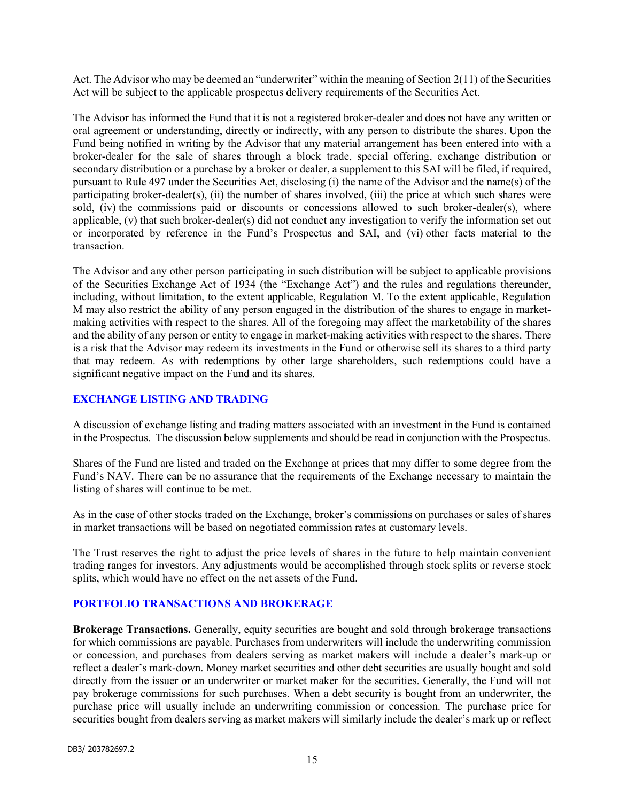Act. The Advisor who may be deemed an "underwriter" within the meaning of Section 2(11) of the Securities Act will be subject to the applicable prospectus delivery requirements of the Securities Act.

The Advisor has informed the Fund that it is not a registered broker-dealer and does not have any written or oral agreement or understanding, directly or indirectly, with any person to distribute the shares. Upon the Fund being notified in writing by the Advisor that any material arrangement has been entered into with a broker-dealer for the sale of shares through a block trade, special offering, exchange distribution or secondary distribution or a purchase by a broker or dealer, a supplement to this SAI will be filed, if required, pursuant to Rule 497 under the Securities Act, disclosing (i) the name of the Advisor and the name(s) of the participating broker-dealer(s), (ii) the number of shares involved, (iii) the price at which such shares were sold, (iv) the commissions paid or discounts or concessions allowed to such broker-dealer(s), where applicable, (v) that such broker-dealer(s) did not conduct any investigation to verify the information set out or incorporated by reference in the Fund's Prospectus and SAI, and (vi) other facts material to the transaction.

The Advisor and any other person participating in such distribution will be subject to applicable provisions of the Securities Exchange Act of 1934 (the "Exchange Act") and the rules and regulations thereunder, including, without limitation, to the extent applicable, Regulation M. To the extent applicable, Regulation M may also restrict the ability of any person engaged in the distribution of the shares to engage in marketmaking activities with respect to the shares. All of the foregoing may affect the marketability of the shares and the ability of any person or entity to engage in market-making activities with respect to the shares. There is a risk that the Advisor may redeem its investments in the Fund or otherwise sell its shares to a third party that may redeem. As with redemptions by other large shareholders, such redemptions could have a significant negative impact on the Fund and its shares.

#### EXCHANGE LISTING AND TRADING

A discussion of exchange listing and trading matters associated with an investment in the Fund is contained in the Prospectus. The discussion below supplements and should be read in conjunction with the Prospectus.

Shares of the Fund are listed and traded on the Exchange at prices that may differ to some degree from the Fund's NAV. There can be no assurance that the requirements of the Exchange necessary to maintain the listing of shares will continue to be met.

As in the case of other stocks traded on the Exchange, broker's commissions on purchases or sales of shares in market transactions will be based on negotiated commission rates at customary levels.

The Trust reserves the right to adjust the price levels of shares in the future to help maintain convenient trading ranges for investors. Any adjustments would be accomplished through stock splits or reverse stock splits, which would have no effect on the net assets of the Fund.

#### PORTFOLIO TRANSACTIONS AND BROKERAGE

Brokerage Transactions. Generally, equity securities are bought and sold through brokerage transactions for which commissions are payable. Purchases from underwriters will include the underwriting commission or concession, and purchases from dealers serving as market makers will include a dealer's mark-up or reflect a dealer's mark-down. Money market securities and other debt securities are usually bought and sold directly from the issuer or an underwriter or market maker for the securities. Generally, the Fund will not pay brokerage commissions for such purchases. When a debt security is bought from an underwriter, the purchase price will usually include an underwriting commission or concession. The purchase price for securities bought from dealers serving as market makers will similarly include the dealer's mark up or reflect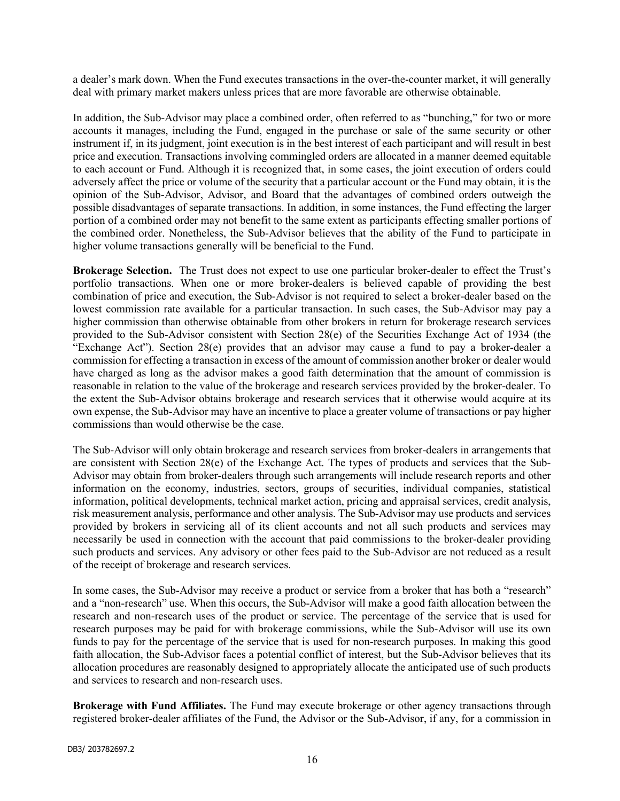a dealer's mark down. When the Fund executes transactions in the over-the-counter market, it will generally deal with primary market makers unless prices that are more favorable are otherwise obtainable.

In addition, the Sub-Advisor may place a combined order, often referred to as "bunching," for two or more accounts it manages, including the Fund, engaged in the purchase or sale of the same security or other instrument if, in its judgment, joint execution is in the best interest of each participant and will result in best price and execution. Transactions involving commingled orders are allocated in a manner deemed equitable to each account or Fund. Although it is recognized that, in some cases, the joint execution of orders could adversely affect the price or volume of the security that a particular account or the Fund may obtain, it is the opinion of the Sub-Advisor, Advisor, and Board that the advantages of combined orders outweigh the possible disadvantages of separate transactions. In addition, in some instances, the Fund effecting the larger portion of a combined order may not benefit to the same extent as participants effecting smaller portions of the combined order. Nonetheless, the Sub-Advisor believes that the ability of the Fund to participate in higher volume transactions generally will be beneficial to the Fund.

Brokerage Selection. The Trust does not expect to use one particular broker-dealer to effect the Trust's portfolio transactions. When one or more broker-dealers is believed capable of providing the best combination of price and execution, the Sub-Advisor is not required to select a broker-dealer based on the lowest commission rate available for a particular transaction. In such cases, the Sub-Advisor may pay a higher commission than otherwise obtainable from other brokers in return for brokerage research services provided to the Sub-Advisor consistent with Section 28(e) of the Securities Exchange Act of 1934 (the "Exchange Act"). Section  $28(e)$  provides that an advisor may cause a fund to pay a broker-dealer a commission for effecting a transaction in excess of the amount of commission another broker or dealer would have charged as long as the advisor makes a good faith determination that the amount of commission is reasonable in relation to the value of the brokerage and research services provided by the broker-dealer. To the extent the Sub-Advisor obtains brokerage and research services that it otherwise would acquire at its own expense, the Sub-Advisor may have an incentive to place a greater volume of transactions or pay higher commissions than would otherwise be the case.

The Sub-Advisor will only obtain brokerage and research services from broker-dealers in arrangements that are consistent with Section 28(e) of the Exchange Act. The types of products and services that the Sub-Advisor may obtain from broker-dealers through such arrangements will include research reports and other information on the economy, industries, sectors, groups of securities, individual companies, statistical information, political developments, technical market action, pricing and appraisal services, credit analysis, risk measurement analysis, performance and other analysis. The Sub-Advisor may use products and services provided by brokers in servicing all of its client accounts and not all such products and services may necessarily be used in connection with the account that paid commissions to the broker-dealer providing such products and services. Any advisory or other fees paid to the Sub-Advisor are not reduced as a result of the receipt of brokerage and research services.

In some cases, the Sub-Advisor may receive a product or service from a broker that has both a "research" and a "non-research" use. When this occurs, the Sub-Advisor will make a good faith allocation between the research and non-research uses of the product or service. The percentage of the service that is used for research purposes may be paid for with brokerage commissions, while the Sub-Advisor will use its own funds to pay for the percentage of the service that is used for non-research purposes. In making this good faith allocation, the Sub-Advisor faces a potential conflict of interest, but the Sub-Advisor believes that its allocation procedures are reasonably designed to appropriately allocate the anticipated use of such products and services to research and non-research uses.

Brokerage with Fund Affiliates. The Fund may execute brokerage or other agency transactions through registered broker-dealer affiliates of the Fund, the Advisor or the Sub-Advisor, if any, for a commission in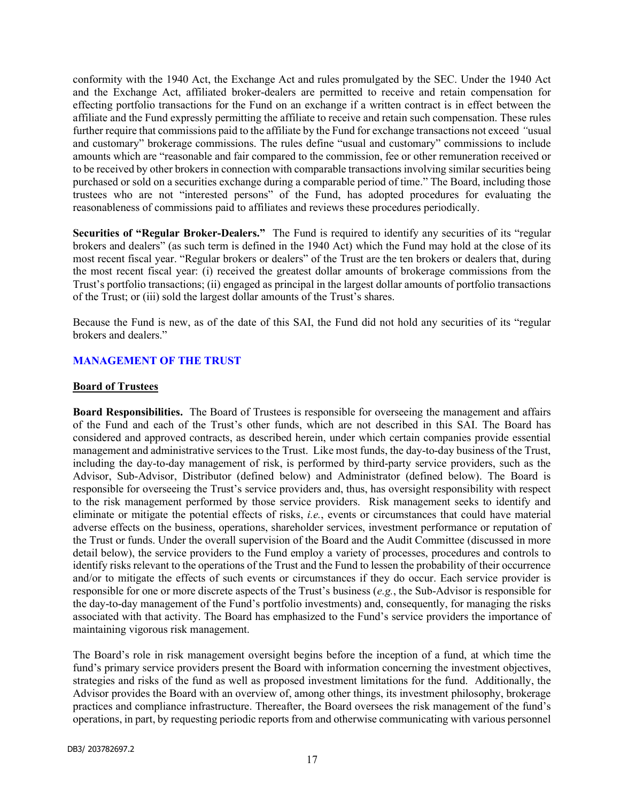conformity with the 1940 Act, the Exchange Act and rules promulgated by the SEC. Under the 1940 Act and the Exchange Act, affiliated broker-dealers are permitted to receive and retain compensation for effecting portfolio transactions for the Fund on an exchange if a written contract is in effect between the affiliate and the Fund expressly permitting the affiliate to receive and retain such compensation. These rules further require that commissions paid to the affiliate by the Fund for exchange transactions not exceed "usual and customary" brokerage commissions. The rules define "usual and customary" commissions to include amounts which are "reasonable and fair compared to the commission, fee or other remuneration received or to be received by other brokers in connection with comparable transactions involving similar securities being purchased or sold on a securities exchange during a comparable period of time." The Board, including those trustees who are not "interested persons" of the Fund, has adopted procedures for evaluating the reasonableness of commissions paid to affiliates and reviews these procedures periodically.

Securities of "Regular Broker-Dealers." The Fund is required to identify any securities of its "regular brokers and dealers" (as such term is defined in the 1940 Act) which the Fund may hold at the close of its most recent fiscal year. "Regular brokers or dealers" of the Trust are the ten brokers or dealers that, during the most recent fiscal year: (i) received the greatest dollar amounts of brokerage commissions from the Trust's portfolio transactions; (ii) engaged as principal in the largest dollar amounts of portfolio transactions of the Trust; or (iii) sold the largest dollar amounts of the Trust's shares.

Because the Fund is new, as of the date of this SAI, the Fund did not hold any securities of its "regular brokers and dealers."

#### MANAGEMENT OF THE TRUST

#### Board of Trustees

Board Responsibilities. The Board of Trustees is responsible for overseeing the management and affairs of the Fund and each of the Trust's other funds, which are not described in this SAI. The Board has considered and approved contracts, as described herein, under which certain companies provide essential management and administrative services to the Trust. Like most funds, the day-to-day business of the Trust, including the day-to-day management of risk, is performed by third-party service providers, such as the Advisor, Sub-Advisor, Distributor (defined below) and Administrator (defined below). The Board is responsible for overseeing the Trust's service providers and, thus, has oversight responsibility with respect to the risk management performed by those service providers. Risk management seeks to identify and eliminate or mitigate the potential effects of risks, i.e., events or circumstances that could have material adverse effects on the business, operations, shareholder services, investment performance or reputation of the Trust or funds. Under the overall supervision of the Board and the Audit Committee (discussed in more detail below), the service providers to the Fund employ a variety of processes, procedures and controls to identify risks relevant to the operations of the Trust and the Fund to lessen the probability of their occurrence and/or to mitigate the effects of such events or circumstances if they do occur. Each service provider is responsible for one or more discrete aspects of the Trust's business (e.g., the Sub-Advisor is responsible for the day-to-day management of the Fund's portfolio investments) and, consequently, for managing the risks associated with that activity. The Board has emphasized to the Fund's service providers the importance of maintaining vigorous risk management.

The Board's role in risk management oversight begins before the inception of a fund, at which time the fund's primary service providers present the Board with information concerning the investment objectives, strategies and risks of the fund as well as proposed investment limitations for the fund. Additionally, the Advisor provides the Board with an overview of, among other things, its investment philosophy, brokerage practices and compliance infrastructure. Thereafter, the Board oversees the risk management of the fund's operations, in part, by requesting periodic reports from and otherwise communicating with various personnel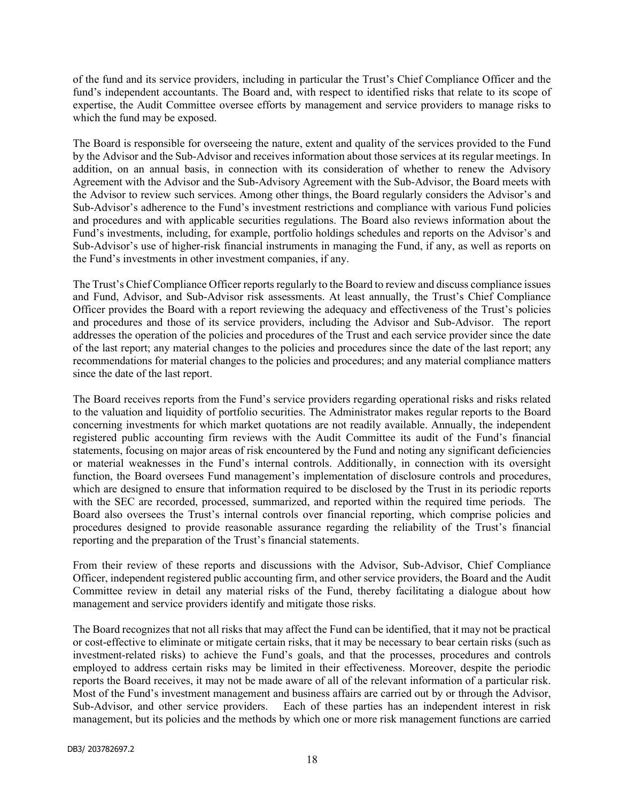of the fund and its service providers, including in particular the Trust's Chief Compliance Officer and the fund's independent accountants. The Board and, with respect to identified risks that relate to its scope of expertise, the Audit Committee oversee efforts by management and service providers to manage risks to which the fund may be exposed.

The Board is responsible for overseeing the nature, extent and quality of the services provided to the Fund by the Advisor and the Sub-Advisor and receives information about those services at its regular meetings. In addition, on an annual basis, in connection with its consideration of whether to renew the Advisory Agreement with the Advisor and the Sub-Advisory Agreement with the Sub-Advisor, the Board meets with the Advisor to review such services. Among other things, the Board regularly considers the Advisor's and Sub-Advisor's adherence to the Fund's investment restrictions and compliance with various Fund policies and procedures and with applicable securities regulations. The Board also reviews information about the Fund's investments, including, for example, portfolio holdings schedules and reports on the Advisor's and Sub-Advisor's use of higher-risk financial instruments in managing the Fund, if any, as well as reports on the Fund's investments in other investment companies, if any.

The Trust's Chief Compliance Officer reports regularly to the Board to review and discuss compliance issues and Fund, Advisor, and Sub-Advisor risk assessments. At least annually, the Trust's Chief Compliance Officer provides the Board with a report reviewing the adequacy and effectiveness of the Trust's policies and procedures and those of its service providers, including the Advisor and Sub-Advisor. The report addresses the operation of the policies and procedures of the Trust and each service provider since the date of the last report; any material changes to the policies and procedures since the date of the last report; any recommendations for material changes to the policies and procedures; and any material compliance matters since the date of the last report.

The Board receives reports from the Fund's service providers regarding operational risks and risks related to the valuation and liquidity of portfolio securities. The Administrator makes regular reports to the Board concerning investments for which market quotations are not readily available. Annually, the independent registered public accounting firm reviews with the Audit Committee its audit of the Fund's financial statements, focusing on major areas of risk encountered by the Fund and noting any significant deficiencies or material weaknesses in the Fund's internal controls. Additionally, in connection with its oversight function, the Board oversees Fund management's implementation of disclosure controls and procedures, which are designed to ensure that information required to be disclosed by the Trust in its periodic reports with the SEC are recorded, processed, summarized, and reported within the required time periods. The Board also oversees the Trust's internal controls over financial reporting, which comprise policies and procedures designed to provide reasonable assurance regarding the reliability of the Trust's financial reporting and the preparation of the Trust's financial statements.

From their review of these reports and discussions with the Advisor, Sub-Advisor, Chief Compliance Officer, independent registered public accounting firm, and other service providers, the Board and the Audit Committee review in detail any material risks of the Fund, thereby facilitating a dialogue about how management and service providers identify and mitigate those risks.

The Board recognizes that not all risks that may affect the Fund can be identified, that it may not be practical or cost-effective to eliminate or mitigate certain risks, that it may be necessary to bear certain risks (such as investment-related risks) to achieve the Fund's goals, and that the processes, procedures and controls employed to address certain risks may be limited in their effectiveness. Moreover, despite the periodic reports the Board receives, it may not be made aware of all of the relevant information of a particular risk. Most of the Fund's investment management and business affairs are carried out by or through the Advisor, Sub-Advisor, and other service providers. Each of these parties has an independent interest in risk management, but its policies and the methods by which one or more risk management functions are carried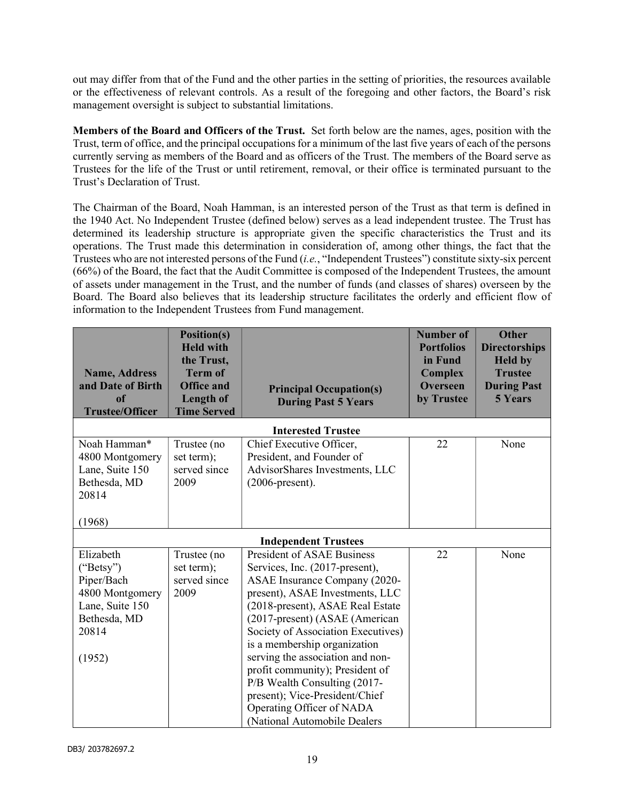out may differ from that of the Fund and the other parties in the setting of priorities, the resources available or the effectiveness of relevant controls. As a result of the foregoing and other factors, the Board's risk management oversight is subject to substantial limitations.

Members of the Board and Officers of the Trust. Set forth below are the names, ages, position with the Trust, term of office, and the principal occupations for a minimum of the last five years of each of the persons currently serving as members of the Board and as officers of the Trust. The members of the Board serve as Trustees for the life of the Trust or until retirement, removal, or their office is terminated pursuant to the Trust's Declaration of Trust.

The Chairman of the Board, Noah Hamman, is an interested person of the Trust as that term is defined in the 1940 Act. No Independent Trustee (defined below) serves as a lead independent trustee. The Trust has determined its leadership structure is appropriate given the specific characteristics the Trust and its operations. The Trust made this determination in consideration of, among other things, the fact that the Trustees who are not interested persons of the Fund (i.e., "Independent Trustees") constitute sixty-six percent (66%) of the Board, the fact that the Audit Committee is composed of the Independent Trustees, the amount of assets under management in the Trust, and the number of funds (and classes of shares) overseen by the Board. The Board also believes that its leadership structure facilitates the orderly and efficient flow of information to the Independent Trustees from Fund management.

| <b>Name, Address</b><br>and Date of Birth<br><sub>of</sub><br><b>Trustee/Officer</b>                          | Position(s)<br><b>Held with</b><br>the Trust,<br><b>Term of</b><br><b>Office and</b><br><b>Length of</b><br><b>Time Served</b> | <b>Principal Occupation(s)</b><br><b>During Past 5 Years</b>                                                                                                                                                                                                                                                                                                                                                                                                                              | <b>Number of</b><br><b>Portfolios</b><br>in Fund<br><b>Complex</b><br><b>Overseen</b><br>by Trustee | <b>Other</b><br><b>Directorships</b><br><b>Held by</b><br><b>Trustee</b><br><b>During Past</b><br><b>5 Years</b> |  |
|---------------------------------------------------------------------------------------------------------------|--------------------------------------------------------------------------------------------------------------------------------|-------------------------------------------------------------------------------------------------------------------------------------------------------------------------------------------------------------------------------------------------------------------------------------------------------------------------------------------------------------------------------------------------------------------------------------------------------------------------------------------|-----------------------------------------------------------------------------------------------------|------------------------------------------------------------------------------------------------------------------|--|
|                                                                                                               |                                                                                                                                | <b>Interested Trustee</b>                                                                                                                                                                                                                                                                                                                                                                                                                                                                 |                                                                                                     |                                                                                                                  |  |
| Noah Hamman*<br>4800 Montgomery<br>Lane, Suite 150<br>Bethesda, MD<br>20814                                   | Trustee (no<br>set term);<br>served since<br>2009                                                                              | Chief Executive Officer,<br>President, and Founder of<br>AdvisorShares Investments, LLC<br>$(2006$ -present).                                                                                                                                                                                                                                                                                                                                                                             | 22                                                                                                  | None                                                                                                             |  |
| (1968)                                                                                                        |                                                                                                                                |                                                                                                                                                                                                                                                                                                                                                                                                                                                                                           |                                                                                                     |                                                                                                                  |  |
| <b>Independent Trustees</b>                                                                                   |                                                                                                                                |                                                                                                                                                                                                                                                                                                                                                                                                                                                                                           |                                                                                                     |                                                                                                                  |  |
| Elizabeth<br>("Betsy")<br>Piper/Bach<br>4800 Montgomery<br>Lane, Suite 150<br>Bethesda, MD<br>20814<br>(1952) | Trustee (no<br>set term);<br>served since<br>2009                                                                              | <b>President of ASAE Business</b><br>Services, Inc. (2017-present),<br>ASAE Insurance Company (2020-<br>present), ASAE Investments, LLC<br>(2018-present), ASAE Real Estate<br>(2017-present) (ASAE (American<br>Society of Association Executives)<br>is a membership organization<br>serving the association and non-<br>profit community); President of<br>P/B Wealth Consulting (2017-<br>present); Vice-President/Chief<br>Operating Officer of NADA<br>(National Automobile Dealers | 22                                                                                                  | None                                                                                                             |  |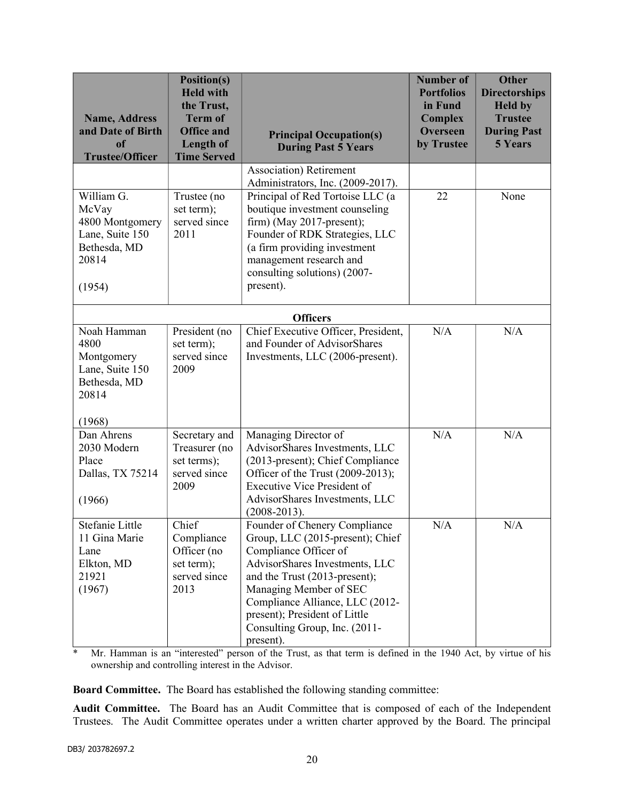| <b>Name, Address</b><br>and Date of Birth<br><sub>of</sub><br><b>Trustee/Officer</b>         | <b>Position(s)</b><br><b>Held with</b><br>the Trust,<br><b>Term of</b><br><b>Office and</b><br><b>Length of</b><br><b>Time Served</b> | <b>Principal Occupation(s)</b><br><b>During Past 5 Years</b>                                                                                                                                                                                                                                              | <b>Number of</b><br><b>Portfolios</b><br>in Fund<br><b>Complex</b><br><b>Overseen</b><br>by Trustee | <b>Other</b><br><b>Directorships</b><br><b>Held by</b><br><b>Trustee</b><br><b>During Past</b><br><b>5 Years</b> |
|----------------------------------------------------------------------------------------------|---------------------------------------------------------------------------------------------------------------------------------------|-----------------------------------------------------------------------------------------------------------------------------------------------------------------------------------------------------------------------------------------------------------------------------------------------------------|-----------------------------------------------------------------------------------------------------|------------------------------------------------------------------------------------------------------------------|
|                                                                                              |                                                                                                                                       | <b>Association</b> ) Retirement<br>Administrators, Inc. (2009-2017).                                                                                                                                                                                                                                      |                                                                                                     |                                                                                                                  |
| William G.<br>McVay<br>4800 Montgomery<br>Lane, Suite 150<br>Bethesda, MD<br>20814<br>(1954) | Trustee (no<br>set term);<br>served since<br>2011                                                                                     | Principal of Red Tortoise LLC (a<br>boutique investment counseling<br>firm) (May 2017-present);<br>Founder of RDK Strategies, LLC<br>(a firm providing investment<br>management research and<br>consulting solutions) (2007-<br>present).                                                                 | 22                                                                                                  | None                                                                                                             |
|                                                                                              |                                                                                                                                       | <b>Officers</b>                                                                                                                                                                                                                                                                                           |                                                                                                     |                                                                                                                  |
| Noah Hamman<br>4800<br>Montgomery<br>Lane, Suite 150<br>Bethesda, MD<br>20814<br>(1968)      | President (no<br>set term);<br>served since<br>2009                                                                                   | Chief Executive Officer, President,<br>and Founder of AdvisorShares<br>Investments, LLC (2006-present).                                                                                                                                                                                                   | N/A                                                                                                 | N/A                                                                                                              |
| Dan Ahrens<br>2030 Modern<br>Place<br>Dallas, TX 75214<br>(1966)                             | Secretary and<br>Treasurer (no<br>set terms);<br>served since<br>2009                                                                 | Managing Director of<br>AdvisorShares Investments, LLC<br>(2013-present); Chief Compliance<br>Officer of the Trust (2009-2013);<br><b>Executive Vice President of</b><br>AdvisorShares Investments, LLC<br>$(2008 - 2013).$                                                                               | N/A                                                                                                 | N/A                                                                                                              |
| Stefanie Little<br>11 Gina Marie<br>Lane<br>Elkton, MD<br>21921<br>(1967)                    | Chief<br>Compliance<br>Officer (no<br>set term);<br>served since<br>2013                                                              | Founder of Chenery Compliance<br>Group, LLC (2015-present); Chief<br>Compliance Officer of<br>AdvisorShares Investments, LLC<br>and the Trust (2013-present);<br>Managing Member of SEC<br>Compliance Alliance, LLC (2012-<br>present); President of Little<br>Consulting Group, Inc. (2011-<br>present). | N/A                                                                                                 | N/A                                                                                                              |

\* Mr. Hamman is an "interested" person of the Trust, as that term is defined in the 1940 Act, by virtue of his ownership and controlling interest in the Advisor.

Board Committee. The Board has established the following standing committee:

Audit Committee. The Board has an Audit Committee that is composed of each of the Independent Trustees. The Audit Committee operates under a written charter approved by the Board. The principal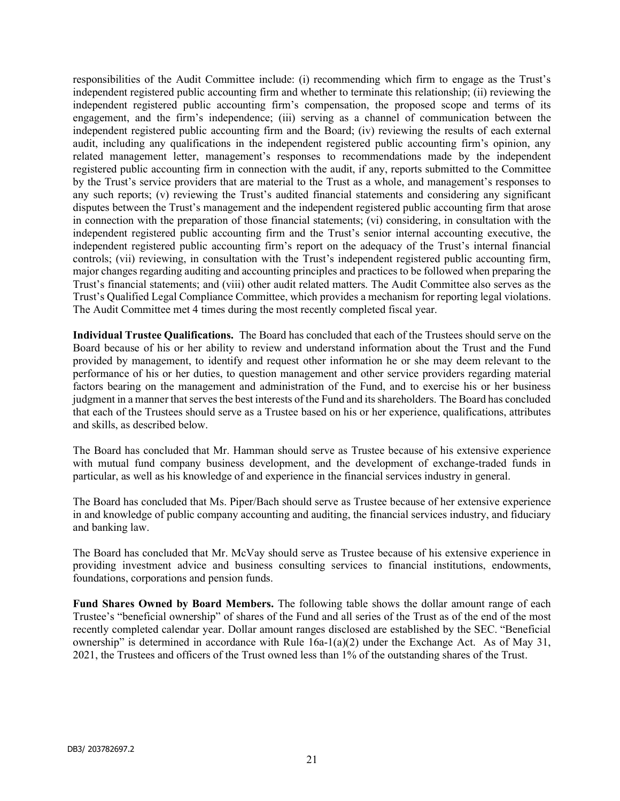responsibilities of the Audit Committee include: (i) recommending which firm to engage as the Trust's independent registered public accounting firm and whether to terminate this relationship; (ii) reviewing the independent registered public accounting firm's compensation, the proposed scope and terms of its engagement, and the firm's independence; (iii) serving as a channel of communication between the independent registered public accounting firm and the Board; (iv) reviewing the results of each external audit, including any qualifications in the independent registered public accounting firm's opinion, any related management letter, management's responses to recommendations made by the independent registered public accounting firm in connection with the audit, if any, reports submitted to the Committee by the Trust's service providers that are material to the Trust as a whole, and management's responses to any such reports; (v) reviewing the Trust's audited financial statements and considering any significant disputes between the Trust's management and the independent registered public accounting firm that arose in connection with the preparation of those financial statements; (vi) considering, in consultation with the independent registered public accounting firm and the Trust's senior internal accounting executive, the independent registered public accounting firm's report on the adequacy of the Trust's internal financial controls; (vii) reviewing, in consultation with the Trust's independent registered public accounting firm, major changes regarding auditing and accounting principles and practices to be followed when preparing the Trust's financial statements; and (viii) other audit related matters. The Audit Committee also serves as the Trust's Qualified Legal Compliance Committee, which provides a mechanism for reporting legal violations. The Audit Committee met 4 times during the most recently completed fiscal year.

Individual Trustee Qualifications. The Board has concluded that each of the Trustees should serve on the Board because of his or her ability to review and understand information about the Trust and the Fund provided by management, to identify and request other information he or she may deem relevant to the performance of his or her duties, to question management and other service providers regarding material factors bearing on the management and administration of the Fund, and to exercise his or her business judgment in a manner that serves the best interests of the Fund and its shareholders. The Board has concluded that each of the Trustees should serve as a Trustee based on his or her experience, qualifications, attributes and skills, as described below.

The Board has concluded that Mr. Hamman should serve as Trustee because of his extensive experience with mutual fund company business development, and the development of exchange-traded funds in particular, as well as his knowledge of and experience in the financial services industry in general.

The Board has concluded that Ms. Piper/Bach should serve as Trustee because of her extensive experience in and knowledge of public company accounting and auditing, the financial services industry, and fiduciary and banking law.

The Board has concluded that Mr. McVay should serve as Trustee because of his extensive experience in providing investment advice and business consulting services to financial institutions, endowments, foundations, corporations and pension funds.

Fund Shares Owned by Board Members. The following table shows the dollar amount range of each Trustee's "beneficial ownership" of shares of the Fund and all series of the Trust as of the end of the most recently completed calendar year. Dollar amount ranges disclosed are established by the SEC. "Beneficial ownership" is determined in accordance with Rule  $16a-1(a)(2)$  under the Exchange Act. As of May 31, 2021, the Trustees and officers of the Trust owned less than 1% of the outstanding shares of the Trust.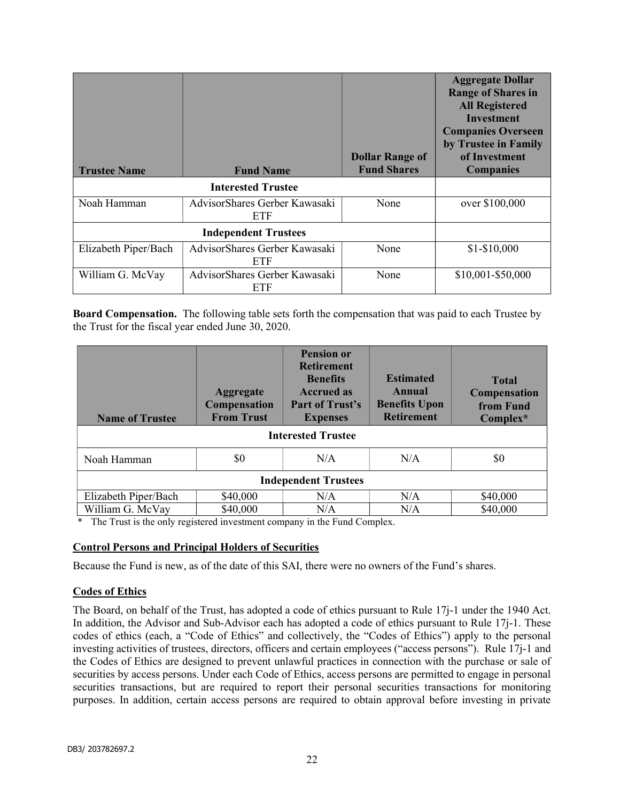| <b>Trustee Name</b>  | <b>Fund Name</b>                     | <b>Dollar Range of</b><br><b>Fund Shares</b> | <b>Aggregate Dollar</b><br><b>Range of Shares in</b><br><b>All Registered</b><br><b>Investment</b><br><b>Companies Overseen</b><br>by Trustee in Family<br>of Investment<br><b>Companies</b> |
|----------------------|--------------------------------------|----------------------------------------------|----------------------------------------------------------------------------------------------------------------------------------------------------------------------------------------------|
|                      | <b>Interested Trustee</b>            |                                              |                                                                                                                                                                                              |
| Noah Hamman          | AdvisorShares Gerber Kawasaki<br>ETF | None                                         | over \$100,000                                                                                                                                                                               |
|                      | <b>Independent Trustees</b>          |                                              |                                                                                                                                                                                              |
| Elizabeth Piper/Bach | AdvisorShares Gerber Kawasaki<br>ETF | None                                         | $$1-$10,000$                                                                                                                                                                                 |
| William G. McVay     | AdvisorShares Gerber Kawasaki<br>ETF | None                                         | \$10,001-\$50,000                                                                                                                                                                            |

Board Compensation. The following table sets forth the compensation that was paid to each Trustee by the Trust for the fiscal year ended June 30, 2020.

| <b>Name of Trustee</b>      | <b>Aggregate</b><br><b>Compensation</b><br><b>From Trust</b> | <b>Pension or</b><br><b>Retirement</b><br><b>Benefits</b><br><b>Accrued as</b><br>Part of Trust's<br><b>Expenses</b> | <b>Estimated</b><br>Annual<br><b>Benefits Upon</b><br><b>Retirement</b> | <b>Total</b><br><b>Compensation</b><br>from Fund<br>$Complex^*$ |
|-----------------------------|--------------------------------------------------------------|----------------------------------------------------------------------------------------------------------------------|-------------------------------------------------------------------------|-----------------------------------------------------------------|
| <b>Interested Trustee</b>   |                                                              |                                                                                                                      |                                                                         |                                                                 |
| Noah Hamman                 | \$0                                                          | N/A                                                                                                                  | N/A                                                                     | \$0                                                             |
| <b>Independent Trustees</b> |                                                              |                                                                                                                      |                                                                         |                                                                 |
| Elizabeth Piper/Bach        | \$40,000                                                     | N/A                                                                                                                  | N/A                                                                     | \$40,000                                                        |
| William G. McVay            | \$40,000                                                     | N/A                                                                                                                  | N/A                                                                     | \$40,000                                                        |

\* The Trust is the only registered investment company in the Fund Complex.

#### Control Persons and Principal Holders of Securities

Because the Fund is new, as of the date of this SAI, there were no owners of the Fund's shares.

#### Codes of Ethics

The Board, on behalf of the Trust, has adopted a code of ethics pursuant to Rule 17j-1 under the 1940 Act. In addition, the Advisor and Sub-Advisor each has adopted a code of ethics pursuant to Rule 17j-1. These codes of ethics (each, a "Code of Ethics" and collectively, the "Codes of Ethics") apply to the personal investing activities of trustees, directors, officers and certain employees ("access persons"). Rule 17j-1 and the Codes of Ethics are designed to prevent unlawful practices in connection with the purchase or sale of securities by access persons. Under each Code of Ethics, access persons are permitted to engage in personal securities transactions, but are required to report their personal securities transactions for monitoring purposes. In addition, certain access persons are required to obtain approval before investing in private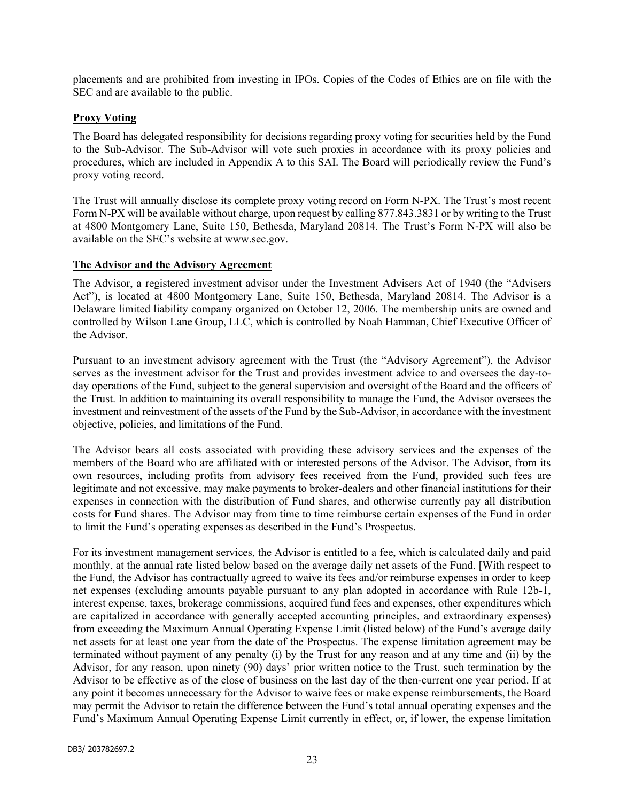placements and are prohibited from investing in IPOs. Copies of the Codes of Ethics are on file with the SEC and are available to the public.

#### Proxy Voting

The Board has delegated responsibility for decisions regarding proxy voting for securities held by the Fund to the Sub-Advisor. The Sub-Advisor will vote such proxies in accordance with its proxy policies and procedures, which are included in Appendix A to this SAI. The Board will periodically review the Fund's proxy voting record.

The Trust will annually disclose its complete proxy voting record on Form N-PX. The Trust's most recent Form N-PX will be available without charge, upon request by calling 877.843.3831 or by writing to the Trust at 4800 Montgomery Lane, Suite 150, Bethesda, Maryland 20814. The Trust's Form N-PX will also be available on the SEC's website at www.sec.gov.

#### The Advisor and the Advisory Agreement

The Advisor, a registered investment advisor under the Investment Advisers Act of 1940 (the "Advisers Act"), is located at 4800 Montgomery Lane, Suite 150, Bethesda, Maryland 20814. The Advisor is a Delaware limited liability company organized on October 12, 2006. The membership units are owned and controlled by Wilson Lane Group, LLC, which is controlled by Noah Hamman, Chief Executive Officer of the Advisor.

Pursuant to an investment advisory agreement with the Trust (the "Advisory Agreement"), the Advisor serves as the investment advisor for the Trust and provides investment advice to and oversees the day-today operations of the Fund, subject to the general supervision and oversight of the Board and the officers of the Trust. In addition to maintaining its overall responsibility to manage the Fund, the Advisor oversees the investment and reinvestment of the assets of the Fund by the Sub-Advisor, in accordance with the investment objective, policies, and limitations of the Fund.

The Advisor bears all costs associated with providing these advisory services and the expenses of the members of the Board who are affiliated with or interested persons of the Advisor. The Advisor, from its own resources, including profits from advisory fees received from the Fund, provided such fees are legitimate and not excessive, may make payments to broker-dealers and other financial institutions for their expenses in connection with the distribution of Fund shares, and otherwise currently pay all distribution costs for Fund shares. The Advisor may from time to time reimburse certain expenses of the Fund in order to limit the Fund's operating expenses as described in the Fund's Prospectus.

For its investment management services, the Advisor is entitled to a fee, which is calculated daily and paid monthly, at the annual rate listed below based on the average daily net assets of the Fund. [With respect to the Fund, the Advisor has contractually agreed to waive its fees and/or reimburse expenses in order to keep net expenses (excluding amounts payable pursuant to any plan adopted in accordance with Rule 12b-1, interest expense, taxes, brokerage commissions, acquired fund fees and expenses, other expenditures which are capitalized in accordance with generally accepted accounting principles, and extraordinary expenses) from exceeding the Maximum Annual Operating Expense Limit (listed below) of the Fund's average daily net assets for at least one year from the date of the Prospectus. The expense limitation agreement may be terminated without payment of any penalty (i) by the Trust for any reason and at any time and (ii) by the Advisor, for any reason, upon ninety (90) days' prior written notice to the Trust, such termination by the Advisor to be effective as of the close of business on the last day of the then-current one year period. If at any point it becomes unnecessary for the Advisor to waive fees or make expense reimbursements, the Board may permit the Advisor to retain the difference between the Fund's total annual operating expenses and the Fund's Maximum Annual Operating Expense Limit currently in effect, or, if lower, the expense limitation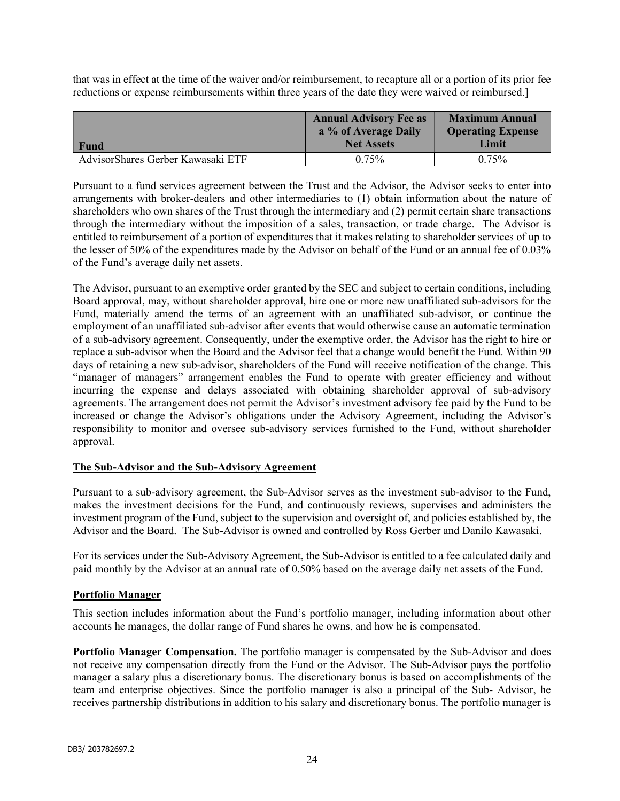that was in effect at the time of the waiver and/or reimbursement, to recapture all or a portion of its prior fee reductions or expense reimbursements within three years of the date they were waived or reimbursed.]

| <b>Fund</b>                       | <b>Annual Advisory Fee as</b><br>a % of Average Daily<br><b>Net Assets</b> | <b>Maximum Annual</b><br><b>Operating Expense</b><br>Limit |
|-----------------------------------|----------------------------------------------------------------------------|------------------------------------------------------------|
| AdvisorShares Gerber Kawasaki ETF | 0.75%                                                                      | $0.75\%$                                                   |

Pursuant to a fund services agreement between the Trust and the Advisor, the Advisor seeks to enter into arrangements with broker-dealers and other intermediaries to (1) obtain information about the nature of shareholders who own shares of the Trust through the intermediary and (2) permit certain share transactions through the intermediary without the imposition of a sales, transaction, or trade charge. The Advisor is entitled to reimbursement of a portion of expenditures that it makes relating to shareholder services of up to the lesser of 50% of the expenditures made by the Advisor on behalf of the Fund or an annual fee of 0.03% of the Fund's average daily net assets.

The Advisor, pursuant to an exemptive order granted by the SEC and subject to certain conditions, including Board approval, may, without shareholder approval, hire one or more new unaffiliated sub-advisors for the Fund, materially amend the terms of an agreement with an unaffiliated sub-advisor, or continue the employment of an unaffiliated sub-advisor after events that would otherwise cause an automatic termination of a sub-advisory agreement. Consequently, under the exemptive order, the Advisor has the right to hire or replace a sub-advisor when the Board and the Advisor feel that a change would benefit the Fund. Within 90 days of retaining a new sub-advisor, shareholders of the Fund will receive notification of the change. This "manager of managers" arrangement enables the Fund to operate with greater efficiency and without incurring the expense and delays associated with obtaining shareholder approval of sub-advisory agreements. The arrangement does not permit the Advisor's investment advisory fee paid by the Fund to be increased or change the Advisor's obligations under the Advisory Agreement, including the Advisor's responsibility to monitor and oversee sub-advisory services furnished to the Fund, without shareholder approval.

#### The Sub-Advisor and the Sub-Advisory Agreement

Pursuant to a sub-advisory agreement, the Sub-Advisor serves as the investment sub-advisor to the Fund, makes the investment decisions for the Fund, and continuously reviews, supervises and administers the investment program of the Fund, subject to the supervision and oversight of, and policies established by, the Advisor and the Board. The Sub-Advisor is owned and controlled by Ross Gerber and Danilo Kawasaki.

For its services under the Sub-Advisory Agreement, the Sub-Advisor is entitled to a fee calculated daily and paid monthly by the Advisor at an annual rate of 0.50% based on the average daily net assets of the Fund.

#### Portfolio Manager

This section includes information about the Fund's portfolio manager, including information about other accounts he manages, the dollar range of Fund shares he owns, and how he is compensated.

Portfolio Manager Compensation. The portfolio manager is compensated by the Sub-Advisor and does not receive any compensation directly from the Fund or the Advisor. The Sub-Advisor pays the portfolio manager a salary plus a discretionary bonus. The discretionary bonus is based on accomplishments of the team and enterprise objectives. Since the portfolio manager is also a principal of the Sub- Advisor, he receives partnership distributions in addition to his salary and discretionary bonus. The portfolio manager is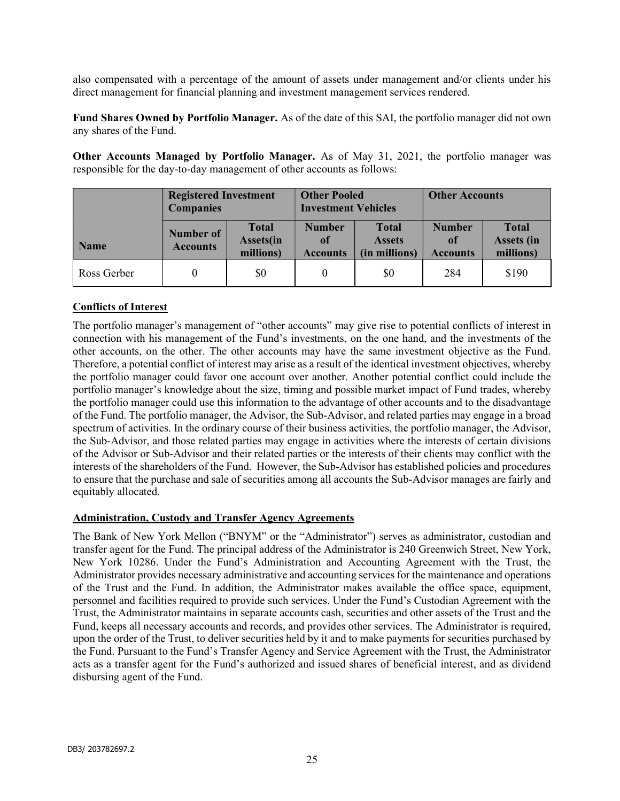also compensated with a percentage of the amount of assets under management and/or clients under his direct management for financial planning and investment management services rendered.

Fund Shares Owned by Portfolio Manager. As of the date of this SAI, the portfolio manager did not own any shares of the Fund.

Other Accounts Managed by Portfolio Manager. As of May 31, 2021, the portfolio manager was responsible for the day-to-day management of other accounts as follows:

|             | <b>Registered Investment</b><br><b>Companies</b> |                                               | <b>Other Pooled</b><br><b>Investment Vehicles</b> |                                                | <b>Other Accounts</b>                             |                                                |
|-------------|--------------------------------------------------|-----------------------------------------------|---------------------------------------------------|------------------------------------------------|---------------------------------------------------|------------------------------------------------|
| <b>Name</b> | Number of<br><b>Accounts</b>                     | <b>Total</b><br><b>Assets(in</b><br>millions) | <b>Number</b><br>of<br><b>Accounts</b>            | <b>Total</b><br><b>Assets</b><br>(in millions) | <b>Number</b><br><sup>of</sup><br><b>Accounts</b> | <b>Total</b><br><b>Assets (in</b><br>millions) |
| Ross Gerber |                                                  | \$0                                           |                                                   | \$0                                            | 284                                               | \$190                                          |

## Conflicts of Interest

The portfolio manager's management of "other accounts" may give rise to potential conflicts of interest in connection with his management of the Fund's investments, on the one hand, and the investments of the other accounts, on the other. The other accounts may have the same investment objective as the Fund. Therefore, a potential conflict of interest may arise as a result of the identical investment objectives, whereby the portfolio manager could favor one account over another. Another potential conflict could include the portfolio manager's knowledge about the size, timing and possible market impact of Fund trades, whereby the portfolio manager could use this information to the advantage of other accounts and to the disadvantage of the Fund. The portfolio manager, the Advisor, the Sub-Advisor, and related parties may engage in a broad spectrum of activities. In the ordinary course of their business activities, the portfolio manager, the Advisor, the Sub-Advisor, and those related parties may engage in activities where the interests of certain divisions of the Advisor or Sub-Advisor and their related parties or the interests of their clients may conflict with the interests of the shareholders of the Fund. However, the Sub-Advisor has established policies and procedures to ensure that the purchase and sale of securities among all accounts the Sub-Advisor manages are fairly and equitably allocated.

#### Administration, Custody and Transfer Agency Agreements

The Bank of New York Mellon ("BNYM" or the "Administrator") serves as administrator, custodian and transfer agent for the Fund. The principal address of the Administrator is 240 Greenwich Street, New York, New York 10286. Under the Fund's Administration and Accounting Agreement with the Trust, the Administrator provides necessary administrative and accounting services for the maintenance and operations of the Trust and the Fund. In addition, the Administrator makes available the office space, equipment, personnel and facilities required to provide such services. Under the Fund's Custodian Agreement with the Trust, the Administrator maintains in separate accounts cash, securities and other assets of the Trust and the Fund, keeps all necessary accounts and records, and provides other services. The Administrator is required, upon the order of the Trust, to deliver securities held by it and to make payments for securities purchased by the Fund. Pursuant to the Fund's Transfer Agency and Service Agreement with the Trust, the Administrator acts as a transfer agent for the Fund's authorized and issued shares of beneficial interest, and as dividend disbursing agent of the Fund.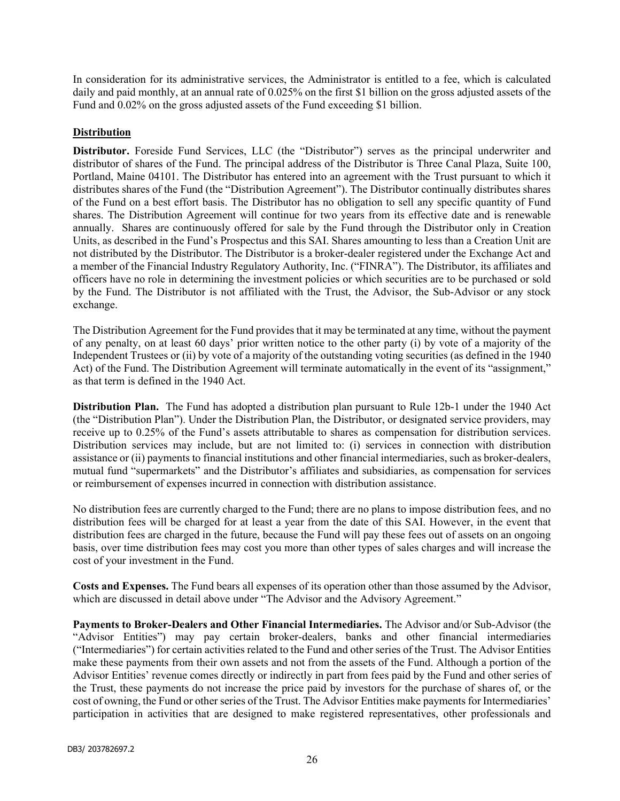In consideration for its administrative services, the Administrator is entitled to a fee, which is calculated daily and paid monthly, at an annual rate of 0.025% on the first \$1 billion on the gross adjusted assets of the Fund and 0.02% on the gross adjusted assets of the Fund exceeding \$1 billion.

### **Distribution**

Distributor. Foreside Fund Services, LLC (the "Distributor") serves as the principal underwriter and distributor of shares of the Fund. The principal address of the Distributor is Three Canal Plaza, Suite 100, Portland, Maine 04101. The Distributor has entered into an agreement with the Trust pursuant to which it distributes shares of the Fund (the "Distribution Agreement"). The Distributor continually distributes shares of the Fund on a best effort basis. The Distributor has no obligation to sell any specific quantity of Fund shares. The Distribution Agreement will continue for two years from its effective date and is renewable annually. Shares are continuously offered for sale by the Fund through the Distributor only in Creation Units, as described in the Fund's Prospectus and this SAI. Shares amounting to less than a Creation Unit are not distributed by the Distributor. The Distributor is a broker-dealer registered under the Exchange Act and a member of the Financial Industry Regulatory Authority, Inc. ("FINRA"). The Distributor, its affiliates and officers have no role in determining the investment policies or which securities are to be purchased or sold by the Fund. The Distributor is not affiliated with the Trust, the Advisor, the Sub-Advisor or any stock exchange.

The Distribution Agreement for the Fund provides that it may be terminated at any time, without the payment of any penalty, on at least 60 days' prior written notice to the other party (i) by vote of a majority of the Independent Trustees or (ii) by vote of a majority of the outstanding voting securities (as defined in the 1940 Act) of the Fund. The Distribution Agreement will terminate automatically in the event of its "assignment," as that term is defined in the 1940 Act.

Distribution Plan. The Fund has adopted a distribution plan pursuant to Rule 12b-1 under the 1940 Act (the "Distribution Plan"). Under the Distribution Plan, the Distributor, or designated service providers, may receive up to 0.25% of the Fund's assets attributable to shares as compensation for distribution services. Distribution services may include, but are not limited to: (i) services in connection with distribution assistance or (ii) payments to financial institutions and other financial intermediaries, such as broker-dealers, mutual fund "supermarkets" and the Distributor's affiliates and subsidiaries, as compensation for services or reimbursement of expenses incurred in connection with distribution assistance.

No distribution fees are currently charged to the Fund; there are no plans to impose distribution fees, and no distribution fees will be charged for at least a year from the date of this SAI. However, in the event that distribution fees are charged in the future, because the Fund will pay these fees out of assets on an ongoing basis, over time distribution fees may cost you more than other types of sales charges and will increase the cost of your investment in the Fund.

Costs and Expenses. The Fund bears all expenses of its operation other than those assumed by the Advisor, which are discussed in detail above under "The Advisor and the Advisory Agreement."

Payments to Broker-Dealers and Other Financial Intermediaries. The Advisor and/or Sub-Advisor (the "Advisor Entities") may pay certain broker-dealers, banks and other financial intermediaries ("Intermediaries") for certain activities related to the Fund and other series of the Trust. The Advisor Entities make these payments from their own assets and not from the assets of the Fund. Although a portion of the Advisor Entities' revenue comes directly or indirectly in part from fees paid by the Fund and other series of the Trust, these payments do not increase the price paid by investors for the purchase of shares of, or the cost of owning, the Fund or other series of the Trust. The Advisor Entities make payments for Intermediaries' participation in activities that are designed to make registered representatives, other professionals and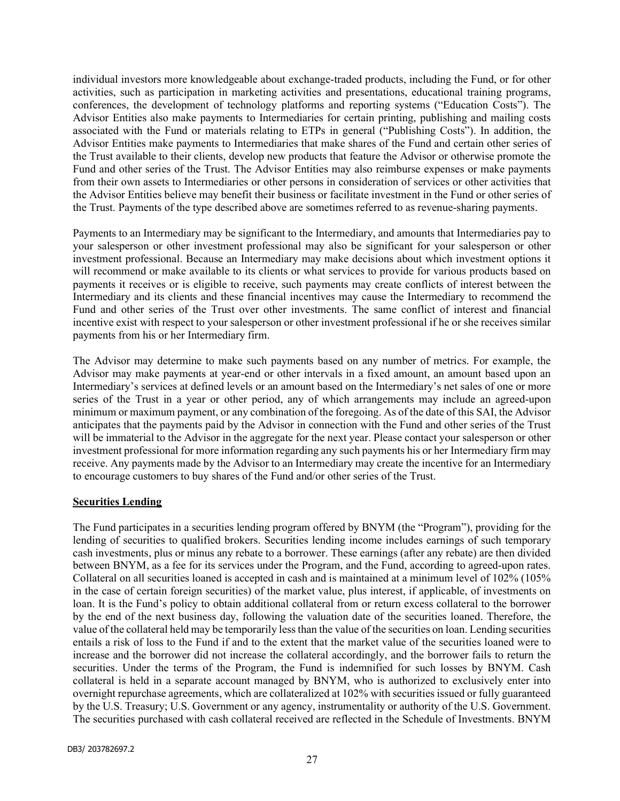individual investors more knowledgeable about exchange-traded products, including the Fund, or for other activities, such as participation in marketing activities and presentations, educational training programs, conferences, the development of technology platforms and reporting systems ("Education Costs"). The Advisor Entities also make payments to Intermediaries for certain printing, publishing and mailing costs associated with the Fund or materials relating to ETPs in general ("Publishing Costs"). In addition, the Advisor Entities make payments to Intermediaries that make shares of the Fund and certain other series of the Trust available to their clients, develop new products that feature the Advisor or otherwise promote the Fund and other series of the Trust. The Advisor Entities may also reimburse expenses or make payments from their own assets to Intermediaries or other persons in consideration of services or other activities that the Advisor Entities believe may benefit their business or facilitate investment in the Fund or other series of the Trust. Payments of the type described above are sometimes referred to as revenue-sharing payments.

Payments to an Intermediary may be significant to the Intermediary, and amounts that Intermediaries pay to your salesperson or other investment professional may also be significant for your salesperson or other investment professional. Because an Intermediary may make decisions about which investment options it will recommend or make available to its clients or what services to provide for various products based on payments it receives or is eligible to receive, such payments may create conflicts of interest between the Intermediary and its clients and these financial incentives may cause the Intermediary to recommend the Fund and other series of the Trust over other investments. The same conflict of interest and financial incentive exist with respect to your salesperson or other investment professional if he or she receives similar payments from his or her Intermediary firm.

The Advisor may determine to make such payments based on any number of metrics. For example, the Advisor may make payments at year-end or other intervals in a fixed amount, an amount based upon an Intermediary's services at defined levels or an amount based on the Intermediary's net sales of one or more series of the Trust in a year or other period, any of which arrangements may include an agreed-upon minimum or maximum payment, or any combination of the foregoing. As of the date of this SAI, the Advisor anticipates that the payments paid by the Advisor in connection with the Fund and other series of the Trust will be immaterial to the Advisor in the aggregate for the next year. Please contact your salesperson or other investment professional for more information regarding any such payments his or her Intermediary firm may receive. Any payments made by the Advisor to an Intermediary may create the incentive for an Intermediary to encourage customers to buy shares of the Fund and/or other series of the Trust.

#### Securities Lending

The Fund participates in a securities lending program offered by BNYM (the "Program"), providing for the lending of securities to qualified brokers. Securities lending income includes earnings of such temporary cash investments, plus or minus any rebate to a borrower. These earnings (after any rebate) are then divided between BNYM, as a fee for its services under the Program, and the Fund, according to agreed-upon rates. Collateral on all securities loaned is accepted in cash and is maintained at a minimum level of 102% (105% in the case of certain foreign securities) of the market value, plus interest, if applicable, of investments on loan. It is the Fund's policy to obtain additional collateral from or return excess collateral to the borrower by the end of the next business day, following the valuation date of the securities loaned. Therefore, the value of the collateral held may be temporarily less than the value of the securities on loan. Lending securities entails a risk of loss to the Fund if and to the extent that the market value of the securities loaned were to increase and the borrower did not increase the collateral accordingly, and the borrower fails to return the securities. Under the terms of the Program, the Fund is indemnified for such losses by BNYM. Cash collateral is held in a separate account managed by BNYM, who is authorized to exclusively enter into overnight repurchase agreements, which are collateralized at 102% with securities issued or fully guaranteed by the U.S. Treasury; U.S. Government or any agency, instrumentality or authority of the U.S. Government. The securities purchased with cash collateral received are reflected in the Schedule of Investments. BNYM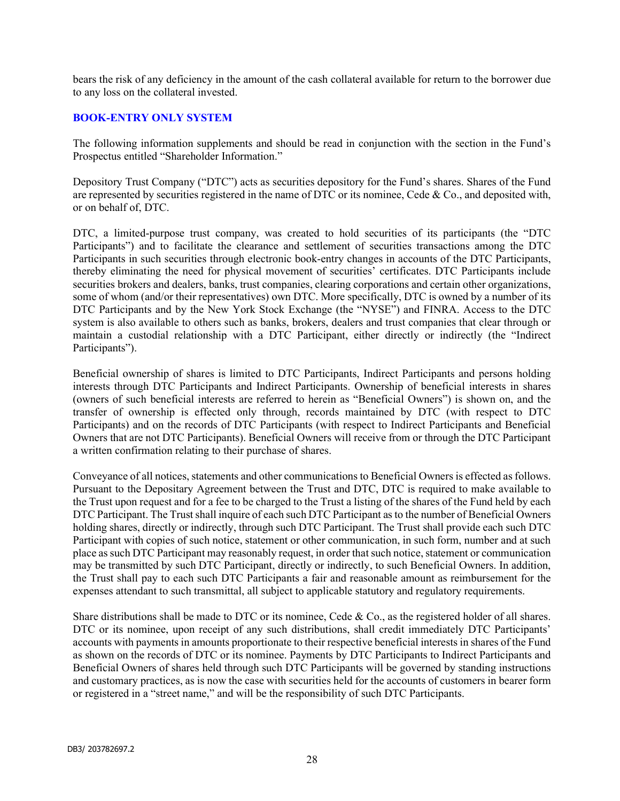bears the risk of any deficiency in the amount of the cash collateral available for return to the borrower due to any loss on the collateral invested.

#### BOOK-ENTRY ONLY SYSTEM

The following information supplements and should be read in conjunction with the section in the Fund's Prospectus entitled "Shareholder Information."

Depository Trust Company ("DTC") acts as securities depository for the Fund's shares. Shares of the Fund are represented by securities registered in the name of DTC or its nominee, Cede & Co., and deposited with, or on behalf of, DTC.

DTC, a limited-purpose trust company, was created to hold securities of its participants (the "DTC Participants") and to facilitate the clearance and settlement of securities transactions among the DTC Participants in such securities through electronic book-entry changes in accounts of the DTC Participants, thereby eliminating the need for physical movement of securities' certificates. DTC Participants include securities brokers and dealers, banks, trust companies, clearing corporations and certain other organizations, some of whom (and/or their representatives) own DTC. More specifically, DTC is owned by a number of its DTC Participants and by the New York Stock Exchange (the "NYSE") and FINRA. Access to the DTC system is also available to others such as banks, brokers, dealers and trust companies that clear through or maintain a custodial relationship with a DTC Participant, either directly or indirectly (the "Indirect Participants").

Beneficial ownership of shares is limited to DTC Participants, Indirect Participants and persons holding interests through DTC Participants and Indirect Participants. Ownership of beneficial interests in shares (owners of such beneficial interests are referred to herein as "Beneficial Owners") is shown on, and the transfer of ownership is effected only through, records maintained by DTC (with respect to DTC Participants) and on the records of DTC Participants (with respect to Indirect Participants and Beneficial Owners that are not DTC Participants). Beneficial Owners will receive from or through the DTC Participant a written confirmation relating to their purchase of shares.

Conveyance of all notices, statements and other communications to Beneficial Owners is effected as follows. Pursuant to the Depositary Agreement between the Trust and DTC, DTC is required to make available to the Trust upon request and for a fee to be charged to the Trust a listing of the shares of the Fund held by each DTC Participant. The Trust shall inquire of each such DTC Participant as to the number of Beneficial Owners holding shares, directly or indirectly, through such DTC Participant. The Trust shall provide each such DTC Participant with copies of such notice, statement or other communication, in such form, number and at such place as such DTC Participant may reasonably request, in order that such notice, statement or communication may be transmitted by such DTC Participant, directly or indirectly, to such Beneficial Owners. In addition, the Trust shall pay to each such DTC Participants a fair and reasonable amount as reimbursement for the expenses attendant to such transmittal, all subject to applicable statutory and regulatory requirements.

Share distributions shall be made to DTC or its nominee, Cede & Co., as the registered holder of all shares. DTC or its nominee, upon receipt of any such distributions, shall credit immediately DTC Participants' accounts with payments in amounts proportionate to their respective beneficial interests in shares of the Fund as shown on the records of DTC or its nominee. Payments by DTC Participants to Indirect Participants and Beneficial Owners of shares held through such DTC Participants will be governed by standing instructions and customary practices, as is now the case with securities held for the accounts of customers in bearer form or registered in a "street name," and will be the responsibility of such DTC Participants.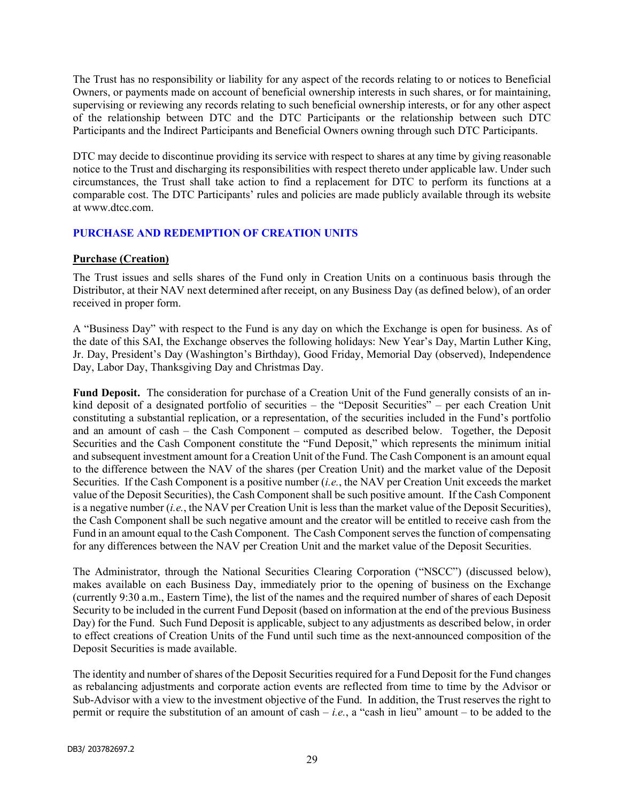The Trust has no responsibility or liability for any aspect of the records relating to or notices to Beneficial Owners, or payments made on account of beneficial ownership interests in such shares, or for maintaining, supervising or reviewing any records relating to such beneficial ownership interests, or for any other aspect of the relationship between DTC and the DTC Participants or the relationship between such DTC Participants and the Indirect Participants and Beneficial Owners owning through such DTC Participants.

DTC may decide to discontinue providing its service with respect to shares at any time by giving reasonable notice to the Trust and discharging its responsibilities with respect thereto under applicable law. Under such circumstances, the Trust shall take action to find a replacement for DTC to perform its functions at a comparable cost. The DTC Participants' rules and policies are made publicly available through its website at www.dtcc.com.

## PURCHASE AND REDEMPTION OF CREATION UNITS

## Purchase (Creation)

The Trust issues and sells shares of the Fund only in Creation Units on a continuous basis through the Distributor, at their NAV next determined after receipt, on any Business Day (as defined below), of an order received in proper form.

A "Business Day" with respect to the Fund is any day on which the Exchange is open for business. As of the date of this SAI, the Exchange observes the following holidays: New Year's Day, Martin Luther King, Jr. Day, President's Day (Washington's Birthday), Good Friday, Memorial Day (observed), Independence Day, Labor Day, Thanksgiving Day and Christmas Day.

Fund Deposit. The consideration for purchase of a Creation Unit of the Fund generally consists of an inkind deposit of a designated portfolio of securities – the "Deposit Securities" – per each Creation Unit constituting a substantial replication, or a representation, of the securities included in the Fund's portfolio and an amount of cash – the Cash Component – computed as described below. Together, the Deposit Securities and the Cash Component constitute the "Fund Deposit," which represents the minimum initial and subsequent investment amount for a Creation Unit of the Fund. The Cash Component is an amount equal to the difference between the NAV of the shares (per Creation Unit) and the market value of the Deposit Securities. If the Cash Component is a positive number (*i.e.*, the NAV per Creation Unit exceeds the market value of the Deposit Securities), the Cash Component shall be such positive amount. If the Cash Component is a negative number  $(i.e.,$  the NAV per Creation Unit is less than the market value of the Deposit Securities), the Cash Component shall be such negative amount and the creator will be entitled to receive cash from the Fund in an amount equal to the Cash Component. The Cash Component serves the function of compensating for any differences between the NAV per Creation Unit and the market value of the Deposit Securities.

The Administrator, through the National Securities Clearing Corporation ("NSCC") (discussed below), makes available on each Business Day, immediately prior to the opening of business on the Exchange (currently 9:30 a.m., Eastern Time), the list of the names and the required number of shares of each Deposit Security to be included in the current Fund Deposit (based on information at the end of the previous Business Day) for the Fund. Such Fund Deposit is applicable, subject to any adjustments as described below, in order to effect creations of Creation Units of the Fund until such time as the next-announced composition of the Deposit Securities is made available.

The identity and number of shares of the Deposit Securities required for a Fund Deposit for the Fund changes as rebalancing adjustments and corporate action events are reflected from time to time by the Advisor or Sub-Advisor with a view to the investment objective of the Fund. In addition, the Trust reserves the right to permit or require the substitution of an amount of cash – *i.e.*, a "cash in lieu" amount – to be added to the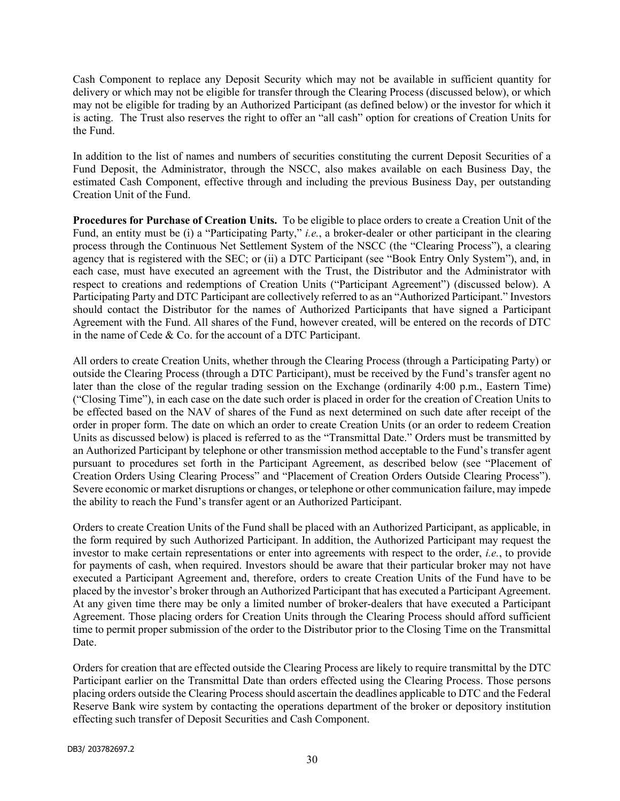Cash Component to replace any Deposit Security which may not be available in sufficient quantity for delivery or which may not be eligible for transfer through the Clearing Process (discussed below), or which may not be eligible for trading by an Authorized Participant (as defined below) or the investor for which it is acting. The Trust also reserves the right to offer an "all cash" option for creations of Creation Units for the Fund.

In addition to the list of names and numbers of securities constituting the current Deposit Securities of a Fund Deposit, the Administrator, through the NSCC, also makes available on each Business Day, the estimated Cash Component, effective through and including the previous Business Day, per outstanding Creation Unit of the Fund.

Procedures for Purchase of Creation Units. To be eligible to place orders to create a Creation Unit of the Fund, an entity must be (i) a "Participating Party," i.e., a broker-dealer or other participant in the clearing process through the Continuous Net Settlement System of the NSCC (the "Clearing Process"), a clearing agency that is registered with the SEC; or (ii) a DTC Participant (see "Book Entry Only System"), and, in each case, must have executed an agreement with the Trust, the Distributor and the Administrator with respect to creations and redemptions of Creation Units ("Participant Agreement") (discussed below). A Participating Party and DTC Participant are collectively referred to as an "Authorized Participant." Investors should contact the Distributor for the names of Authorized Participants that have signed a Participant Agreement with the Fund. All shares of the Fund, however created, will be entered on the records of DTC in the name of Cede & Co. for the account of a DTC Participant.

All orders to create Creation Units, whether through the Clearing Process (through a Participating Party) or outside the Clearing Process (through a DTC Participant), must be received by the Fund's transfer agent no later than the close of the regular trading session on the Exchange (ordinarily 4:00 p.m., Eastern Time) ("Closing Time"), in each case on the date such order is placed in order for the creation of Creation Units to be effected based on the NAV of shares of the Fund as next determined on such date after receipt of the order in proper form. The date on which an order to create Creation Units (or an order to redeem Creation Units as discussed below) is placed is referred to as the "Transmittal Date." Orders must be transmitted by an Authorized Participant by telephone or other transmission method acceptable to the Fund's transfer agent pursuant to procedures set forth in the Participant Agreement, as described below (see "Placement of Creation Orders Using Clearing Process" and "Placement of Creation Orders Outside Clearing Process"). Severe economic or market disruptions or changes, or telephone or other communication failure, may impede the ability to reach the Fund's transfer agent or an Authorized Participant.

Orders to create Creation Units of the Fund shall be placed with an Authorized Participant, as applicable, in the form required by such Authorized Participant. In addition, the Authorized Participant may request the investor to make certain representations or enter into agreements with respect to the order, i.e., to provide for payments of cash, when required. Investors should be aware that their particular broker may not have executed a Participant Agreement and, therefore, orders to create Creation Units of the Fund have to be placed by the investor's broker through an Authorized Participant that has executed a Participant Agreement. At any given time there may be only a limited number of broker-dealers that have executed a Participant Agreement. Those placing orders for Creation Units through the Clearing Process should afford sufficient time to permit proper submission of the order to the Distributor prior to the Closing Time on the Transmittal Date.

Orders for creation that are effected outside the Clearing Process are likely to require transmittal by the DTC Participant earlier on the Transmittal Date than orders effected using the Clearing Process. Those persons placing orders outside the Clearing Process should ascertain the deadlines applicable to DTC and the Federal Reserve Bank wire system by contacting the operations department of the broker or depository institution effecting such transfer of Deposit Securities and Cash Component.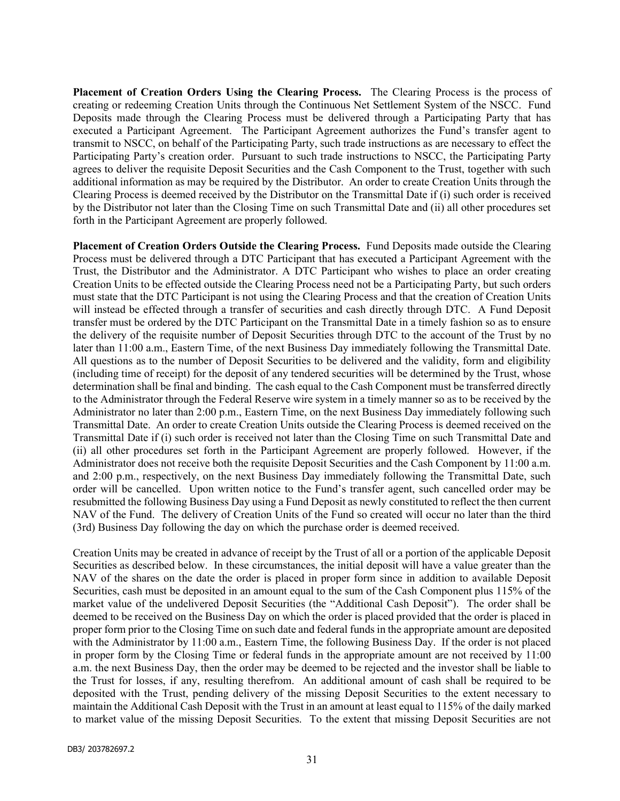Placement of Creation Orders Using the Clearing Process. The Clearing Process is the process of creating or redeeming Creation Units through the Continuous Net Settlement System of the NSCC. Fund Deposits made through the Clearing Process must be delivered through a Participating Party that has executed a Participant Agreement. The Participant Agreement authorizes the Fund's transfer agent to transmit to NSCC, on behalf of the Participating Party, such trade instructions as are necessary to effect the Participating Party's creation order. Pursuant to such trade instructions to NSCC, the Participating Party agrees to deliver the requisite Deposit Securities and the Cash Component to the Trust, together with such additional information as may be required by the Distributor. An order to create Creation Units through the Clearing Process is deemed received by the Distributor on the Transmittal Date if (i) such order is received by the Distributor not later than the Closing Time on such Transmittal Date and (ii) all other procedures set forth in the Participant Agreement are properly followed.

Placement of Creation Orders Outside the Clearing Process. Fund Deposits made outside the Clearing Process must be delivered through a DTC Participant that has executed a Participant Agreement with the Trust, the Distributor and the Administrator. A DTC Participant who wishes to place an order creating Creation Units to be effected outside the Clearing Process need not be a Participating Party, but such orders must state that the DTC Participant is not using the Clearing Process and that the creation of Creation Units will instead be effected through a transfer of securities and cash directly through DTC. A Fund Deposit transfer must be ordered by the DTC Participant on the Transmittal Date in a timely fashion so as to ensure the delivery of the requisite number of Deposit Securities through DTC to the account of the Trust by no later than 11:00 a.m., Eastern Time, of the next Business Day immediately following the Transmittal Date. All questions as to the number of Deposit Securities to be delivered and the validity, form and eligibility (including time of receipt) for the deposit of any tendered securities will be determined by the Trust, whose determination shall be final and binding. The cash equal to the Cash Component must be transferred directly to the Administrator through the Federal Reserve wire system in a timely manner so as to be received by the Administrator no later than 2:00 p.m., Eastern Time, on the next Business Day immediately following such Transmittal Date. An order to create Creation Units outside the Clearing Process is deemed received on the Transmittal Date if (i) such order is received not later than the Closing Time on such Transmittal Date and (ii) all other procedures set forth in the Participant Agreement are properly followed. However, if the Administrator does not receive both the requisite Deposit Securities and the Cash Component by 11:00 a.m. and 2:00 p.m., respectively, on the next Business Day immediately following the Transmittal Date, such order will be cancelled. Upon written notice to the Fund's transfer agent, such cancelled order may be resubmitted the following Business Day using a Fund Deposit as newly constituted to reflect the then current NAV of the Fund. The delivery of Creation Units of the Fund so created will occur no later than the third (3rd) Business Day following the day on which the purchase order is deemed received.

Creation Units may be created in advance of receipt by the Trust of all or a portion of the applicable Deposit Securities as described below. In these circumstances, the initial deposit will have a value greater than the NAV of the shares on the date the order is placed in proper form since in addition to available Deposit Securities, cash must be deposited in an amount equal to the sum of the Cash Component plus 115% of the market value of the undelivered Deposit Securities (the "Additional Cash Deposit"). The order shall be deemed to be received on the Business Day on which the order is placed provided that the order is placed in proper form prior to the Closing Time on such date and federal funds in the appropriate amount are deposited with the Administrator by 11:00 a.m., Eastern Time, the following Business Day. If the order is not placed in proper form by the Closing Time or federal funds in the appropriate amount are not received by 11:00 a.m. the next Business Day, then the order may be deemed to be rejected and the investor shall be liable to the Trust for losses, if any, resulting therefrom. An additional amount of cash shall be required to be deposited with the Trust, pending delivery of the missing Deposit Securities to the extent necessary to maintain the Additional Cash Deposit with the Trust in an amount at least equal to 115% of the daily marked to market value of the missing Deposit Securities. To the extent that missing Deposit Securities are not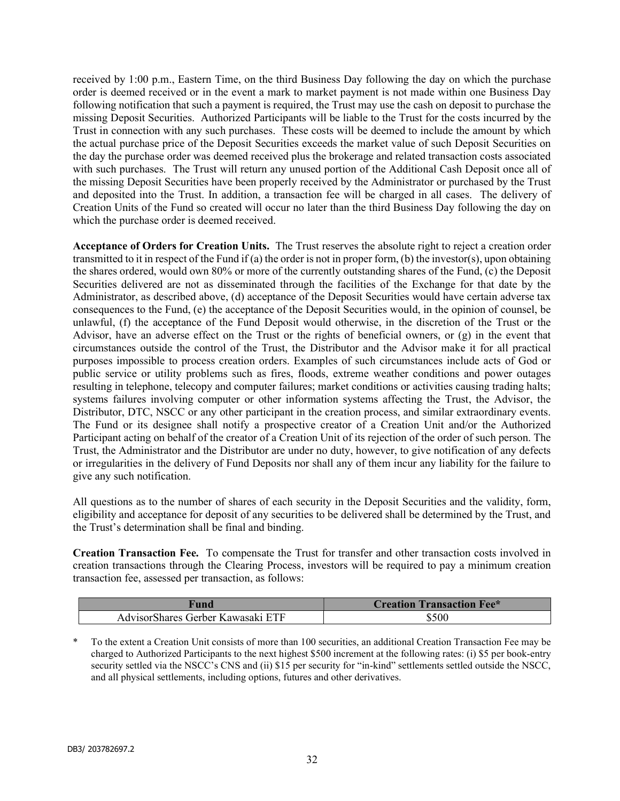received by 1:00 p.m., Eastern Time, on the third Business Day following the day on which the purchase order is deemed received or in the event a mark to market payment is not made within one Business Day following notification that such a payment is required, the Trust may use the cash on deposit to purchase the missing Deposit Securities. Authorized Participants will be liable to the Trust for the costs incurred by the Trust in connection with any such purchases. These costs will be deemed to include the amount by which the actual purchase price of the Deposit Securities exceeds the market value of such Deposit Securities on the day the purchase order was deemed received plus the brokerage and related transaction costs associated with such purchases. The Trust will return any unused portion of the Additional Cash Deposit once all of the missing Deposit Securities have been properly received by the Administrator or purchased by the Trust and deposited into the Trust. In addition, a transaction fee will be charged in all cases. The delivery of Creation Units of the Fund so created will occur no later than the third Business Day following the day on which the purchase order is deemed received.

Acceptance of Orders for Creation Units. The Trust reserves the absolute right to reject a creation order transmitted to it in respect of the Fund if (a) the order is not in proper form, (b) the investor(s), upon obtaining the shares ordered, would own 80% or more of the currently outstanding shares of the Fund, (c) the Deposit Securities delivered are not as disseminated through the facilities of the Exchange for that date by the Administrator, as described above, (d) acceptance of the Deposit Securities would have certain adverse tax consequences to the Fund, (e) the acceptance of the Deposit Securities would, in the opinion of counsel, be unlawful, (f) the acceptance of the Fund Deposit would otherwise, in the discretion of the Trust or the Advisor, have an adverse effect on the Trust or the rights of beneficial owners, or (g) in the event that circumstances outside the control of the Trust, the Distributor and the Advisor make it for all practical purposes impossible to process creation orders. Examples of such circumstances include acts of God or public service or utility problems such as fires, floods, extreme weather conditions and power outages resulting in telephone, telecopy and computer failures; market conditions or activities causing trading halts; systems failures involving computer or other information systems affecting the Trust, the Advisor, the Distributor, DTC, NSCC or any other participant in the creation process, and similar extraordinary events. The Fund or its designee shall notify a prospective creator of a Creation Unit and/or the Authorized Participant acting on behalf of the creator of a Creation Unit of its rejection of the order of such person. The Trust, the Administrator and the Distributor are under no duty, however, to give notification of any defects or irregularities in the delivery of Fund Deposits nor shall any of them incur any liability for the failure to give any such notification.

All questions as to the number of shares of each security in the Deposit Securities and the validity, form, eligibility and acceptance for deposit of any securities to be delivered shall be determined by the Trust, and the Trust's determination shall be final and binding.

Creation Transaction Fee. To compensate the Trust for transfer and other transaction costs involved in creation transactions through the Clearing Process, investors will be required to pay a minimum creation transaction fee, assessed per transaction, as follows:

| " unu                                                            | <b>Transaction Fee*</b><br>reation |
|------------------------------------------------------------------|------------------------------------|
| <b>ETF</b><br>Advisor <sup>s</sup><br>Gerber Kawasaki)<br>Shares | \$500                              |

\* To the extent a Creation Unit consists of more than 100 securities, an additional Creation Transaction Fee may be charged to Authorized Participants to the next highest \$500 increment at the following rates: (i) \$5 per book-entry security settled via the NSCC's CNS and (ii) \$15 per security for "in-kind" settlements settled outside the NSCC, and all physical settlements, including options, futures and other derivatives.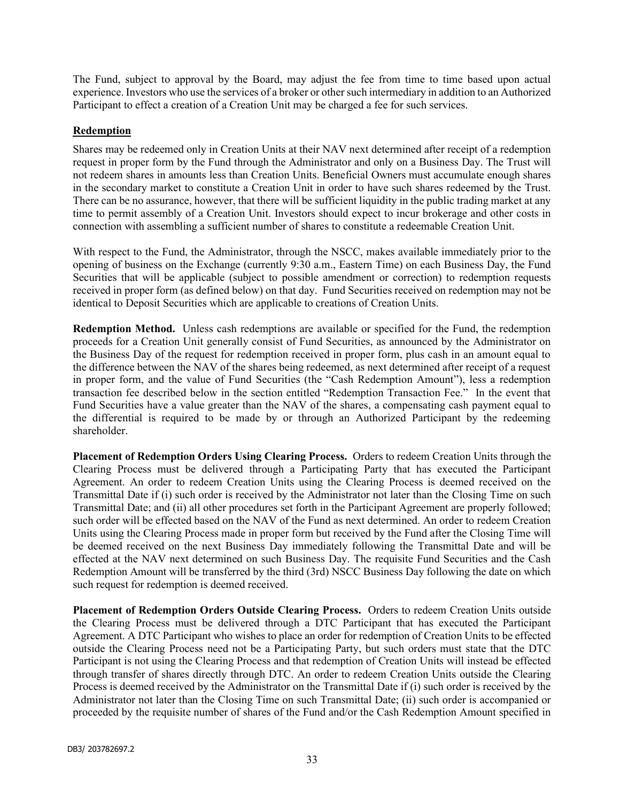The Fund, subject to approval by the Board, may adjust the fee from time to time based upon actual experience. Investors who use the services of a broker or other such intermediary in addition to an Authorized Participant to effect a creation of a Creation Unit may be charged a fee for such services.

## Redemption

Shares may be redeemed only in Creation Units at their NAV next determined after receipt of a redemption request in proper form by the Fund through the Administrator and only on a Business Day. The Trust will not redeem shares in amounts less than Creation Units. Beneficial Owners must accumulate enough shares in the secondary market to constitute a Creation Unit in order to have such shares redeemed by the Trust. There can be no assurance, however, that there will be sufficient liquidity in the public trading market at any time to permit assembly of a Creation Unit. Investors should expect to incur brokerage and other costs in connection with assembling a sufficient number of shares to constitute a redeemable Creation Unit.

With respect to the Fund, the Administrator, through the NSCC, makes available immediately prior to the opening of business on the Exchange (currently 9:30 a.m., Eastern Time) on each Business Day, the Fund Securities that will be applicable (subject to possible amendment or correction) to redemption requests received in proper form (as defined below) on that day. Fund Securities received on redemption may not be identical to Deposit Securities which are applicable to creations of Creation Units.

Redemption Method. Unless cash redemptions are available or specified for the Fund, the redemption proceeds for a Creation Unit generally consist of Fund Securities, as announced by the Administrator on the Business Day of the request for redemption received in proper form, plus cash in an amount equal to the difference between the NAV of the shares being redeemed, as next determined after receipt of a request in proper form, and the value of Fund Securities (the "Cash Redemption Amount"), less a redemption transaction fee described below in the section entitled "Redemption Transaction Fee." In the event that Fund Securities have a value greater than the NAV of the shares, a compensating cash payment equal to the differential is required to be made by or through an Authorized Participant by the redeeming shareholder.

Placement of Redemption Orders Using Clearing Process. Orders to redeem Creation Units through the Clearing Process must be delivered through a Participating Party that has executed the Participant Agreement. An order to redeem Creation Units using the Clearing Process is deemed received on the Transmittal Date if (i) such order is received by the Administrator not later than the Closing Time on such Transmittal Date; and (ii) all other procedures set forth in the Participant Agreement are properly followed; such order will be effected based on the NAV of the Fund as next determined. An order to redeem Creation Units using the Clearing Process made in proper form but received by the Fund after the Closing Time will be deemed received on the next Business Day immediately following the Transmittal Date and will be effected at the NAV next determined on such Business Day. The requisite Fund Securities and the Cash Redemption Amount will be transferred by the third (3rd) NSCC Business Day following the date on which such request for redemption is deemed received.

Placement of Redemption Orders Outside Clearing Process. Orders to redeem Creation Units outside the Clearing Process must be delivered through a DTC Participant that has executed the Participant Agreement. A DTC Participant who wishes to place an order for redemption of Creation Units to be effected outside the Clearing Process need not be a Participating Party, but such orders must state that the DTC Participant is not using the Clearing Process and that redemption of Creation Units will instead be effected through transfer of shares directly through DTC. An order to redeem Creation Units outside the Clearing Process is deemed received by the Administrator on the Transmittal Date if (i) such order is received by the Administrator not later than the Closing Time on such Transmittal Date; (ii) such order is accompanied or proceeded by the requisite number of shares of the Fund and/or the Cash Redemption Amount specified in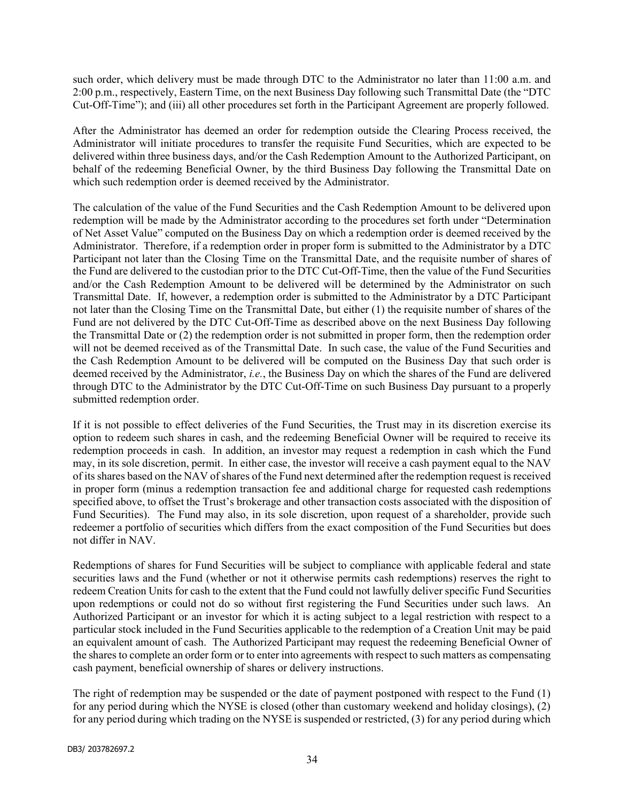such order, which delivery must be made through DTC to the Administrator no later than 11:00 a.m. and 2:00 p.m., respectively, Eastern Time, on the next Business Day following such Transmittal Date (the "DTC Cut-Off-Time"); and (iii) all other procedures set forth in the Participant Agreement are properly followed.

After the Administrator has deemed an order for redemption outside the Clearing Process received, the Administrator will initiate procedures to transfer the requisite Fund Securities, which are expected to be delivered within three business days, and/or the Cash Redemption Amount to the Authorized Participant, on behalf of the redeeming Beneficial Owner, by the third Business Day following the Transmittal Date on which such redemption order is deemed received by the Administrator.

The calculation of the value of the Fund Securities and the Cash Redemption Amount to be delivered upon redemption will be made by the Administrator according to the procedures set forth under "Determination of Net Asset Value" computed on the Business Day on which a redemption order is deemed received by the Administrator. Therefore, if a redemption order in proper form is submitted to the Administrator by a DTC Participant not later than the Closing Time on the Transmittal Date, and the requisite number of shares of the Fund are delivered to the custodian prior to the DTC Cut-Off-Time, then the value of the Fund Securities and/or the Cash Redemption Amount to be delivered will be determined by the Administrator on such Transmittal Date. If, however, a redemption order is submitted to the Administrator by a DTC Participant not later than the Closing Time on the Transmittal Date, but either (1) the requisite number of shares of the Fund are not delivered by the DTC Cut-Off-Time as described above on the next Business Day following the Transmittal Date or (2) the redemption order is not submitted in proper form, then the redemption order will not be deemed received as of the Transmittal Date. In such case, the value of the Fund Securities and the Cash Redemption Amount to be delivered will be computed on the Business Day that such order is deemed received by the Administrator, *i.e.*, the Business Day on which the shares of the Fund are delivered through DTC to the Administrator by the DTC Cut-Off-Time on such Business Day pursuant to a properly submitted redemption order.

If it is not possible to effect deliveries of the Fund Securities, the Trust may in its discretion exercise its option to redeem such shares in cash, and the redeeming Beneficial Owner will be required to receive its redemption proceeds in cash. In addition, an investor may request a redemption in cash which the Fund may, in its sole discretion, permit. In either case, the investor will receive a cash payment equal to the NAV of its shares based on the NAV of shares of the Fund next determined after the redemption request is received in proper form (minus a redemption transaction fee and additional charge for requested cash redemptions specified above, to offset the Trust's brokerage and other transaction costs associated with the disposition of Fund Securities). The Fund may also, in its sole discretion, upon request of a shareholder, provide such redeemer a portfolio of securities which differs from the exact composition of the Fund Securities but does not differ in NAV.

Redemptions of shares for Fund Securities will be subject to compliance with applicable federal and state securities laws and the Fund (whether or not it otherwise permits cash redemptions) reserves the right to redeem Creation Units for cash to the extent that the Fund could not lawfully deliver specific Fund Securities upon redemptions or could not do so without first registering the Fund Securities under such laws. An Authorized Participant or an investor for which it is acting subject to a legal restriction with respect to a particular stock included in the Fund Securities applicable to the redemption of a Creation Unit may be paid an equivalent amount of cash. The Authorized Participant may request the redeeming Beneficial Owner of the shares to complete an order form or to enter into agreements with respect to such matters as compensating cash payment, beneficial ownership of shares or delivery instructions.

The right of redemption may be suspended or the date of payment postponed with respect to the Fund (1) for any period during which the NYSE is closed (other than customary weekend and holiday closings), (2) for any period during which trading on the NYSE is suspended or restricted, (3) for any period during which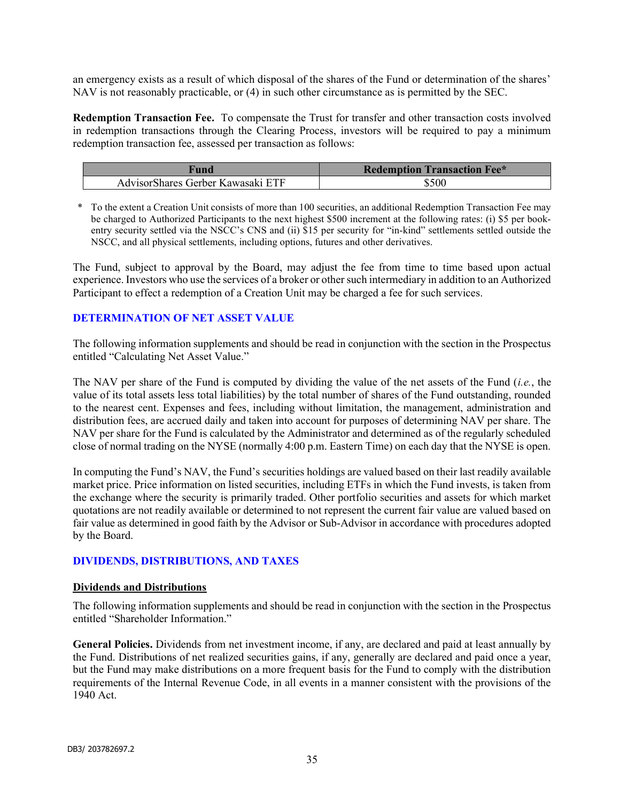an emergency exists as a result of which disposal of the shares of the Fund or determination of the shares' NAV is not reasonably practicable, or (4) in such other circumstance as is permitted by the SEC.

Redemption Transaction Fee. To compensate the Trust for transfer and other transaction costs involved in redemption transactions through the Clearing Process, investors will be required to pay a minimum redemption transaction fee, assessed per transaction as follows:

| †und                              | <b>Redemption Transaction Fee*</b> |
|-----------------------------------|------------------------------------|
| AdvisorShares Gerber Kawasaki ETF | \$500                              |

\* To the extent a Creation Unit consists of more than 100 securities, an additional Redemption Transaction Fee may be charged to Authorized Participants to the next highest \$500 increment at the following rates: (i) \$5 per bookentry security settled via the NSCC's CNS and (ii) \$15 per security for "in-kind" settlements settled outside the NSCC, and all physical settlements, including options, futures and other derivatives.

The Fund, subject to approval by the Board, may adjust the fee from time to time based upon actual experience. Investors who use the services of a broker or other such intermediary in addition to an Authorized Participant to effect a redemption of a Creation Unit may be charged a fee for such services.

#### DETERMINATION OF NET ASSET VALUE

The following information supplements and should be read in conjunction with the section in the Prospectus entitled "Calculating Net Asset Value."

The NAV per share of the Fund is computed by dividing the value of the net assets of the Fund (i.e., the value of its total assets less total liabilities) by the total number of shares of the Fund outstanding, rounded to the nearest cent. Expenses and fees, including without limitation, the management, administration and distribution fees, are accrued daily and taken into account for purposes of determining NAV per share. The NAV per share for the Fund is calculated by the Administrator and determined as of the regularly scheduled close of normal trading on the NYSE (normally 4:00 p.m. Eastern Time) on each day that the NYSE is open.

In computing the Fund's NAV, the Fund's securities holdings are valued based on their last readily available market price. Price information on listed securities, including ETFs in which the Fund invests, is taken from the exchange where the security is primarily traded. Other portfolio securities and assets for which market quotations are not readily available or determined to not represent the current fair value are valued based on fair value as determined in good faith by the Advisor or Sub-Advisor in accordance with procedures adopted by the Board.

# DIVIDENDS, DISTRIBUTIONS, AND TAXES

#### Dividends and Distributions

The following information supplements and should be read in conjunction with the section in the Prospectus entitled "Shareholder Information."

General Policies. Dividends from net investment income, if any, are declared and paid at least annually by the Fund. Distributions of net realized securities gains, if any, generally are declared and paid once a year, but the Fund may make distributions on a more frequent basis for the Fund to comply with the distribution requirements of the Internal Revenue Code, in all events in a manner consistent with the provisions of the 1940 Act.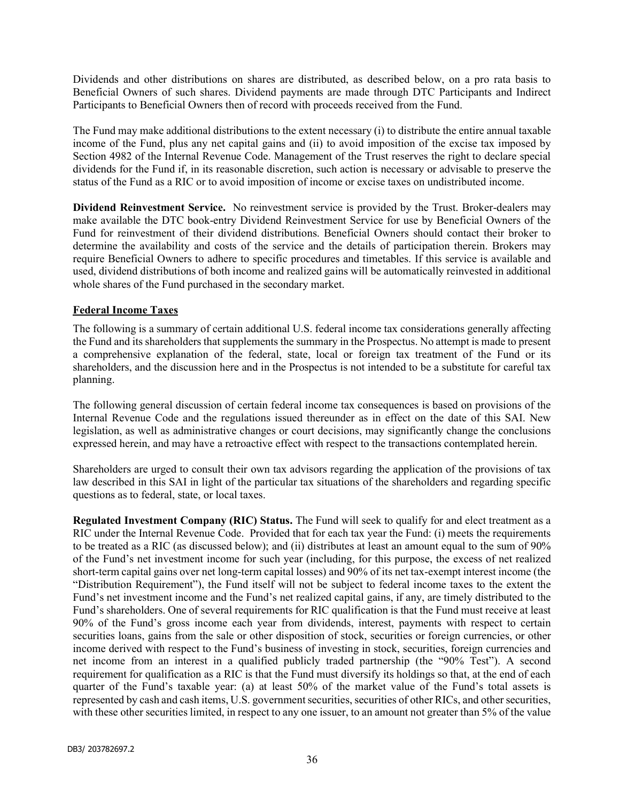Dividends and other distributions on shares are distributed, as described below, on a pro rata basis to Beneficial Owners of such shares. Dividend payments are made through DTC Participants and Indirect Participants to Beneficial Owners then of record with proceeds received from the Fund.

The Fund may make additional distributions to the extent necessary (i) to distribute the entire annual taxable income of the Fund, plus any net capital gains and (ii) to avoid imposition of the excise tax imposed by Section 4982 of the Internal Revenue Code. Management of the Trust reserves the right to declare special dividends for the Fund if, in its reasonable discretion, such action is necessary or advisable to preserve the status of the Fund as a RIC or to avoid imposition of income or excise taxes on undistributed income.

Dividend Reinvestment Service. No reinvestment service is provided by the Trust. Broker-dealers may make available the DTC book-entry Dividend Reinvestment Service for use by Beneficial Owners of the Fund for reinvestment of their dividend distributions. Beneficial Owners should contact their broker to determine the availability and costs of the service and the details of participation therein. Brokers may require Beneficial Owners to adhere to specific procedures and timetables. If this service is available and used, dividend distributions of both income and realized gains will be automatically reinvested in additional whole shares of the Fund purchased in the secondary market.

## Federal Income Taxes

The following is a summary of certain additional U.S. federal income tax considerations generally affecting the Fund and its shareholders that supplements the summary in the Prospectus. No attempt is made to present a comprehensive explanation of the federal, state, local or foreign tax treatment of the Fund or its shareholders, and the discussion here and in the Prospectus is not intended to be a substitute for careful tax planning.

The following general discussion of certain federal income tax consequences is based on provisions of the Internal Revenue Code and the regulations issued thereunder as in effect on the date of this SAI. New legislation, as well as administrative changes or court decisions, may significantly change the conclusions expressed herein, and may have a retroactive effect with respect to the transactions contemplated herein.

Shareholders are urged to consult their own tax advisors regarding the application of the provisions of tax law described in this SAI in light of the particular tax situations of the shareholders and regarding specific questions as to federal, state, or local taxes.

Regulated Investment Company (RIC) Status. The Fund will seek to qualify for and elect treatment as a RIC under the Internal Revenue Code. Provided that for each tax year the Fund: (i) meets the requirements to be treated as a RIC (as discussed below); and (ii) distributes at least an amount equal to the sum of 90% of the Fund's net investment income for such year (including, for this purpose, the excess of net realized short-term capital gains over net long-term capital losses) and 90% of its net tax-exempt interest income (the "Distribution Requirement"), the Fund itself will not be subject to federal income taxes to the extent the Fund's net investment income and the Fund's net realized capital gains, if any, are timely distributed to the Fund's shareholders. One of several requirements for RIC qualification is that the Fund must receive at least 90% of the Fund's gross income each year from dividends, interest, payments with respect to certain securities loans, gains from the sale or other disposition of stock, securities or foreign currencies, or other income derived with respect to the Fund's business of investing in stock, securities, foreign currencies and net income from an interest in a qualified publicly traded partnership (the "90% Test"). A second requirement for qualification as a RIC is that the Fund must diversify its holdings so that, at the end of each quarter of the Fund's taxable year: (a) at least 50% of the market value of the Fund's total assets is represented by cash and cash items, U.S. government securities, securities of other RICs, and other securities, with these other securities limited, in respect to any one issuer, to an amount not greater than 5% of the value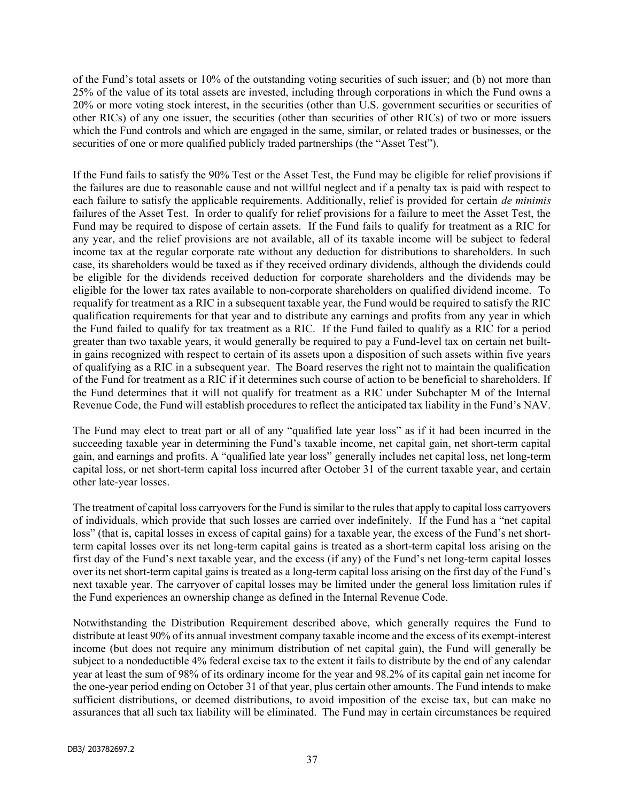of the Fund's total assets or 10% of the outstanding voting securities of such issuer; and (b) not more than 25% of the value of its total assets are invested, including through corporations in which the Fund owns a 20% or more voting stock interest, in the securities (other than U.S. government securities or securities of other RICs) of any one issuer, the securities (other than securities of other RICs) of two or more issuers which the Fund controls and which are engaged in the same, similar, or related trades or businesses, or the securities of one or more qualified publicly traded partnerships (the "Asset Test").

If the Fund fails to satisfy the 90% Test or the Asset Test, the Fund may be eligible for relief provisions if the failures are due to reasonable cause and not willful neglect and if a penalty tax is paid with respect to each failure to satisfy the applicable requirements. Additionally, relief is provided for certain de minimis failures of the Asset Test. In order to qualify for relief provisions for a failure to meet the Asset Test, the Fund may be required to dispose of certain assets. If the Fund fails to qualify for treatment as a RIC for any year, and the relief provisions are not available, all of its taxable income will be subject to federal income tax at the regular corporate rate without any deduction for distributions to shareholders. In such case, its shareholders would be taxed as if they received ordinary dividends, although the dividends could be eligible for the dividends received deduction for corporate shareholders and the dividends may be eligible for the lower tax rates available to non-corporate shareholders on qualified dividend income. To requalify for treatment as a RIC in a subsequent taxable year, the Fund would be required to satisfy the RIC qualification requirements for that year and to distribute any earnings and profits from any year in which the Fund failed to qualify for tax treatment as a RIC. If the Fund failed to qualify as a RIC for a period greater than two taxable years, it would generally be required to pay a Fund-level tax on certain net builtin gains recognized with respect to certain of its assets upon a disposition of such assets within five years of qualifying as a RIC in a subsequent year. The Board reserves the right not to maintain the qualification of the Fund for treatment as a RIC if it determines such course of action to be beneficial to shareholders. If the Fund determines that it will not qualify for treatment as a RIC under Subchapter M of the Internal Revenue Code, the Fund will establish procedures to reflect the anticipated tax liability in the Fund's NAV.

The Fund may elect to treat part or all of any "qualified late year loss" as if it had been incurred in the succeeding taxable year in determining the Fund's taxable income, net capital gain, net short-term capital gain, and earnings and profits. A "qualified late year loss" generally includes net capital loss, net long-term capital loss, or net short-term capital loss incurred after October 31 of the current taxable year, and certain other late-year losses.

The treatment of capital loss carryovers for the Fund is similar to the rules that apply to capital loss carryovers of individuals, which provide that such losses are carried over indefinitely. If the Fund has a "net capital loss" (that is, capital losses in excess of capital gains) for a taxable year, the excess of the Fund's net shortterm capital losses over its net long-term capital gains is treated as a short-term capital loss arising on the first day of the Fund's next taxable year, and the excess (if any) of the Fund's net long-term capital losses over its net short-term capital gains is treated as a long-term capital loss arising on the first day of the Fund's next taxable year. The carryover of capital losses may be limited under the general loss limitation rules if the Fund experiences an ownership change as defined in the Internal Revenue Code.

Notwithstanding the Distribution Requirement described above, which generally requires the Fund to distribute at least 90% of its annual investment company taxable income and the excess of its exempt-interest income (but does not require any minimum distribution of net capital gain), the Fund will generally be subject to a nondeductible 4% federal excise tax to the extent it fails to distribute by the end of any calendar year at least the sum of 98% of its ordinary income for the year and 98.2% of its capital gain net income for the one-year period ending on October 31 of that year, plus certain other amounts. The Fund intends to make sufficient distributions, or deemed distributions, to avoid imposition of the excise tax, but can make no assurances that all such tax liability will be eliminated. The Fund may in certain circumstances be required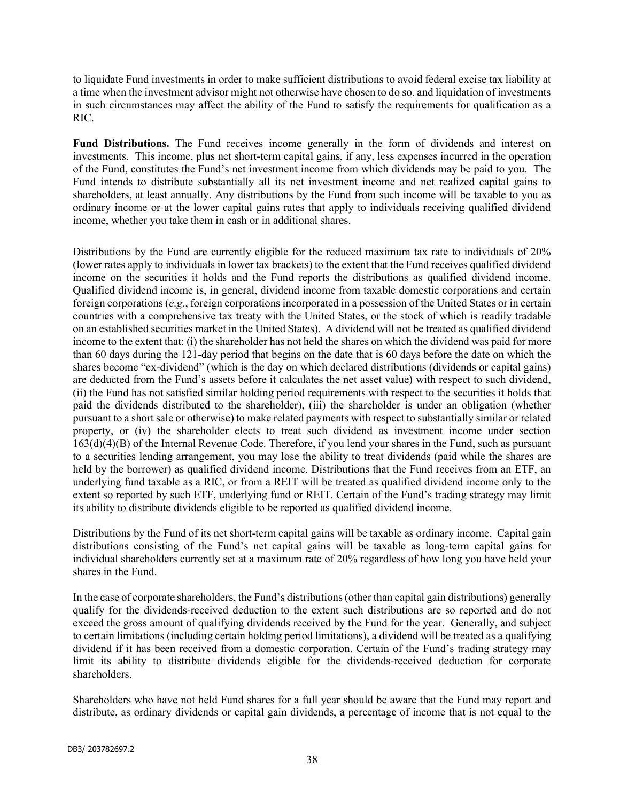to liquidate Fund investments in order to make sufficient distributions to avoid federal excise tax liability at a time when the investment advisor might not otherwise have chosen to do so, and liquidation of investments in such circumstances may affect the ability of the Fund to satisfy the requirements for qualification as a RIC.

Fund Distributions. The Fund receives income generally in the form of dividends and interest on investments. This income, plus net short-term capital gains, if any, less expenses incurred in the operation of the Fund, constitutes the Fund's net investment income from which dividends may be paid to you. The Fund intends to distribute substantially all its net investment income and net realized capital gains to shareholders, at least annually. Any distributions by the Fund from such income will be taxable to you as ordinary income or at the lower capital gains rates that apply to individuals receiving qualified dividend income, whether you take them in cash or in additional shares.

Distributions by the Fund are currently eligible for the reduced maximum tax rate to individuals of 20% (lower rates apply to individuals in lower tax brackets) to the extent that the Fund receives qualified dividend income on the securities it holds and the Fund reports the distributions as qualified dividend income. Qualified dividend income is, in general, dividend income from taxable domestic corporations and certain foreign corporations (e.g., foreign corporations incorporated in a possession of the United States or in certain countries with a comprehensive tax treaty with the United States, or the stock of which is readily tradable on an established securities market in the United States). A dividend will not be treated as qualified dividend income to the extent that: (i) the shareholder has not held the shares on which the dividend was paid for more than 60 days during the 121-day period that begins on the date that is 60 days before the date on which the shares become "ex-dividend" (which is the day on which declared distributions (dividends or capital gains) are deducted from the Fund's assets before it calculates the net asset value) with respect to such dividend, (ii) the Fund has not satisfied similar holding period requirements with respect to the securities it holds that paid the dividends distributed to the shareholder), (iii) the shareholder is under an obligation (whether pursuant to a short sale or otherwise) to make related payments with respect to substantially similar or related property, or (iv) the shareholder elects to treat such dividend as investment income under section 163(d)(4)(B) of the Internal Revenue Code. Therefore, if you lend your shares in the Fund, such as pursuant to a securities lending arrangement, you may lose the ability to treat dividends (paid while the shares are held by the borrower) as qualified dividend income. Distributions that the Fund receives from an ETF, an underlying fund taxable as a RIC, or from a REIT will be treated as qualified dividend income only to the extent so reported by such ETF, underlying fund or REIT. Certain of the Fund's trading strategy may limit its ability to distribute dividends eligible to be reported as qualified dividend income.

Distributions by the Fund of its net short-term capital gains will be taxable as ordinary income. Capital gain distributions consisting of the Fund's net capital gains will be taxable as long-term capital gains for individual shareholders currently set at a maximum rate of 20% regardless of how long you have held your shares in the Fund.

In the case of corporate shareholders, the Fund's distributions (other than capital gain distributions) generally qualify for the dividends-received deduction to the extent such distributions are so reported and do not exceed the gross amount of qualifying dividends received by the Fund for the year. Generally, and subject to certain limitations (including certain holding period limitations), a dividend will be treated as a qualifying dividend if it has been received from a domestic corporation. Certain of the Fund's trading strategy may limit its ability to distribute dividends eligible for the dividends-received deduction for corporate shareholders.

Shareholders who have not held Fund shares for a full year should be aware that the Fund may report and distribute, as ordinary dividends or capital gain dividends, a percentage of income that is not equal to the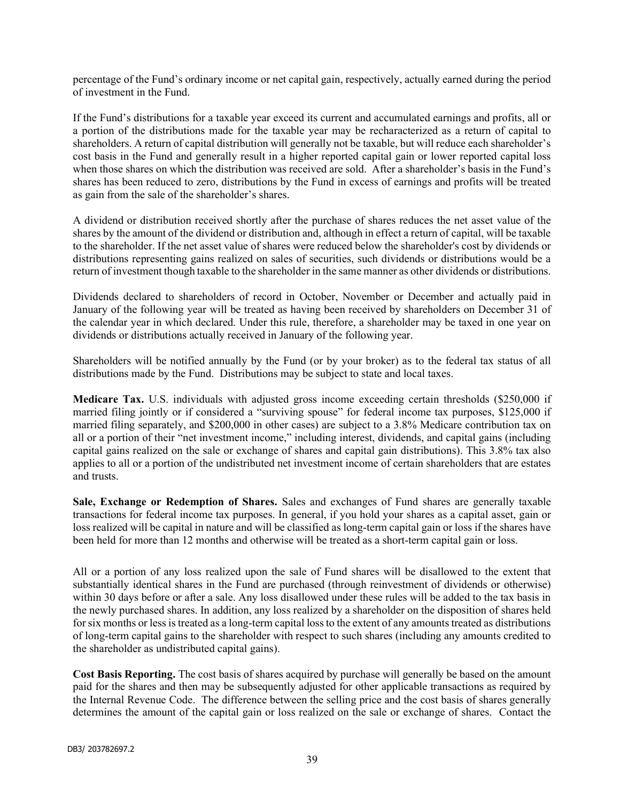percentage of the Fund's ordinary income or net capital gain, respectively, actually earned during the period of investment in the Fund.

If the Fund's distributions for a taxable year exceed its current and accumulated earnings and profits, all or a portion of the distributions made for the taxable year may be recharacterized as a return of capital to shareholders. A return of capital distribution will generally not be taxable, but will reduce each shareholder's cost basis in the Fund and generally result in a higher reported capital gain or lower reported capital loss when those shares on which the distribution was received are sold. After a shareholder's basis in the Fund's shares has been reduced to zero, distributions by the Fund in excess of earnings and profits will be treated as gain from the sale of the shareholder's shares.

A dividend or distribution received shortly after the purchase of shares reduces the net asset value of the shares by the amount of the dividend or distribution and, although in effect a return of capital, will be taxable to the shareholder. If the net asset value of shares were reduced below the shareholder's cost by dividends or distributions representing gains realized on sales of securities, such dividends or distributions would be a return of investment though taxable to the shareholder in the same manner as other dividends or distributions.

Dividends declared to shareholders of record in October, November or December and actually paid in January of the following year will be treated as having been received by shareholders on December 31 of the calendar year in which declared. Under this rule, therefore, a shareholder may be taxed in one year on dividends or distributions actually received in January of the following year.

Shareholders will be notified annually by the Fund (or by your broker) as to the federal tax status of all distributions made by the Fund. Distributions may be subject to state and local taxes.

Medicare Tax. U.S. individuals with adjusted gross income exceeding certain thresholds (\$250,000 if married filing jointly or if considered a "surviving spouse" for federal income tax purposes, \$125,000 if married filing separately, and \$200,000 in other cases) are subject to a 3.8% Medicare contribution tax on all or a portion of their "net investment income," including interest, dividends, and capital gains (including capital gains realized on the sale or exchange of shares and capital gain distributions). This 3.8% tax also applies to all or a portion of the undistributed net investment income of certain shareholders that are estates and trusts.

Sale, Exchange or Redemption of Shares. Sales and exchanges of Fund shares are generally taxable transactions for federal income tax purposes. In general, if you hold your shares as a capital asset, gain or loss realized will be capital in nature and will be classified as long-term capital gain or loss if the shares have been held for more than 12 months and otherwise will be treated as a short-term capital gain or loss.

All or a portion of any loss realized upon the sale of Fund shares will be disallowed to the extent that substantially identical shares in the Fund are purchased (through reinvestment of dividends or otherwise) within 30 days before or after a sale. Any loss disallowed under these rules will be added to the tax basis in the newly purchased shares. In addition, any loss realized by a shareholder on the disposition of shares held for six months or less is treated as a long-term capital loss to the extent of any amounts treated as distributions of long-term capital gains to the shareholder with respect to such shares (including any amounts credited to the shareholder as undistributed capital gains).

Cost Basis Reporting. The cost basis of shares acquired by purchase will generally be based on the amount paid for the shares and then may be subsequently adjusted for other applicable transactions as required by the Internal Revenue Code. The difference between the selling price and the cost basis of shares generally determines the amount of the capital gain or loss realized on the sale or exchange of shares. Contact the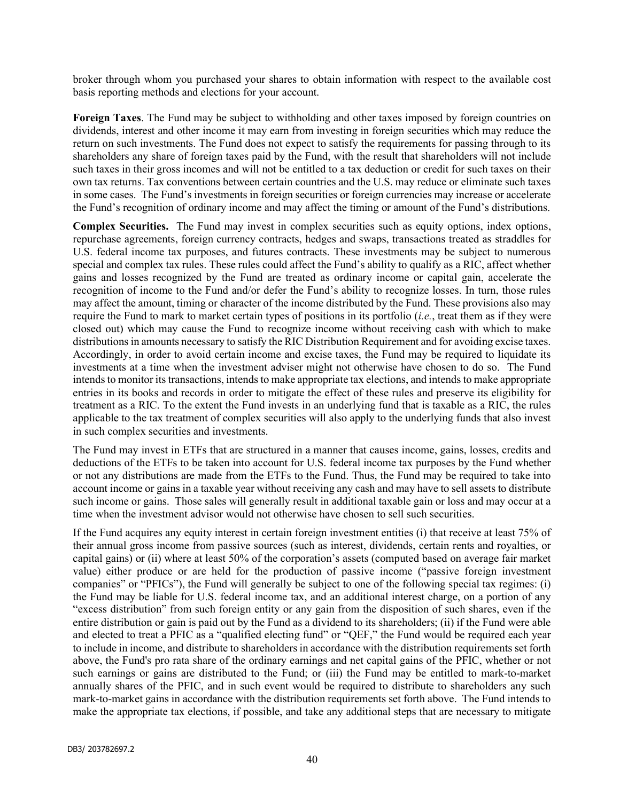broker through whom you purchased your shares to obtain information with respect to the available cost basis reporting methods and elections for your account.

Foreign Taxes. The Fund may be subject to withholding and other taxes imposed by foreign countries on dividends, interest and other income it may earn from investing in foreign securities which may reduce the return on such investments. The Fund does not expect to satisfy the requirements for passing through to its shareholders any share of foreign taxes paid by the Fund, with the result that shareholders will not include such taxes in their gross incomes and will not be entitled to a tax deduction or credit for such taxes on their own tax returns. Tax conventions between certain countries and the U.S. may reduce or eliminate such taxes in some cases. The Fund's investments in foreign securities or foreign currencies may increase or accelerate the Fund's recognition of ordinary income and may affect the timing or amount of the Fund's distributions.

Complex Securities. The Fund may invest in complex securities such as equity options, index options, repurchase agreements, foreign currency contracts, hedges and swaps, transactions treated as straddles for U.S. federal income tax purposes, and futures contracts. These investments may be subject to numerous special and complex tax rules. These rules could affect the Fund's ability to qualify as a RIC, affect whether gains and losses recognized by the Fund are treated as ordinary income or capital gain, accelerate the recognition of income to the Fund and/or defer the Fund's ability to recognize losses. In turn, those rules may affect the amount, timing or character of the income distributed by the Fund. These provisions also may require the Fund to mark to market certain types of positions in its portfolio  $(i.e.,$  treat them as if they were closed out) which may cause the Fund to recognize income without receiving cash with which to make distributions in amounts necessary to satisfy the RIC Distribution Requirement and for avoiding excise taxes. Accordingly, in order to avoid certain income and excise taxes, the Fund may be required to liquidate its investments at a time when the investment adviser might not otherwise have chosen to do so. The Fund intends to monitor its transactions, intends to make appropriate tax elections, and intends to make appropriate entries in its books and records in order to mitigate the effect of these rules and preserve its eligibility for treatment as a RIC. To the extent the Fund invests in an underlying fund that is taxable as a RIC, the rules applicable to the tax treatment of complex securities will also apply to the underlying funds that also invest in such complex securities and investments.

The Fund may invest in ETFs that are structured in a manner that causes income, gains, losses, credits and deductions of the ETFs to be taken into account for U.S. federal income tax purposes by the Fund whether or not any distributions are made from the ETFs to the Fund. Thus, the Fund may be required to take into account income or gains in a taxable year without receiving any cash and may have to sell assets to distribute such income or gains. Those sales will generally result in additional taxable gain or loss and may occur at a time when the investment advisor would not otherwise have chosen to sell such securities.

If the Fund acquires any equity interest in certain foreign investment entities (i) that receive at least 75% of their annual gross income from passive sources (such as interest, dividends, certain rents and royalties, or capital gains) or (ii) where at least 50% of the corporation's assets (computed based on average fair market value) either produce or are held for the production of passive income ("passive foreign investment companies" or "PFICs"), the Fund will generally be subject to one of the following special tax regimes: (i) the Fund may be liable for U.S. federal income tax, and an additional interest charge, on a portion of any "excess distribution" from such foreign entity or any gain from the disposition of such shares, even if the entire distribution or gain is paid out by the Fund as a dividend to its shareholders; (ii) if the Fund were able and elected to treat a PFIC as a "qualified electing fund" or "QEF," the Fund would be required each year to include in income, and distribute to shareholders in accordance with the distribution requirements set forth above, the Fund's pro rata share of the ordinary earnings and net capital gains of the PFIC, whether or not such earnings or gains are distributed to the Fund; or (iii) the Fund may be entitled to mark-to-market annually shares of the PFIC, and in such event would be required to distribute to shareholders any such mark-to-market gains in accordance with the distribution requirements set forth above. The Fund intends to make the appropriate tax elections, if possible, and take any additional steps that are necessary to mitigate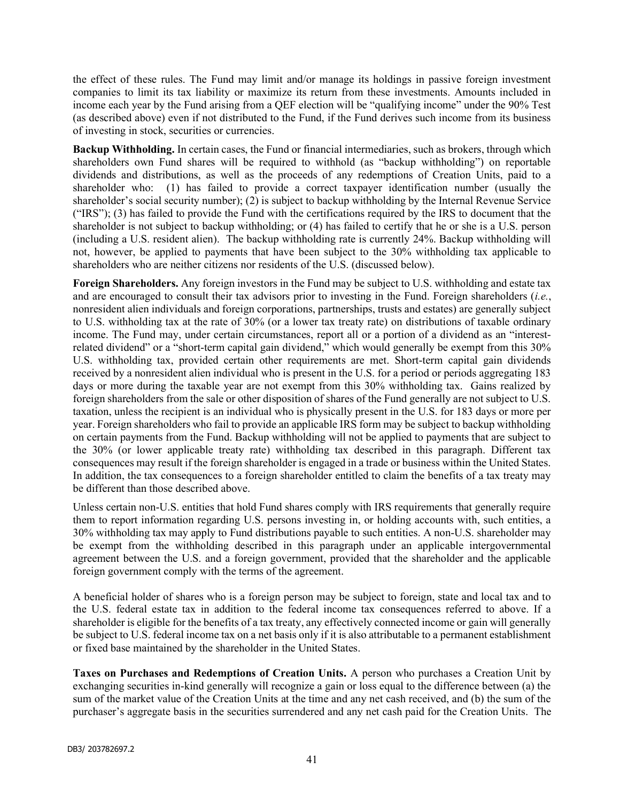the effect of these rules. The Fund may limit and/or manage its holdings in passive foreign investment companies to limit its tax liability or maximize its return from these investments. Amounts included in income each year by the Fund arising from a QEF election will be "qualifying income" under the 90% Test (as described above) even if not distributed to the Fund, if the Fund derives such income from its business of investing in stock, securities or currencies.

Backup Withholding. In certain cases, the Fund or financial intermediaries, such as brokers, through which shareholders own Fund shares will be required to withhold (as "backup withholding") on reportable dividends and distributions, as well as the proceeds of any redemptions of Creation Units, paid to a shareholder who: (1) has failed to provide a correct taxpayer identification number (usually the shareholder's social security number); (2) is subject to backup withholding by the Internal Revenue Service ("IRS"); (3) has failed to provide the Fund with the certifications required by the IRS to document that the shareholder is not subject to backup withholding; or (4) has failed to certify that he or she is a U.S. person (including a U.S. resident alien). The backup withholding rate is currently 24%. Backup withholding will not, however, be applied to payments that have been subject to the 30% withholding tax applicable to shareholders who are neither citizens nor residents of the U.S. (discussed below).

Foreign Shareholders. Any foreign investors in the Fund may be subject to U.S. withholding and estate tax and are encouraged to consult their tax advisors prior to investing in the Fund. Foreign shareholders (*i.e.*, nonresident alien individuals and foreign corporations, partnerships, trusts and estates) are generally subject to U.S. withholding tax at the rate of 30% (or a lower tax treaty rate) on distributions of taxable ordinary income. The Fund may, under certain circumstances, report all or a portion of a dividend as an "interestrelated dividend" or a "short-term capital gain dividend," which would generally be exempt from this 30% U.S. withholding tax, provided certain other requirements are met. Short-term capital gain dividends received by a nonresident alien individual who is present in the U.S. for a period or periods aggregating 183 days or more during the taxable year are not exempt from this 30% withholding tax. Gains realized by foreign shareholders from the sale or other disposition of shares of the Fund generally are not subject to U.S. taxation, unless the recipient is an individual who is physically present in the U.S. for 183 days or more per year. Foreign shareholders who fail to provide an applicable IRS form may be subject to backup withholding on certain payments from the Fund. Backup withholding will not be applied to payments that are subject to the 30% (or lower applicable treaty rate) withholding tax described in this paragraph. Different tax consequences may result if the foreign shareholder is engaged in a trade or business within the United States. In addition, the tax consequences to a foreign shareholder entitled to claim the benefits of a tax treaty may be different than those described above.

Unless certain non-U.S. entities that hold Fund shares comply with IRS requirements that generally require them to report information regarding U.S. persons investing in, or holding accounts with, such entities, a 30% withholding tax may apply to Fund distributions payable to such entities. A non-U.S. shareholder may be exempt from the withholding described in this paragraph under an applicable intergovernmental agreement between the U.S. and a foreign government, provided that the shareholder and the applicable foreign government comply with the terms of the agreement.

A beneficial holder of shares who is a foreign person may be subject to foreign, state and local tax and to the U.S. federal estate tax in addition to the federal income tax consequences referred to above. If a shareholder is eligible for the benefits of a tax treaty, any effectively connected income or gain will generally be subject to U.S. federal income tax on a net basis only if it is also attributable to a permanent establishment or fixed base maintained by the shareholder in the United States.

Taxes on Purchases and Redemptions of Creation Units. A person who purchases a Creation Unit by exchanging securities in-kind generally will recognize a gain or loss equal to the difference between (a) the sum of the market value of the Creation Units at the time and any net cash received, and (b) the sum of the purchaser's aggregate basis in the securities surrendered and any net cash paid for the Creation Units. The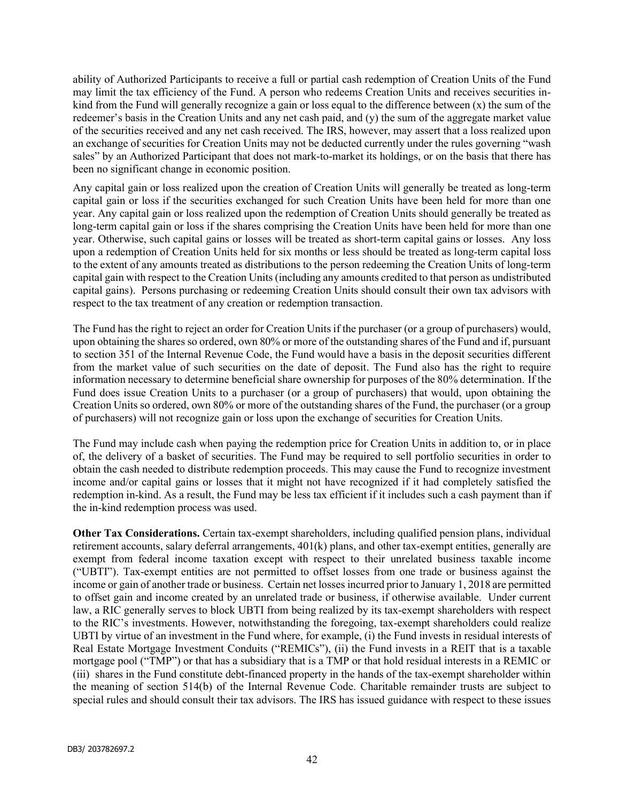ability of Authorized Participants to receive a full or partial cash redemption of Creation Units of the Fund may limit the tax efficiency of the Fund. A person who redeems Creation Units and receives securities inkind from the Fund will generally recognize a gain or loss equal to the difference between (x) the sum of the redeemer's basis in the Creation Units and any net cash paid, and (y) the sum of the aggregate market value of the securities received and any net cash received. The IRS, however, may assert that a loss realized upon an exchange of securities for Creation Units may not be deducted currently under the rules governing "wash sales" by an Authorized Participant that does not mark-to-market its holdings, or on the basis that there has been no significant change in economic position.

Any capital gain or loss realized upon the creation of Creation Units will generally be treated as long-term capital gain or loss if the securities exchanged for such Creation Units have been held for more than one year. Any capital gain or loss realized upon the redemption of Creation Units should generally be treated as long-term capital gain or loss if the shares comprising the Creation Units have been held for more than one year. Otherwise, such capital gains or losses will be treated as short-term capital gains or losses. Any loss upon a redemption of Creation Units held for six months or less should be treated as long-term capital loss to the extent of any amounts treated as distributions to the person redeeming the Creation Units of long-term capital gain with respect to the Creation Units (including any amounts credited to that person as undistributed capital gains). Persons purchasing or redeeming Creation Units should consult their own tax advisors with respect to the tax treatment of any creation or redemption transaction.

The Fund has the right to reject an order for Creation Units if the purchaser (or a group of purchasers) would, upon obtaining the shares so ordered, own 80% or more of the outstanding shares of the Fund and if, pursuant to section 351 of the Internal Revenue Code, the Fund would have a basis in the deposit securities different from the market value of such securities on the date of deposit. The Fund also has the right to require information necessary to determine beneficial share ownership for purposes of the 80% determination. If the Fund does issue Creation Units to a purchaser (or a group of purchasers) that would, upon obtaining the Creation Units so ordered, own 80% or more of the outstanding shares of the Fund, the purchaser (or a group of purchasers) will not recognize gain or loss upon the exchange of securities for Creation Units.

The Fund may include cash when paying the redemption price for Creation Units in addition to, or in place of, the delivery of a basket of securities. The Fund may be required to sell portfolio securities in order to obtain the cash needed to distribute redemption proceeds. This may cause the Fund to recognize investment income and/or capital gains or losses that it might not have recognized if it had completely satisfied the redemption in-kind. As a result, the Fund may be less tax efficient if it includes such a cash payment than if the in-kind redemption process was used.

Other Tax Considerations. Certain tax-exempt shareholders, including qualified pension plans, individual retirement accounts, salary deferral arrangements, 401(k) plans, and other tax-exempt entities, generally are exempt from federal income taxation except with respect to their unrelated business taxable income ("UBTI"). Tax-exempt entities are not permitted to offset losses from one trade or business against the income or gain of another trade or business. Certain net losses incurred prior to January 1, 2018 are permitted to offset gain and income created by an unrelated trade or business, if otherwise available. Under current law, a RIC generally serves to block UBTI from being realized by its tax-exempt shareholders with respect to the RIC's investments. However, notwithstanding the foregoing, tax-exempt shareholders could realize UBTI by virtue of an investment in the Fund where, for example, (i) the Fund invests in residual interests of Real Estate Mortgage Investment Conduits ("REMICs"), (ii) the Fund invests in a REIT that is a taxable mortgage pool ("TMP") or that has a subsidiary that is a TMP or that hold residual interests in a REMIC or (iii) shares in the Fund constitute debt-financed property in the hands of the tax-exempt shareholder within the meaning of section 514(b) of the Internal Revenue Code. Charitable remainder trusts are subject to special rules and should consult their tax advisors. The IRS has issued guidance with respect to these issues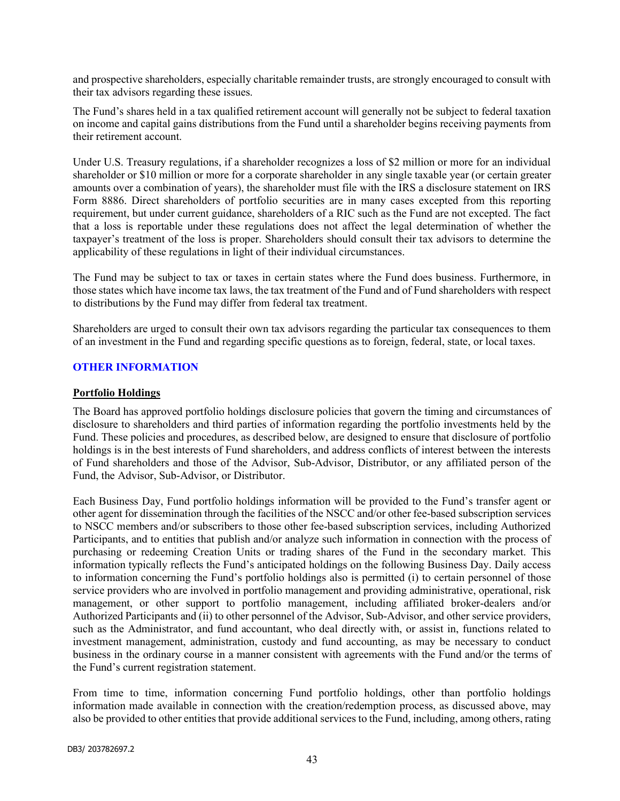and prospective shareholders, especially charitable remainder trusts, are strongly encouraged to consult with their tax advisors regarding these issues.

The Fund's shares held in a tax qualified retirement account will generally not be subject to federal taxation on income and capital gains distributions from the Fund until a shareholder begins receiving payments from their retirement account.

Under U.S. Treasury regulations, if a shareholder recognizes a loss of \$2 million or more for an individual shareholder or \$10 million or more for a corporate shareholder in any single taxable year (or certain greater amounts over a combination of years), the shareholder must file with the IRS a disclosure statement on IRS Form 8886. Direct shareholders of portfolio securities are in many cases excepted from this reporting requirement, but under current guidance, shareholders of a RIC such as the Fund are not excepted. The fact that a loss is reportable under these regulations does not affect the legal determination of whether the taxpayer's treatment of the loss is proper. Shareholders should consult their tax advisors to determine the applicability of these regulations in light of their individual circumstances.

The Fund may be subject to tax or taxes in certain states where the Fund does business. Furthermore, in those states which have income tax laws, the tax treatment of the Fund and of Fund shareholders with respect to distributions by the Fund may differ from federal tax treatment.

Shareholders are urged to consult their own tax advisors regarding the particular tax consequences to them of an investment in the Fund and regarding specific questions as to foreign, federal, state, or local taxes.

## OTHER INFORMATION

#### Portfolio Holdings

The Board has approved portfolio holdings disclosure policies that govern the timing and circumstances of disclosure to shareholders and third parties of information regarding the portfolio investments held by the Fund. These policies and procedures, as described below, are designed to ensure that disclosure of portfolio holdings is in the best interests of Fund shareholders, and address conflicts of interest between the interests of Fund shareholders and those of the Advisor, Sub-Advisor, Distributor, or any affiliated person of the Fund, the Advisor, Sub-Advisor, or Distributor.

Each Business Day, Fund portfolio holdings information will be provided to the Fund's transfer agent or other agent for dissemination through the facilities of the NSCC and/or other fee-based subscription services to NSCC members and/or subscribers to those other fee-based subscription services, including Authorized Participants, and to entities that publish and/or analyze such information in connection with the process of purchasing or redeeming Creation Units or trading shares of the Fund in the secondary market. This information typically reflects the Fund's anticipated holdings on the following Business Day. Daily access to information concerning the Fund's portfolio holdings also is permitted (i) to certain personnel of those service providers who are involved in portfolio management and providing administrative, operational, risk management, or other support to portfolio management, including affiliated broker-dealers and/or Authorized Participants and (ii) to other personnel of the Advisor, Sub-Advisor, and other service providers, such as the Administrator, and fund accountant, who deal directly with, or assist in, functions related to investment management, administration, custody and fund accounting, as may be necessary to conduct business in the ordinary course in a manner consistent with agreements with the Fund and/or the terms of the Fund's current registration statement.

From time to time, information concerning Fund portfolio holdings, other than portfolio holdings information made available in connection with the creation/redemption process, as discussed above, may also be provided to other entities that provide additional services to the Fund, including, among others, rating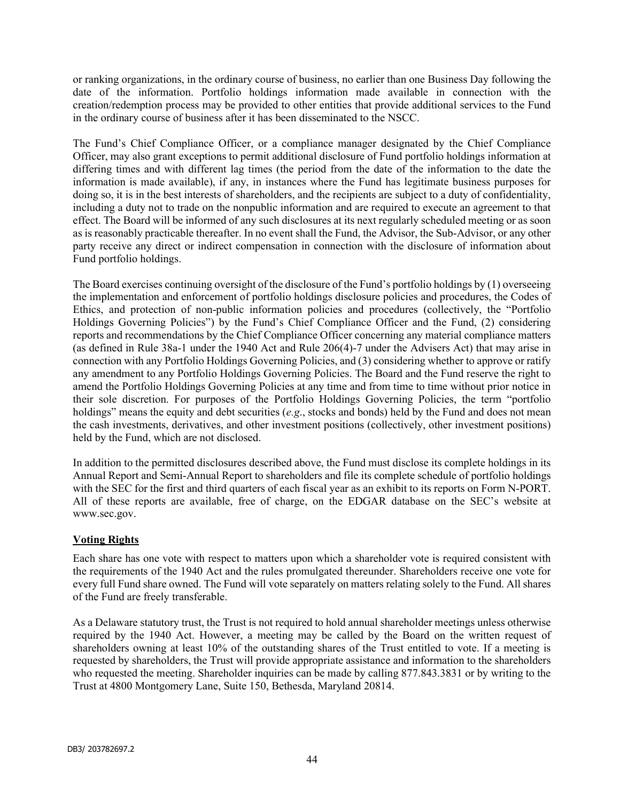or ranking organizations, in the ordinary course of business, no earlier than one Business Day following the date of the information. Portfolio holdings information made available in connection with the creation/redemption process may be provided to other entities that provide additional services to the Fund in the ordinary course of business after it has been disseminated to the NSCC.

The Fund's Chief Compliance Officer, or a compliance manager designated by the Chief Compliance Officer, may also grant exceptions to permit additional disclosure of Fund portfolio holdings information at differing times and with different lag times (the period from the date of the information to the date the information is made available), if any, in instances where the Fund has legitimate business purposes for doing so, it is in the best interests of shareholders, and the recipients are subject to a duty of confidentiality, including a duty not to trade on the nonpublic information and are required to execute an agreement to that effect. The Board will be informed of any such disclosures at its next regularly scheduled meeting or as soon as is reasonably practicable thereafter. In no event shall the Fund, the Advisor, the Sub-Advisor, or any other party receive any direct or indirect compensation in connection with the disclosure of information about Fund portfolio holdings.

The Board exercises continuing oversight of the disclosure of the Fund's portfolio holdings by (1) overseeing the implementation and enforcement of portfolio holdings disclosure policies and procedures, the Codes of Ethics, and protection of non-public information policies and procedures (collectively, the "Portfolio Holdings Governing Policies") by the Fund's Chief Compliance Officer and the Fund, (2) considering reports and recommendations by the Chief Compliance Officer concerning any material compliance matters (as defined in Rule 38a-1 under the 1940 Act and Rule 206(4)-7 under the Advisers Act) that may arise in connection with any Portfolio Holdings Governing Policies, and (3) considering whether to approve or ratify any amendment to any Portfolio Holdings Governing Policies. The Board and the Fund reserve the right to amend the Portfolio Holdings Governing Policies at any time and from time to time without prior notice in their sole discretion. For purposes of the Portfolio Holdings Governing Policies, the term "portfolio holdings" means the equity and debt securities  $(e.g.,$  stocks and bonds) held by the Fund and does not mean the cash investments, derivatives, and other investment positions (collectively, other investment positions) held by the Fund, which are not disclosed.

In addition to the permitted disclosures described above, the Fund must disclose its complete holdings in its Annual Report and Semi-Annual Report to shareholders and file its complete schedule of portfolio holdings with the SEC for the first and third quarters of each fiscal year as an exhibit to its reports on Form N-PORT. All of these reports are available, free of charge, on the EDGAR database on the SEC's website at www.sec.gov.

# Voting Rights

Each share has one vote with respect to matters upon which a shareholder vote is required consistent with the requirements of the 1940 Act and the rules promulgated thereunder. Shareholders receive one vote for every full Fund share owned. The Fund will vote separately on matters relating solely to the Fund. All shares of the Fund are freely transferable.

As a Delaware statutory trust, the Trust is not required to hold annual shareholder meetings unless otherwise required by the 1940 Act. However, a meeting may be called by the Board on the written request of shareholders owning at least 10% of the outstanding shares of the Trust entitled to vote. If a meeting is requested by shareholders, the Trust will provide appropriate assistance and information to the shareholders who requested the meeting. Shareholder inquiries can be made by calling 877.843.3831 or by writing to the Trust at 4800 Montgomery Lane, Suite 150, Bethesda, Maryland 20814.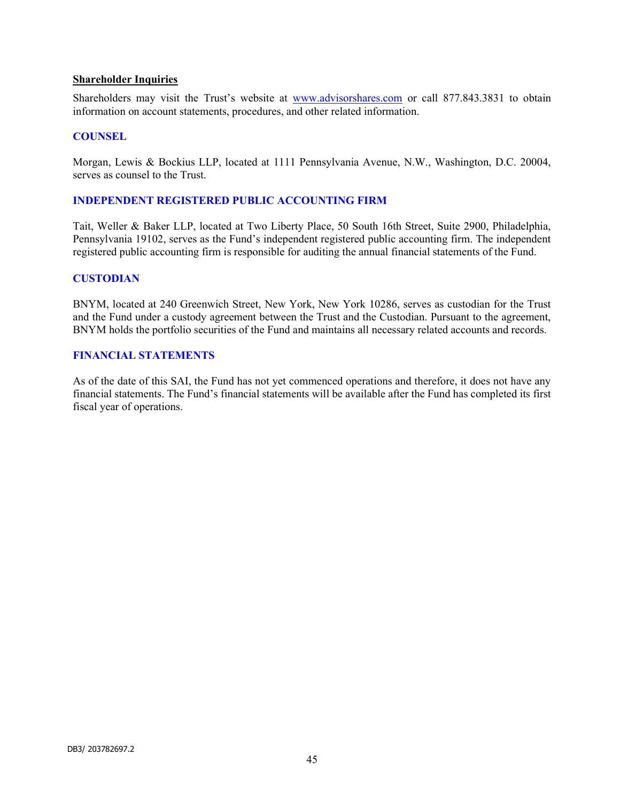#### Shareholder Inquiries

Shareholders may visit the Trust's website at www.advisorshares.com or call 877.843.3831 to obtain information on account statements, procedures, and other related information.

#### **COUNSEL**

Morgan, Lewis & Bockius LLP, located at 1111 Pennsylvania Avenue, N.W., Washington, D.C. 20004, serves as counsel to the Trust.

#### INDEPENDENT REGISTERED PUBLIC ACCOUNTING FIRM

Tait, Weller & Baker LLP, located at Two Liberty Place, 50 South 16th Street, Suite 2900, Philadelphia, Pennsylvania 19102, serves as the Fund's independent registered public accounting firm. The independent registered public accounting firm is responsible for auditing the annual financial statements of the Fund.

#### **CUSTODIAN**

BNYM, located at 240 Greenwich Street, New York, New York 10286, serves as custodian for the Trust and the Fund under a custody agreement between the Trust and the Custodian. Pursuant to the agreement, BNYM holds the portfolio securities of the Fund and maintains all necessary related accounts and records.

#### FINANCIAL STATEMENTS

As of the date of this SAI, the Fund has not yet commenced operations and therefore, it does not have any financial statements. The Fund's financial statements will be available after the Fund has completed its first fiscal year of operations.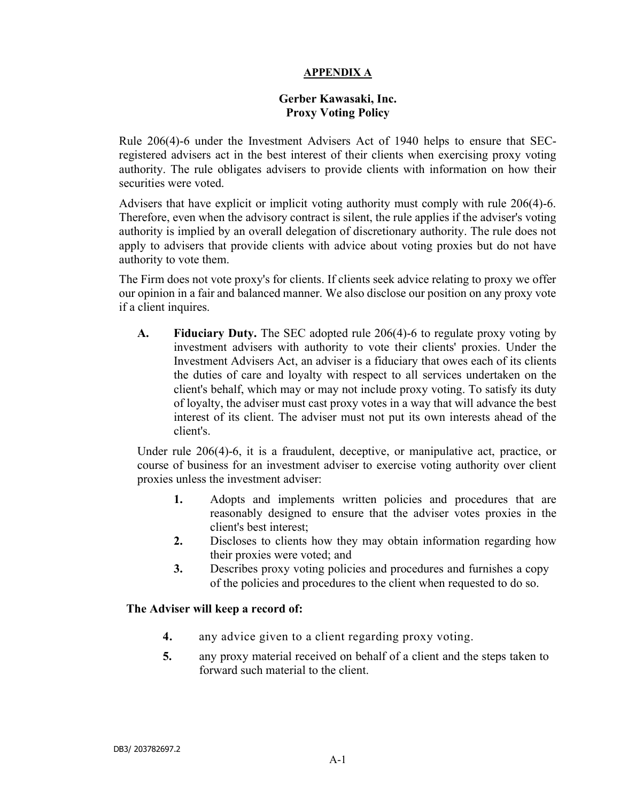# APPENDIX A

# Gerber Kawasaki, Inc. Proxy Voting Policy

Rule 206(4)-6 under the Investment Advisers Act of 1940 helps to ensure that SECregistered advisers act in the best interest of their clients when exercising proxy voting authority. The rule obligates advisers to provide clients with information on how their securities were voted.

Advisers that have explicit or implicit voting authority must comply with rule 206(4)-6. Therefore, even when the advisory contract is silent, the rule applies if the adviser's voting authority is implied by an overall delegation of discretionary authority. The rule does not apply to advisers that provide clients with advice about voting proxies but do not have authority to vote them.

The Firm does not vote proxy's for clients. If clients seek advice relating to proxy we offer our opinion in a fair and balanced manner. We also disclose our position on any proxy vote if a client inquires.

A. Fiduciary Duty. The SEC adopted rule 206(4)-6 to regulate proxy voting by investment advisers with authority to vote their clients' proxies. Under the Investment Advisers Act, an adviser is a fiduciary that owes each of its clients the duties of care and loyalty with respect to all services undertaken on the client's behalf, which may or may not include proxy voting. To satisfy its duty of loyalty, the adviser must cast proxy votes in a way that will advance the best interest of its client. The adviser must not put its own interests ahead of the client's.

Under rule 206(4)-6, it is a fraudulent, deceptive, or manipulative act, practice, or course of business for an investment adviser to exercise voting authority over client proxies unless the investment adviser:

- 1. Adopts and implements written policies and procedures that are reasonably designed to ensure that the adviser votes proxies in the client's best interest;
- 2. Discloses to clients how they may obtain information regarding how their proxies were voted; and
- 3. Describes proxy voting policies and procedures and furnishes a copy of the policies and procedures to the client when requested to do so.

# The Adviser will keep a record of:

- 4. any advice given to a client regarding proxy voting.
- 5. any proxy material received on behalf of a client and the steps taken to forward such material to the client.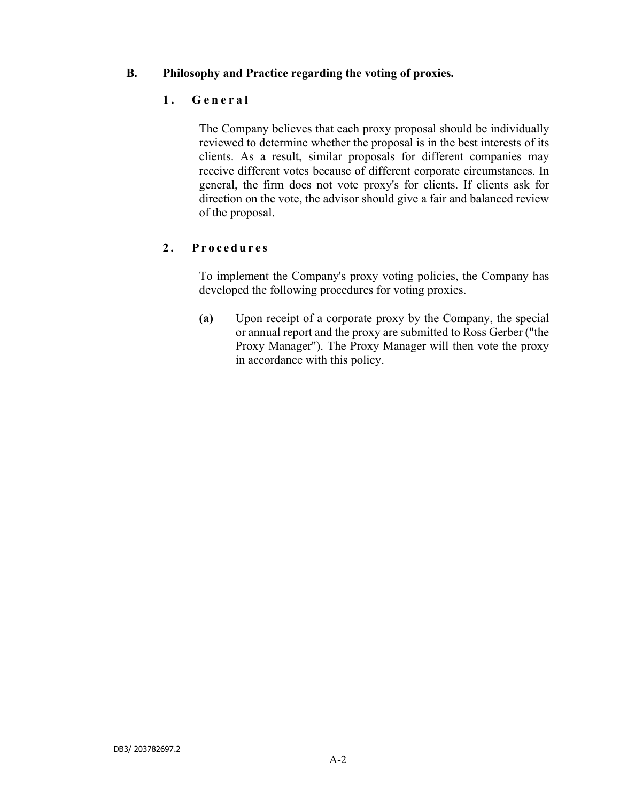# B. Philosophy and Practice regarding the voting of proxies.

# 1. General

The Company believes that each proxy proposal should be individually reviewed to determine whether the proposal is in the best interests of its clients. As a result, similar proposals for different companies may receive different votes because of different corporate circumstances. In general, the firm does not vote proxy's for clients. If clients ask for direction on the vote, the advisor should give a fair and balanced review of the proposal.

# 2. Procedures

To implement the Company's proxy voting policies, the Company has developed the following procedures for voting proxies.

(a) Upon receipt of a corporate proxy by the Company, the special or annual report and the proxy are submitted to Ross Gerber ("the Proxy Manager"). The Proxy Manager will then vote the proxy in accordance with this policy.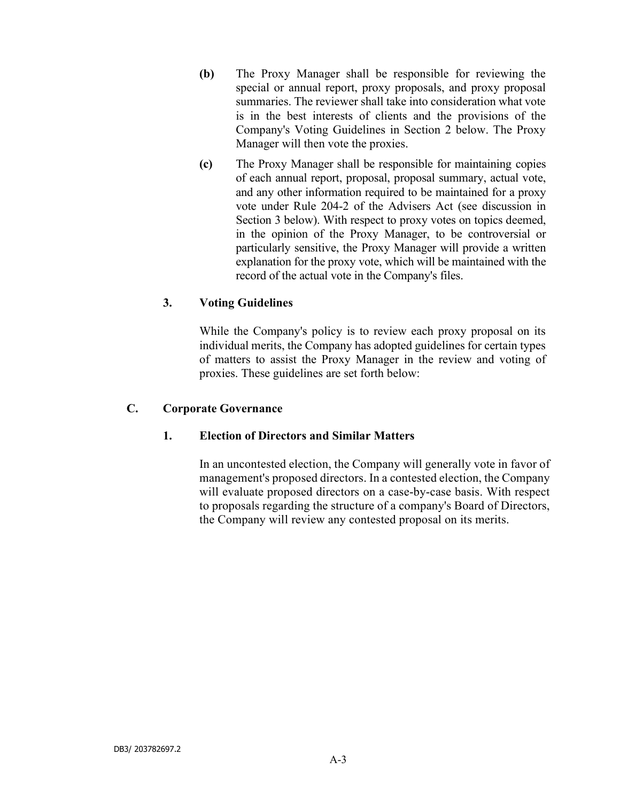- (b) The Proxy Manager shall be responsible for reviewing the special or annual report, proxy proposals, and proxy proposal summaries. The reviewer shall take into consideration what vote is in the best interests of clients and the provisions of the Company's Voting Guidelines in Section 2 below. The Proxy Manager will then vote the proxies.
- (c) The Proxy Manager shall be responsible for maintaining copies of each annual report, proposal, proposal summary, actual vote, and any other information required to be maintained for a proxy vote under Rule 204-2 of the Advisers Act (see discussion in Section 3 below). With respect to proxy votes on topics deemed, in the opinion of the Proxy Manager, to be controversial or particularly sensitive, the Proxy Manager will provide a written explanation for the proxy vote, which will be maintained with the record of the actual vote in the Company's files.

# 3. Voting Guidelines

While the Company's policy is to review each proxy proposal on its individual merits, the Company has adopted guidelines for certain types of matters to assist the Proxy Manager in the review and voting of proxies. These guidelines are set forth below:

# C. Corporate Governance

# 1. Election of Directors and Similar Matters

In an uncontested election, the Company will generally vote in favor of management's proposed directors. In a contested election, the Company will evaluate proposed directors on a case-by-case basis. With respect to proposals regarding the structure of a company's Board of Directors, the Company will review any contested proposal on its merits.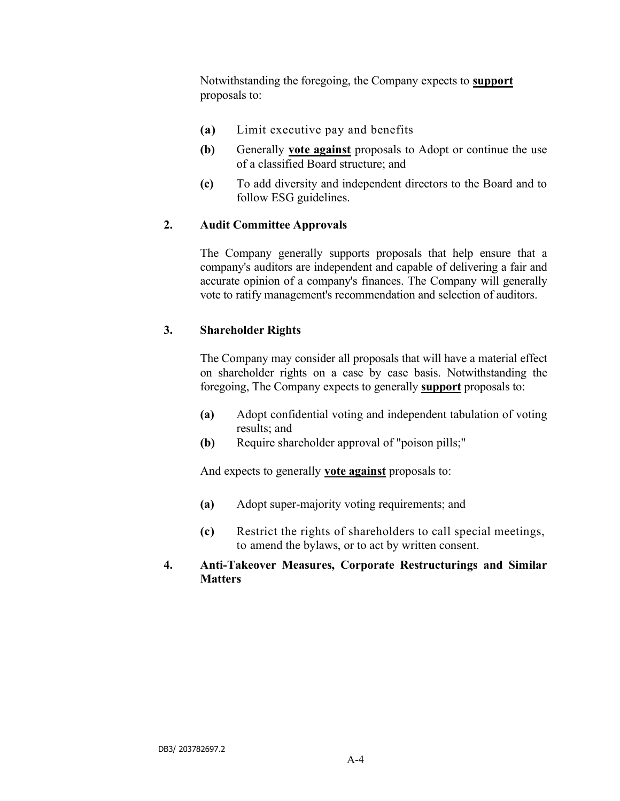Notwithstanding the foregoing, the Company expects to **support** proposals to:

- (a) Limit executive pay and benefits
- (b) Generally vote against proposals to Adopt or continue the use of a classified Board structure; and
- (c) To add diversity and independent directors to the Board and to follow ESG guidelines.

# 2. Audit Committee Approvals

The Company generally supports proposals that help ensure that a company's auditors are independent and capable of delivering a fair and accurate opinion of a company's finances. The Company will generally vote to ratify management's recommendation and selection of auditors.

# 3. Shareholder Rights

The Company may consider all proposals that will have a material effect on shareholder rights on a case by case basis. Notwithstanding the foregoing, The Company expects to generally support proposals to:

- (a) Adopt confidential voting and independent tabulation of voting results; and
- (b) Require shareholder approval of "poison pills;"

And expects to generally **vote against** proposals to:

- (a) Adopt super-majority voting requirements; and
- (c) Restrict the rights of shareholders to call special meetings, to amend the bylaws, or to act by written consent.

# 4. Anti-Takeover Measures, Corporate Restructurings and Similar **Matters**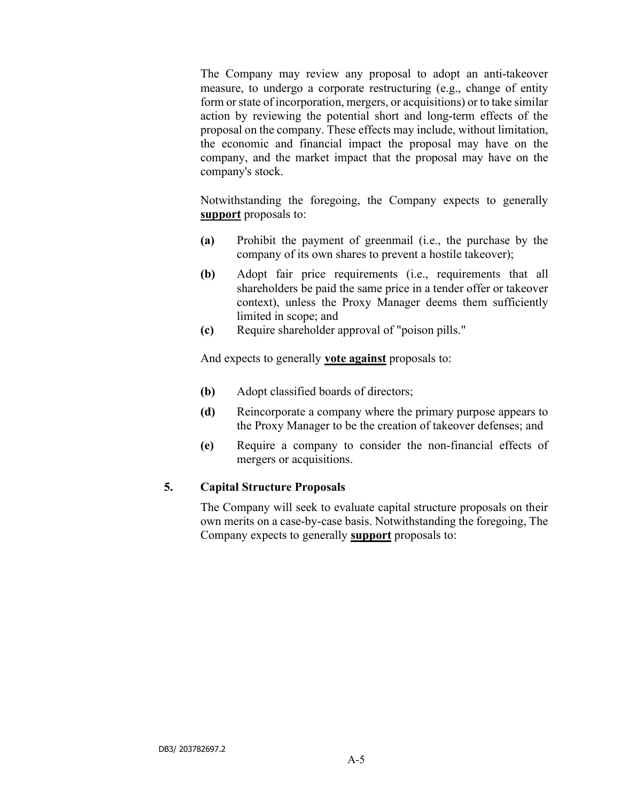The Company may review any proposal to adopt an anti-takeover measure, to undergo a corporate restructuring (e.g., change of entity form or state of incorporation, mergers, or acquisitions) or to take similar action by reviewing the potential short and long-term effects of the proposal on the company. These effects may include, without limitation, the economic and financial impact the proposal may have on the company, and the market impact that the proposal may have on the company's stock.

Notwithstanding the foregoing, the Company expects to generally support proposals to:

- (a) Prohibit the payment of greenmail (i.e., the purchase by the company of its own shares to prevent a hostile takeover);
- (b) Adopt fair price requirements (i.e., requirements that all shareholders be paid the same price in a tender offer or takeover context), unless the Proxy Manager deems them sufficiently limited in scope; and
- (c) Require shareholder approval of "poison pills."

And expects to generally **vote against** proposals to:

- (b) Adopt classified boards of directors;
- (d) Reincorporate a company where the primary purpose appears to the Proxy Manager to be the creation of takeover defenses; and
- (e) Require a company to consider the non-financial effects of mergers or acquisitions.

# 5. Capital Structure Proposals

The Company will seek to evaluate capital structure proposals on their own merits on a case-by-case basis. Notwithstanding the foregoing, The Company expects to generally support proposals to: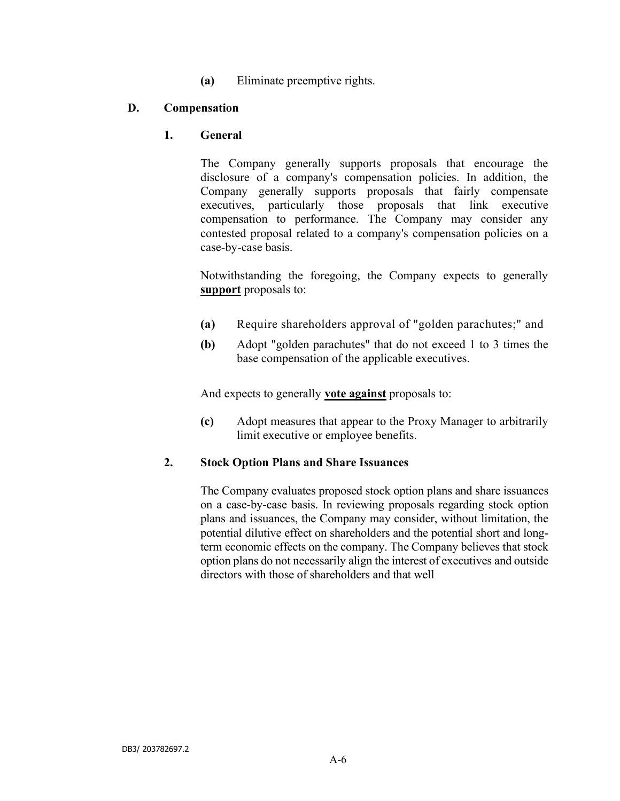(a) Eliminate preemptive rights.

# D. Compensation

# 1. General

The Company generally supports proposals that encourage the disclosure of a company's compensation policies. In addition, the Company generally supports proposals that fairly compensate executives, particularly those proposals that link executive compensation to performance. The Company may consider any contested proposal related to a company's compensation policies on a case-by-case basis.

Notwithstanding the foregoing, the Company expects to generally support proposals to:

- (a) Require shareholders approval of "golden parachutes;" and
- (b) Adopt "golden parachutes" that do not exceed 1 to 3 times the base compensation of the applicable executives.

And expects to generally **vote against** proposals to:

(c) Adopt measures that appear to the Proxy Manager to arbitrarily limit executive or employee benefits.

# 2. Stock Option Plans and Share Issuances

The Company evaluates proposed stock option plans and share issuances on a case-by-case basis. In reviewing proposals regarding stock option plans and issuances, the Company may consider, without limitation, the potential dilutive effect on shareholders and the potential short and longterm economic effects on the company. The Company believes that stock option plans do not necessarily align the interest of executives and outside directors with those of shareholders and that well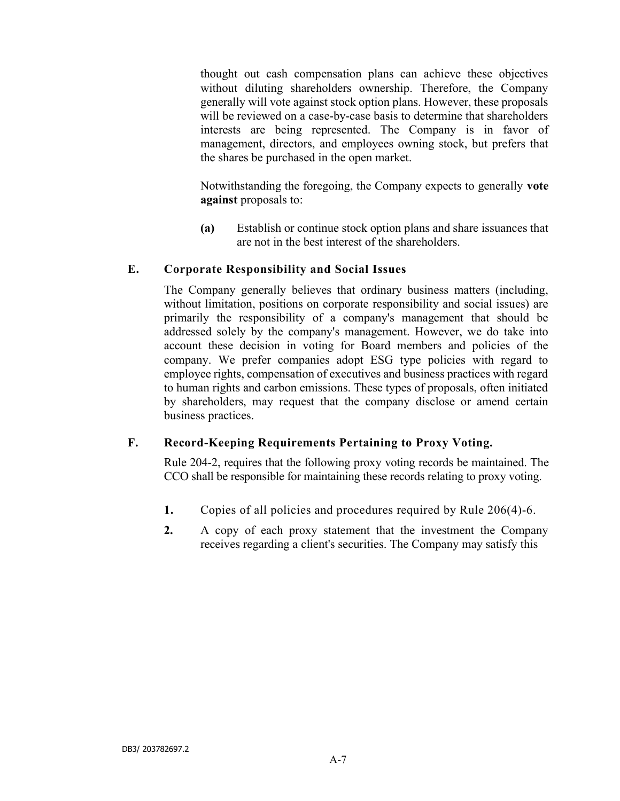thought out cash compensation plans can achieve these objectives without diluting shareholders ownership. Therefore, the Company generally will vote against stock option plans. However, these proposals will be reviewed on a case-by-case basis to determine that shareholders interests are being represented. The Company is in favor of management, directors, and employees owning stock, but prefers that the shares be purchased in the open market.

Notwithstanding the foregoing, the Company expects to generally vote against proposals to:

(a) Establish or continue stock option plans and share issuances that are not in the best interest of the shareholders.

# E. Corporate Responsibility and Social Issues

The Company generally believes that ordinary business matters (including, without limitation, positions on corporate responsibility and social issues) are primarily the responsibility of a company's management that should be addressed solely by the company's management. However, we do take into account these decision in voting for Board members and policies of the company. We prefer companies adopt ESG type policies with regard to employee rights, compensation of executives and business practices with regard to human rights and carbon emissions. These types of proposals, often initiated by shareholders, may request that the company disclose or amend certain business practices.

# F. Record-Keeping Requirements Pertaining to Proxy Voting.

Rule 204-2, requires that the following proxy voting records be maintained. The CCO shall be responsible for maintaining these records relating to proxy voting.

- 1. Copies of all policies and procedures required by Rule 206(4)-6.
- 2. A copy of each proxy statement that the investment the Company receives regarding a client's securities. The Company may satisfy this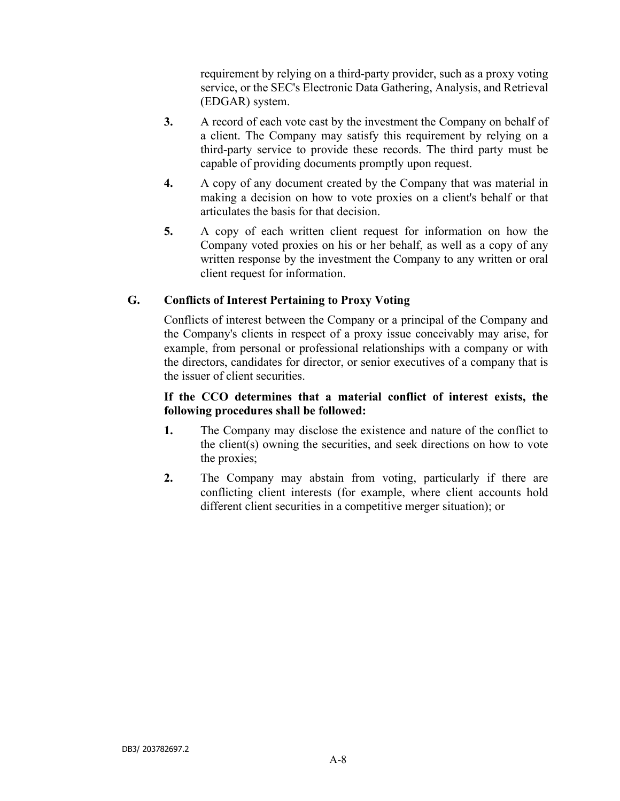requirement by relying on a third-party provider, such as a proxy voting service, or the SEC's Electronic Data Gathering, Analysis, and Retrieval (EDGAR) system.

- 3. A record of each vote cast by the investment the Company on behalf of a client. The Company may satisfy this requirement by relying on a third-party service to provide these records. The third party must be capable of providing documents promptly upon request.
- 4. A copy of any document created by the Company that was material in making a decision on how to vote proxies on a client's behalf or that articulates the basis for that decision.
- 5. A copy of each written client request for information on how the Company voted proxies on his or her behalf, as well as a copy of any written response by the investment the Company to any written or oral client request for information.

# G. Conflicts of Interest Pertaining to Proxy Voting

Conflicts of interest between the Company or a principal of the Company and the Company's clients in respect of a proxy issue conceivably may arise, for example, from personal or professional relationships with a company or with the directors, candidates for director, or senior executives of a company that is the issuer of client securities.

# If the CCO determines that a material conflict of interest exists, the following procedures shall be followed:

- 1. The Company may disclose the existence and nature of the conflict to the client(s) owning the securities, and seek directions on how to vote the proxies;
- 2. The Company may abstain from voting, particularly if there are conflicting client interests (for example, where client accounts hold different client securities in a competitive merger situation); or